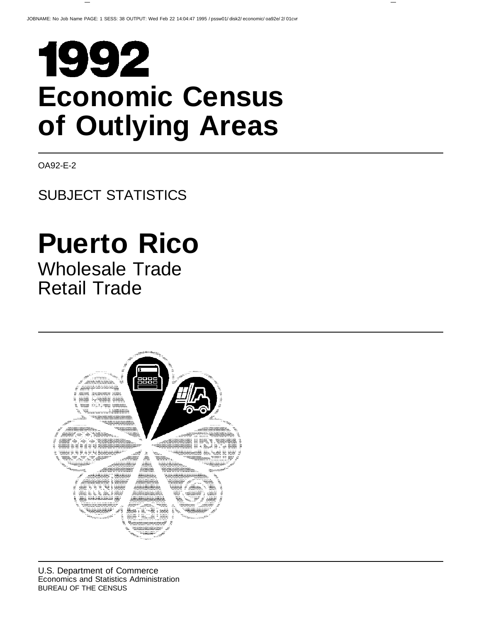# 1992 **Economic Census of Outlying Areas**

OA92-E-2

# SUBJECT STATISTICS

# **Puerto Rico**

Wholesale Trade Retail Trade

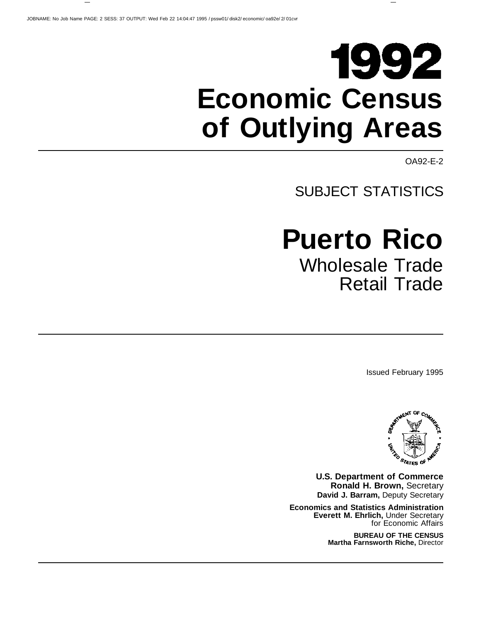# 1992 **Economic Census of Outlying Areas**

OA92-E-2

# SUBJECT STATISTICS

# **Puerto Rico** Wholesale Trade Retail Trade

Issued February 1995



**U.S. Department of Commerce Ronald H. Brown,** Secretary **David J. Barram,** Deputy Secretary

**Economics and Statistics Administration Everett M. Ehrlich,** Under Secretary for Economic Affairs

> **BUREAU OF THE CENSUS Martha Farnsworth Riche,** Director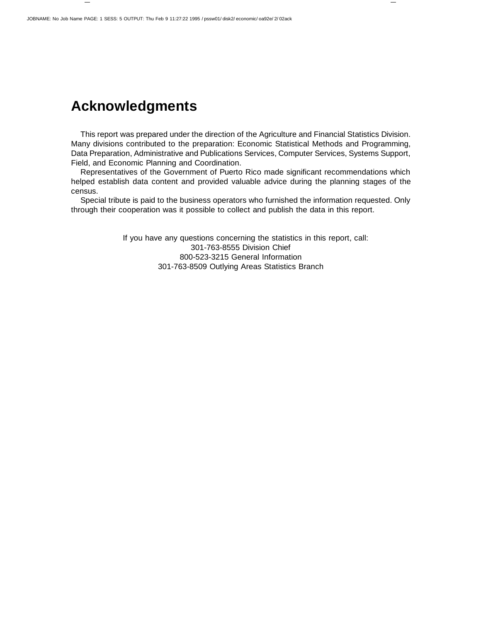# **Acknowledgments**

This report was prepared under the direction of the Agriculture and Financial Statistics Division. Many divisions contributed to the preparation: Economic Statistical Methods and Programming, Data Preparation, Administrative and Publications Services, Computer Services, Systems Support, Field, and Economic Planning and Coordination.

Representatives of the Government of Puerto Rico made significant recommendations which helped establish data content and provided valuable advice during the planning stages of the census.

Special tribute is paid to the business operators who furnished the information requested. Only through their cooperation was it possible to collect and publish the data in this report.

> If you have any questions concerning the statistics in this report, call: 301-763-8555 Division Chief 800-523-3215 General Information 301-763-8509 Outlying Areas Statistics Branch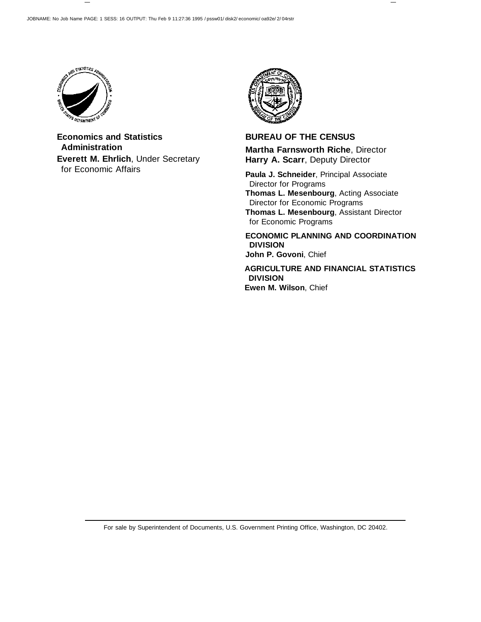

**Economics and Statistics Administration Everett M. Ehrlich**, Under Secretary for Economic Affairs



### **BUREAU OF THE CENSUS Martha Farnsworth Riche**, Director **Harry A. Scarr**, Deputy Director

**Paula J. Schneider**, Principal Associate Director for Programs **Thomas L. Mesenbourg**, Acting Associate Director for Economic Programs **Thomas L. Mesenbourg**, Assistant Director for Economic Programs

**ECONOMIC PLANNING AND COORDINATION DIVISION John P. Govoni**, Chief

**AGRICULTURE AND FINANCIAL STATISTICS DIVISION Ewen M. Wilson**, Chief

For sale by Superintendent of Documents, U.S. Government Printing Office, Washington, DC 20402.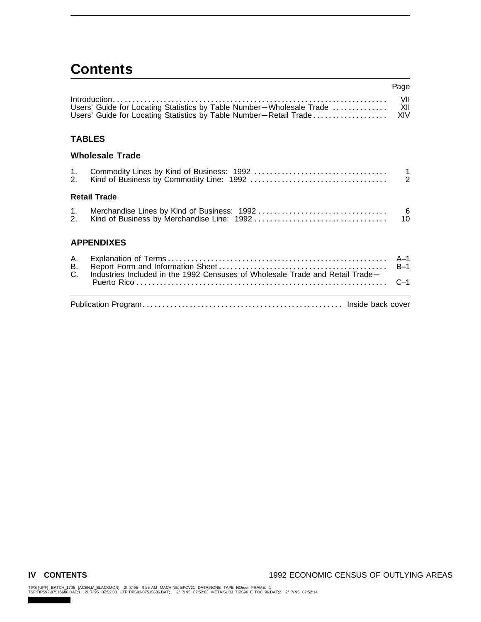# **Contents**

|                   |                                                                                                                                           | Page                            |
|-------------------|-------------------------------------------------------------------------------------------------------------------------------------------|---------------------------------|
|                   | Users' Guide for Locating Statistics by Table Number-Wholesale Trade<br>Users' Guide for Locating Statistics by Table Number-Retail Trade | VII<br>XII<br>XIV               |
|                   | <b>TABLES</b>                                                                                                                             |                                 |
|                   | <b>Wholesale Trade</b>                                                                                                                    |                                 |
| 1.<br>2.          |                                                                                                                                           | $\overline{1}$<br>$\frac{1}{2}$ |
|                   | <b>Retail Trade</b>                                                                                                                       |                                 |
| $1_{\cdot}$<br>2. |                                                                                                                                           | 6<br>10 <sup>1</sup>            |
|                   | <b>APPENDIXES</b>                                                                                                                         |                                 |
| А.<br>Β.<br>C.    | Industries Included in the 1992 Censuses of Wholesale Trade and Retail Trade-                                                             | $A-1$<br>$B-1$<br>$C-1$         |
|                   |                                                                                                                                           |                                 |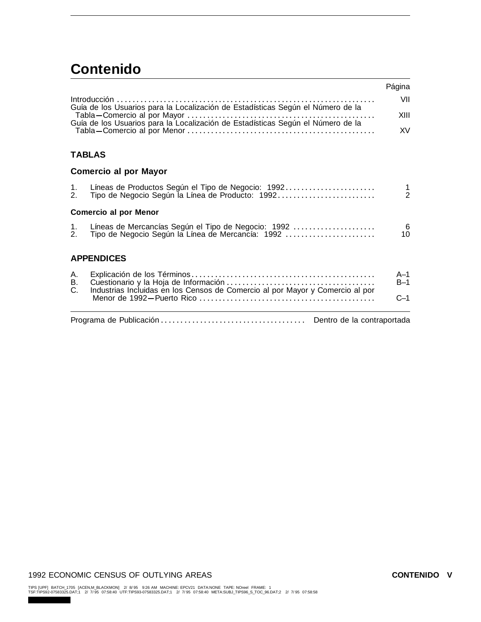# **Contenido**

|                |                                                                                                          | Página                        |  |  |  |
|----------------|----------------------------------------------------------------------------------------------------------|-------------------------------|--|--|--|
|                | Guía de los Usuarios para la Localización de Estadísticas Según el Número de la                          | VII                           |  |  |  |
|                |                                                                                                          | XIII                          |  |  |  |
|                |                                                                                                          | <b>XV</b>                     |  |  |  |
|                | <b>TABLAS</b>                                                                                            |                               |  |  |  |
|                | <b>Comercio al por Mayor</b>                                                                             |                               |  |  |  |
| 1.<br>2.       | Líneas de Productos Según el Tipo de Negocio: 1992<br>Tipo de Negocio Según la Línea de Producto: 1992   | $\mathbf 1$<br>$\overline{2}$ |  |  |  |
|                | <b>Comercio al por Menor</b>                                                                             |                               |  |  |  |
| 1.<br>2.       | Líneas de Mercancías Según el Tipo de Negocio: 1992<br>Tipo de Negocio Según la Línea de Mercancía: 1992 | 6<br>10                       |  |  |  |
|                | <b>APPENDICES</b>                                                                                        |                               |  |  |  |
| А.<br>В.<br>C. | Industrias Incluidas en los Censos de Comercio al por Mayor y Comercio al por                            | $A-1$<br>$B-1$                |  |  |  |
|                |                                                                                                          |                               |  |  |  |
|                | Dentro de la contraportada                                                                               |                               |  |  |  |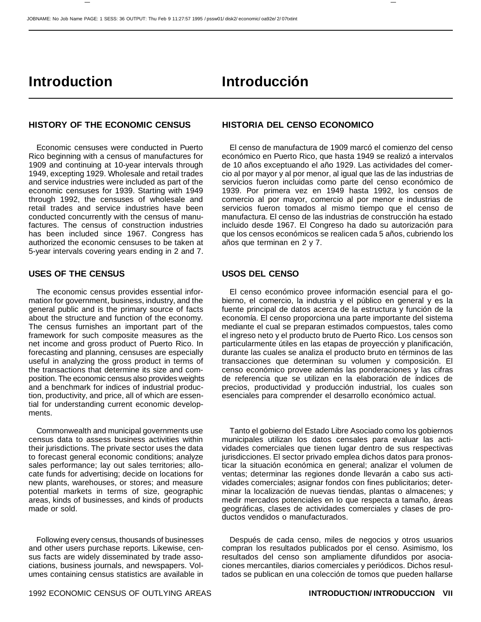#### JOBNAME: No Job Name PAGE: 1 SESS: 36 OUTPUT: Thu Feb 9 11:27:57 1995 / pssw01/ disk2/ economic/ oa92e/ 2/ 07txtint

# **Introduction Introducción**

#### **HISTORY OF THE ECONOMIC CENSUS HISTORIA DEL CENSO ECONOMICO**

Economic censuses were conducted in Puerto Rico beginning with a census of manufactures for 1909 and continuing at 10-year intervals through 1949, excepting 1929. Wholesale and retail trades and service industries were included as part of the economic censuses for 1939. Starting with 1949 through 1992, the censuses of wholesale and retail trades and service industries have been conducted concurrently with the census of manufactures. The census of construction industries has been included since 1967. Congress has authorized the economic censuses to be taken at 5-year intervals covering years ending in 2 and 7.

#### **USES OF THE CENSUS USOS DEL CENSO**

The economic census provides essential information for government, business, industry, and the general public and is the primary source of facts about the structure and function of the economy. The census furnishes an important part of the framework for such composite measures as the net income and gross product of Puerto Rico. In forecasting and planning, censuses are especially useful in analyzing the gross product in terms of the transactions that determine its size and composition. The economic census also provides weights and a benchmark for indices of industrial production, productivity, and price, all of which are essential for understanding current economic developments.

Commonwealth and municipal governments use census data to assess business activities within their jurisdictions. The private sector uses the data to forecast general economic conditions; analyze sales performance; lay out sales territories; allocate funds for advertising; decide on locations for new plants, warehouses, or stores; and measure potential markets in terms of size, geographic areas, kinds of businesses, and kinds of products made or sold.

Following every census, thousands of businesses and other users purchase reports. Likewise, census facts are widely disseminated by trade associations, business journals, and newspapers. Volumes containing census statistics are available in

El censo de manufactura de 1909 marcó el comienzo del censo económico en Puerto Rico, que hasta 1949 se realizó a intervalos de 10 años exceptuando el año 1929. Las actividades del comercio al por mayor y al por menor, al igual que las de las industrias de servicios fueron incluidas como parte del censo económico de 1939. Por primera vez en 1949 hasta 1992, los censos de comercio al por mayor, comercio al por menor e industrias de servicios fueron tomados al mismo tiempo que el censo de manufactura. El censo de las industrias de construcción ha estado incluido desde 1967. El Congreso ha dado su autorización para que los censos económicos se realicen cada 5 años, cubriendo los años que terminan en 2 y 7.

El censo económico provee información esencial para el gobierno, el comercio, la industria y el público en general y es la fuente principal de datos acerca de la estructura y función de la economía. El censo proporciona una parte importante del sistema mediante el cual se preparan estimados compuestos, tales como el ingreso neto y el producto bruto de Puerto Rico. Los censos son particularmente útiles en las etapas de proyección y planificación, durante las cuales se analiza el producto bruto en términos de las transacciones que determinan su volumen y composición. El censo económico provee además las ponderaciones y las cifras de referencia que se utilizan en la elaboración de índices de precios, productividad y producción industrial, los cuales son esenciales para comprender el desarrollo económico actual.

Tanto el gobierno del Estado Libre Asociado como los gobiernos municipales utilizan los datos censales para evaluar las actividades comerciales que tienen lugar dentro de sus respectivas jurisdicciones. El sector privado emplea dichos datos para pronosticar la situación económica en general; analizar el volumen de ventas; determinar las regiones donde llevarán a cabo sus actividades comerciales; asignar fondos con fines publicitarios; determinar la localización de nuevas tiendas, plantas o almacenes; y medir mercados potenciales en lo que respecta a tamaño, áreas geográficas, clases de actividades comerciales y clases de productos vendidos o manufacturados.

Después de cada censo, miles de negocios y otros usuarios compran los resultados publicados por el censo. Asimismo, los resultados del censo son ampliamente difundidos por asociaciones mercantiles, diarios comerciales y periódicos. Dichos resultados se publican en una colección de tomos que pueden hallarse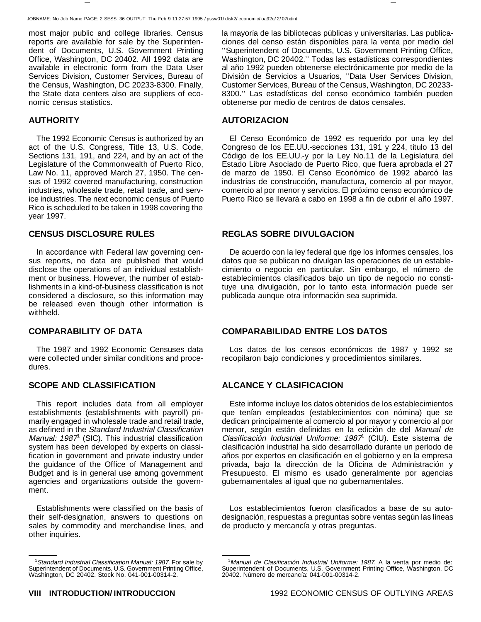most major public and college libraries. Census reports are available for sale by the Superintendent of Documents, U.S. Government Printing Office, Washington, DC 20402. All 1992 data are available in electronic form from the Data User Services Division, Customer Services, Bureau of the Census, Washington, DC 20233-8300. Finally, the State data centers also are suppliers of economic census statistics.

The 1992 Economic Census is authorized by an act of the U.S. Congress, Title 13, U.S. Code, Sections 131, 191, and 224, and by an act of the Legislature of the Commonwealth of Puerto Rico, Law No. 11, approved March 27, 1950. The census of 1992 covered manufacturing, construction industries, wholesale trade, retail trade, and service industries. The next economic census of Puerto Rico is scheduled to be taken in 1998 covering the year 1997.

In accordance with Federal law governing census reports, no data are published that would disclose the operations of an individual establishment or business. However, the number of establishments in a kind-of-business classification is not considered a disclosure, so this information may be released even though other information is withheld.

The 1987 and 1992 Economic Censuses data were collected under similar conditions and procedures.

### **SCOPE AND CLASSIFICATION ALCANCE Y CLASIFICACION**

This report includes data from all employer establishments (establishments with payroll) primarily engaged in wholesale trade and retail trade, as defined in the Standard Industrial Classification Manual: 1987<sup>1</sup> (SIC). This industrial classification system has been developed by experts on classification in government and private industry under the guidance of the Office of Management and Budget and is in general use among government agencies and organizations outside the government.

Establishments were classified on the basis of their self-designation, answers to questions on sales by commodity and merchandise lines, and other inquiries.

la mayoría de las bibliotecas públicas y universitarias. Las publicaciones del censo están disponibles para la venta por medio del ''Superintendent of Documents, U.S. Government Printing Office, Washington, DC 20402.'' Todas las estadísticas correspondientes al año 1992 pueden obtenerse electrónicamente por medio de la División de Servicios a Usuarios, ''Data User Services Division, Customer Services, Bureau of the Census, Washington, DC 20233- 8300.'' Las estadísticas del censo económico también pueden obtenerse por medio de centros de datos censales.

#### **AUTHORITY AUTORIZACION**

El Censo Económico de 1992 es requerido por una ley del Congreso de los EE.UU.-secciones 131, 191 y 224, título 13 del Código de los EE.UU.-y por la Ley No.11 de la Legislatura del Estado Libre Asociado de Puerto Rico, que fuera aprobada el 27 de marzo de 1950. El Censo Económico de 1992 abarcó las industrias de construcción, manufactura, comercio al por mayor, comercio al por menor y servicios. El próximo censo económico de Puerto Rico se llevará a cabo en 1998 a fin de cubrir el año 1997.

#### **CENSUS DISCLOSURE RULES REGLAS SOBRE DIVULGACION**

De acuerdo con la ley federal que rige los informes censales, los datos que se publican no divulgan las operaciones de un establecimiento o negocio en particular. Sin embargo, el número de establecimientos clasificados bajo un tipo de negocio no constituye una divulgación, por lo tanto esta información puede ser publicada aunque otra información sea suprimida.

#### **COMPARABILITY OF DATA COMPARABILIDAD ENTRE LOS DATOS**

Los datos de los censos económicos de 1987 y 1992 se recopilaron bajo condiciones y procedimientos similares.

Este informe incluye los datos obtenidos de los establecimientos que tenían empleados (establecimientos con nómina) que se dedican principalmente al comercio al por mayor y comercio al por menor, según están definidas en la edición de del Manual de Clasificación Industrial Uniforme: 1987<sup>1</sup> (CIU). Este sistema de clasificación industrial ha sido desarrollado durante un período de años por expertos en clasificación en el gobierno y en la empresa privada, bajo la dirección de la Oficina de Administración y Presupuesto. El mismo es usado generalmente por agencias gubernamentales al igual que no gubernamentales.

Los establecimientos fueron clasificados a base de su autodesignación, respuestas a preguntas sobre ventas según las líneas de producto y mercancía y otras preguntas.

<sup>&</sup>lt;sup>1</sup>Standard Industrial Classification Manual: 1987. For sale by Superintendent of Documents, U.S. Government Printing Office, Washington, DC 20402. Stock No. 041-001-00314-2.

<sup>&</sup>lt;sup>1</sup>Manual de Clasificación Industrial Uniforme: 1987. A la venta por medio de: Superintendent of Documents, U.S. Government Printing Office, Washington, DC 20402. Número de mercancía: 041-001-00314-2.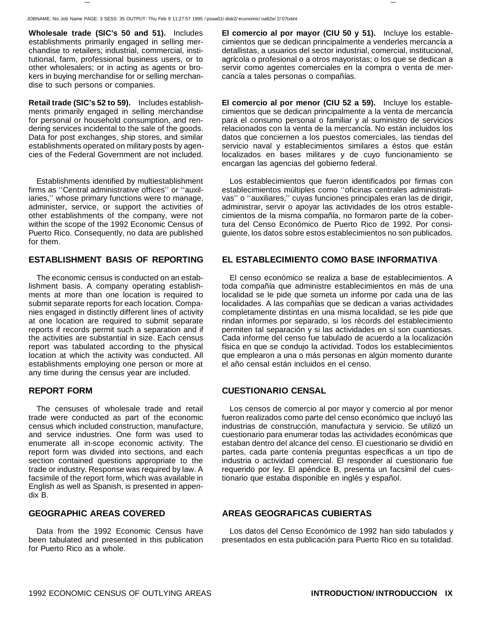**Wholesale trade (SIC's 50 and 51).** Includes establishments primarily engaged in selling merchandise to retailers; industrial, commercial, institutional, farm, professional business users, or to other wholesalers; or in acting as agents or brokers in buying merchandise for or selling merchandise to such persons or companies.

**Retail trade (SIC's 52 to 59).** Includes establishments primarily engaged in selling merchandise for personal or household consumption, and rendering services incidental to the sale of the goods. Data for post exchanges, ship stores, and similar establishments operated on military posts by agencies of the Federal Government are not included.

Establishments identified by multiestablishment firms as ''Central administrative offices'' or ''auxiliaries,'' whose primary functions were to manage, administer, service, or support the activities of other establishments of the company, were not within the scope of the 1992 Economic Census of Puerto Rico. Consequently, no data are published for them.

The economic census is conducted on an establishment basis. A company operating establishments at more than one location is required to submit separate reports for each location. Companies engaged in distinctly different lines of activity at one location are required to submit separate reports if records permit such a separation and if the activities are substantial in size. Each census report was tabulated according to the physical location at which the activity was conducted. All establishments employing one person or more at any time during the census year are included.

The censuses of wholesale trade and retail trade were conducted as part of the economic census which included construction, manufacture, and service industries. One form was used to enumerate all in-scope economic activity. The report form was divided into sections, and each section contained questions appropriate to the trade or industry. Response was required by law. A facsimile of the report form, which was available in English as well as Spanish, is presented in appendix B.

Data from the 1992 Economic Census have been tabulated and presented in this publication for Puerto Rico as a whole.

**El comercio al por mayor (CIU 50 y 51).** Incluye los establecimientos que se dedican principalmente a venderles mercancía a detallistas, a usuarios del sector industrial, comercial, institucional, agrícola o profesional o a otros mayoristas; o los que se dedican a servir como agentes comerciales en la compra o venta de mercancía a tales personas o compañías.

**El comercio al por menor (CIU 52 a 59).** Incluye los establecimientos que se dedican principalmente a la venta de mercancía para el consumo personal o familiar y al suministro de servicios relacionados con la venta de la mercancía. No están incluidos los datos que conciernen a los puestos comerciales, las tiendas del servicio naval y establecimientos similares a éstos que están localizados en bases militares y de cuyo funcionamiento se encargan las agencias del gobierno federal.

Los establecimientos que fueron identificados por firmas con establecimientos múltiples como ''oficinas centrales administrativas'' o ''auxiliares,'' cuyas funciones principales eran las de dirigir, administrar, servir o apoyar las actividades de los otros establecimientos de la misma compañía, no formaron parte de la cobertura del Censo Económico de Puerto Rico de 1992. Por consiguiente, los datos sobre estos establecimientos no son publicados.

### **ESTABLISHMENT BASIS OF REPORTING EL ESTABLECIMIENTO COMO BASE INFORMATIVA**

El censo económico se realiza a base de establecimientos. A toda compañía que administre establecimientos en más de una localidad se le pide que someta un informe por cada una de las localidades. A las compañías que se dedican a varias actividades completamente distintas en una misma localidad, se les pide que rindan informes por separado, si los récords del establecimiento permiten tal separación y si las actividades en sí son cuantiosas. Cada informe del censo fue tabulado de acuerdo a la localización física en que se condujo la actividad. Todos los establecimientos que emplearon a una o más personas en algún momento durante el año censal están incluidos en el censo.

#### **REPORT FORM CUESTIONARIO CENSAL**

Los censos de comercio al por mayor y comercio al por menor fueron realizados como parte del censo económico que incluyó las industrias de construcción, manufactura y servicio. Se utilizó un cuestionario para enumerar todas las actividades económicas que estaban dentro del alcance del censo. El cuestionario se dividió en partes, cada parte contenía preguntas específicas a un tipo de industria o actividad comercial. El responder al cuestionario fue requerido por ley. El apéndice B, presenta un facsímil del cuestionario que estaba disponible en inglés y español.

#### **GEOGRAPHIC AREAS COVERED AREAS GEOGRAFICAS CUBIERTAS**

Los datos del Censo Económico de 1992 han sido tabulados y presentados en esta publicación para Puerto Rico en su totalidad.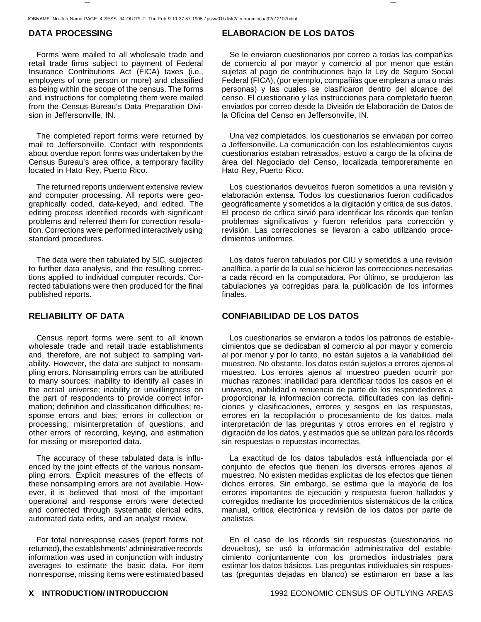Forms were mailed to all wholesale trade and retail trade firms subject to payment of Federal Insurance Contributions Act (FICA) taxes (i.e., employers of one person or more) and classified as being within the scope of the census. The forms and instructions for completing them were mailed from the Census Bureau's Data Preparation Division in Jeffersonville, IN.

The completed report forms were returned by mail to Jeffersonville. Contact with respondents about overdue report forms was undertaken by the Census Bureau's area office, a temporary facility located in Hato Rey, Puerto Rico.

The returned reports underwent extensive review and computer processing. All reports were geographically coded, data-keyed, and edited. The editing process identified records with significant problems and referred them for correction resolution. Corrections were performed interactively using standard procedures.

The data were then tabulated by SIC, subjected to further data analysis, and the resulting corrections applied to individual computer records. Corrected tabulations were then produced for the final published reports.

Census report forms were sent to all known wholesale trade and retail trade establishments and, therefore, are not subject to sampling variability. However, the data are subject to nonsampling errors. Nonsampling errors can be attributed to many sources: inability to identify all cases in the actual universe; inability or unwillingness on the part of respondents to provide correct information; definition and classification difficulties; response errors and bias; errors in collection or processing; misinterpretation of questions; and other errors of recording, keying, and estimation for missing or misreported data.

The accuracy of these tabulated data is influenced by the joint effects of the various nonsampling errors. Explicit measures of the effects of these nonsampling errors are not available. However, it is believed that most of the important operational and response errors were detected and corrected through systematic clerical edits, automated data edits, and an analyst review.

For total nonresponse cases (report forms not returned), the establishments' administrative records information was used in conjunction with industry averages to estimate the basic data. For item nonresponse, missing items were estimated based

### **DATA PROCESSING ELABORACION DE LOS DATOS**

Se le enviaron cuestionarios por correo a todas las compañías de comercio al por mayor y comercio al por menor que están sujetas al pago de contribuciones bajo la Ley de Seguro Social Federal (FICA), (por ejemplo, compañías que emplean a una o más personas) y las cuales se clasificaron dentro del alcance del censo. El cuestionario y las instrucciones para completarlo fueron enviados por correo desde la División de Elaboración de Datos de la Oficina del Censo en Jeffersonville, IN.

Una vez completados, los cuestionarios se enviaban por correo a Jeffersonville. La comunicación con los establecimientos cuyos cuestionarios estaban retrasados, estuvo a cargo de la oficina de área del Negociado del Censo, localizada temporeramente en Hato Rey, Puerto Rico.

Los cuestionarios devueltos fueron sometidos a una revisión y elaboración extensa. Todos los cuestionarios fueron codificados geográficamente y sometidos a la digitación y crítica de sus datos. El proceso de crítica sirvió para identificar los récords que tenían problemas significativos y fueron referidos para corrección y revisión. Las correcciones se llevaron a cabo utilizando procedimientos uniformes.

Los datos fueron tabulados por CIU y sometidos a una revisión analítica, a partir de la cual se hicieron las correcciones necesarias a cada récord en la computadora. Por último, se produjeron las tabulaciones ya corregidas para la publicación de los informes finales.

#### **RELIABILITY OF DATA CONFIABILIDAD DE LOS DATOS**

Los cuestionarios se enviaron a todos los patronos de establecimientos que se dedicaban al comercio al por mayor y comercio al por menor y por lo tanto, no están sujetos a la variabilidad del muestreo. No obstante, los datos están sujetos a errores ajenos al muestreo. Los errores ajenos al muestreo pueden ocurrir por muchas razones: inabilidad para identificar todos los casos en el universo, inabilidad o renuencia de parte de los respondedores a proporcionar la información correcta, dificultades con las definiciones y clasificaciones, errores y sesgos en las respuestas, errores en la recopilación o procesamiento de los datos, mala interpretación de las preguntas y otros errores en el registro y digitación de los datos, y estimados que se utilizan para los récords sin respuestas o repuestas incorrectas.

La exactitud de los datos tabulados está influenciada por el conjunto de efectos que tienen los diversos errores ajenos al muestreo. No existen medidas explícitas de los efectos que tienen dichos errores. Sin embargo, se estima que la mayoría de los errores importantes de ejecución y respuesta fueron hallados y corregidos mediante los procedimientos sistemáticos de la crítica manual, crítica electrónica y revisión de los datos por parte de analistas.

En el caso de los récords sin respuestas (cuestionarios no devueltos), se usó la información administrativa del establecimiento conjuntamente con los promedios industriales para estimar los datos básicos. Las preguntas individuales sin respuestas (preguntas dejadas en blanco) se estimaron en base a las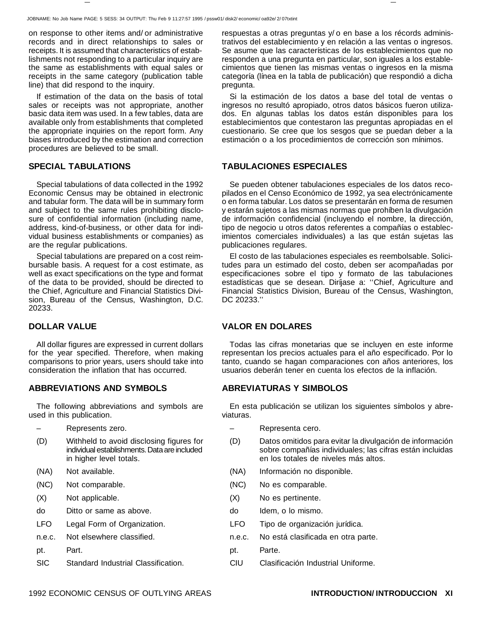on response to other items and/ or administrative records and in direct relationships to sales or receipts. It is assumed that characteristics of establishments not responding to a particular inquiry are the same as establishments with equal sales or receipts in the same category (publication table line) that did respond to the inquiry.

If estimation of the data on the basis of total sales or receipts was not appropriate, another basic data item was used. In a few tables, data are available only from establishments that completed the appropriate inquiries on the report form. Any biases introduced by the estimation and correction procedures are believed to be small.

Special tabulations of data collected in the 1992 Economic Census may be obtained in electronic and tabular form. The data will be in summary form and subject to the same rules prohibiting disclosure of confidential information (including name, address, kind-of-business, or other data for individual business establishments or companies) as are the regular publications.

Special tabulations are prepared on a cost reimbursable basis. A request for a cost estimate, as well as exact specifications on the type and format of the data to be provided, should be directed to the Chief, Agriculture and Financial Statistics Division, Bureau of the Census, Washington, D.C. 20233.

All dollar figures are expressed in current dollars for the year specified. Therefore, when making comparisons to prior years, users should take into consideration the inflation that has occurred.

### **ABBREVIATIONS AND SYMBOLS ABREVIATURAS Y SIMBOLOS**

The following abbreviations and symbols are used in this publication.

- 
- (D) Withheld to avoid disclosing figures for individual establishments. Data are included in higher level totals.
- 
- 
- 
- do Ditto or same as above. do Idem, o lo mismo.
- 
- 
- pt. Part. **Part.** Parte.
- SIC Standard Industrial Classification. CIU Clasificación Industrial Uniforme.

respuestas a otras preguntas y/ o en base a los récords administrativos del establecimiento y en relación a las ventas o ingresos. Se asume que las características de los establecimientos que no responden a una pregunta en particular, son iguales a los establecimientos que tienen las mismas ventas o ingresos en la misma categoría (línea en la tabla de publicación) que respondió a dicha pregunta.

Si la estimación de los datos a base del total de ventas o ingresos no resultó apropiado, otros datos básicos fueron utilizados. En algunas tablas los datos están disponibles para los establecimientos que contestaron las preguntas apropiadas en el cuestionario. Se cree que los sesgos que se puedan deber a la estimación o a los procedimientos de corrección son mínimos.

### **SPECIAL TABULATIONS TABULACIONES ESPECIALES**

Se pueden obtener tabulaciones especiales de los datos recopilados en el Censo Económico de 1992, ya sea electrónicamente o en forma tabular. Los datos se presentarán en forma de resumen y estarán sujetos a las mismas normas que prohíben la divulgación de información confidencial (incluyendo el nombre, la dirección, tipo de negocio u otros datos referentes a compañías o establecimientos comerciales individuales) a las que están sujetas las publicaciones regulares.

El costo de las tabulaciones especiales es reembolsable. Solicitudes para un estimado del costo, deben ser acompañadas por especificaciones sobre el tipo y formato de las tabulaciones estadísticas que se desean. Diríjase a: ''Chief, Agriculture and Financial Statistics Division, Bureau of the Census, Washington, DC 20233.''

### **DOLLAR VALUE VALOR EN DOLARES**

Todas las cifras monetarias que se incluyen en este informe representan los precios actuales para el año especificado. Por lo tanto, cuando se hagan comparaciones con años anteriores, los usuarios deberán tener en cuenta los efectos de la inflación.

En esta publicación se utilizan los siguientes símbolos y abreviaturas.

- Represents zero. Representa cero.
	- (D) Datos omitidos para evitar la divulgación de información sobre compañías individuales; las cifras están incluidas en los totales de niveles más altos.
- (NA) Not available. (NA) Información no disponible.
- (NC) Not comparable. (NC) No es comparable.
- (X) Not applicable. (X) No es pertinente.
	-
- LFO Legal Form of Organization. LFO Tipo de organización jurídica.
- n.e.c. Not elsewhere classified. n.e.c. No está clasificada en otra parte.
	-
	-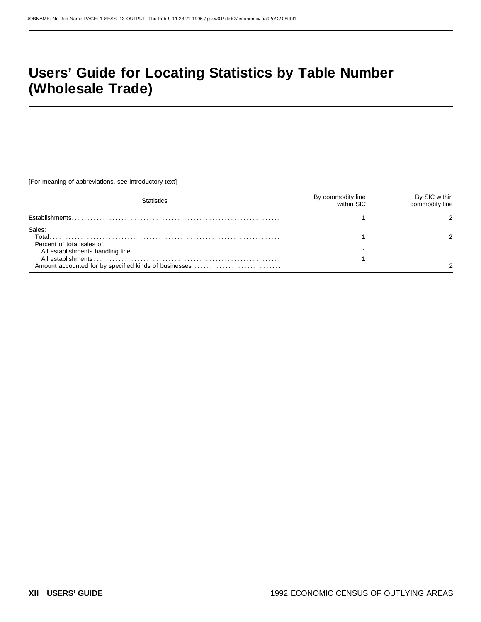# **Users' Guide for Locating Statistics by Table Number (Wholesale Trade)**

[For meaning of abbreviations, see introductory text]

| Statistics                                                                                              | By commodity line | By SIC within<br>commodity line |
|---------------------------------------------------------------------------------------------------------|-------------------|---------------------------------|
|                                                                                                         |                   |                                 |
| Sales:<br>Total.<br>Percent of total sales of:<br>Amount accounted for by specified kinds of businesses |                   |                                 |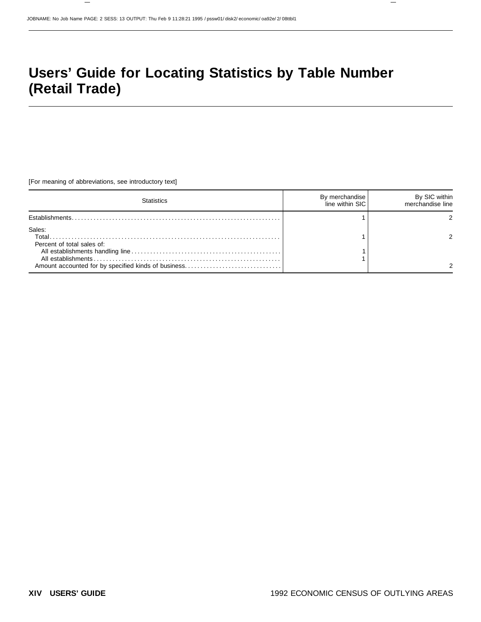# **Users' Guide for Locating Statistics by Table Number (Retail Trade)**

[For meaning of abbreviations, see introductory text]

| statietice                                     | By merchandise<br>line within SIC | By SIC within<br>merchandise line |
|------------------------------------------------|-----------------------------------|-----------------------------------|
|                                                |                                   |                                   |
| Sales:<br>Total.<br>Percent of total sales of: |                                   |                                   |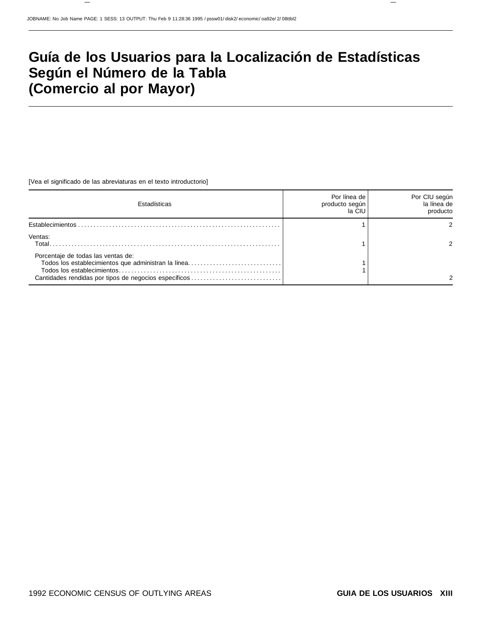# **Guía de los Usuarios para la Localización de Estadísticas Según el Número de la Tabla (Comercio al por Mayor)**

[Vea el significado de las abreviaturas en el texto introductorio]

| Estadísticas                                                                                                                                       | Por línea de<br>producto según<br>la CIU | Por CIU según<br>la línea de<br>producto |
|----------------------------------------------------------------------------------------------------------------------------------------------------|------------------------------------------|------------------------------------------|
|                                                                                                                                                    |                                          |                                          |
| Ventas:<br>Total.                                                                                                                                  |                                          |                                          |
| Porcentaje de todas las ventas de:<br>Todos los establecimientos que administran la línea<br>Cantidades rendidas por tipos de negocios específicos |                                          |                                          |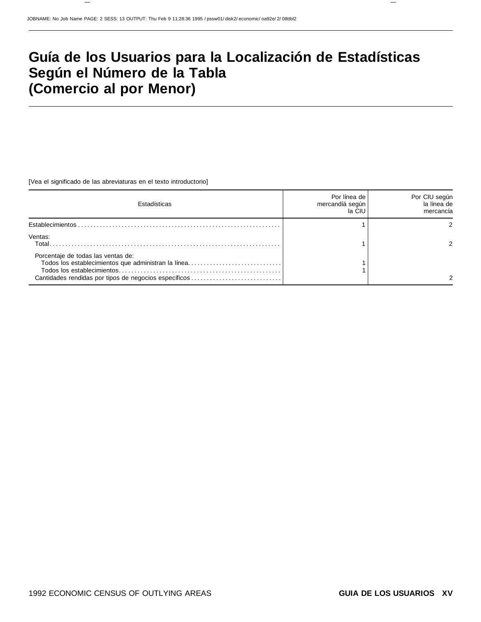# **Guía de los Usuarios para la Localización de Estadísticas Según el Número de la Tabla (Comercio al por Menor)**

[Vea el significado de las abreviaturas en el texto introductorio]

| <b>Estadísticas</b>                                                                                                                                | Por línea de<br>mercandíá según<br>la CIU | Por CIU según<br>la línea de<br>mercancía |
|----------------------------------------------------------------------------------------------------------------------------------------------------|-------------------------------------------|-------------------------------------------|
|                                                                                                                                                    |                                           |                                           |
| Ventas:<br>Total.                                                                                                                                  |                                           |                                           |
| Porcentaje de todas las ventas de:<br>Todos los establecimientos que administran la línea<br>Cantidades rendidas por tipos de negocios específicos |                                           |                                           |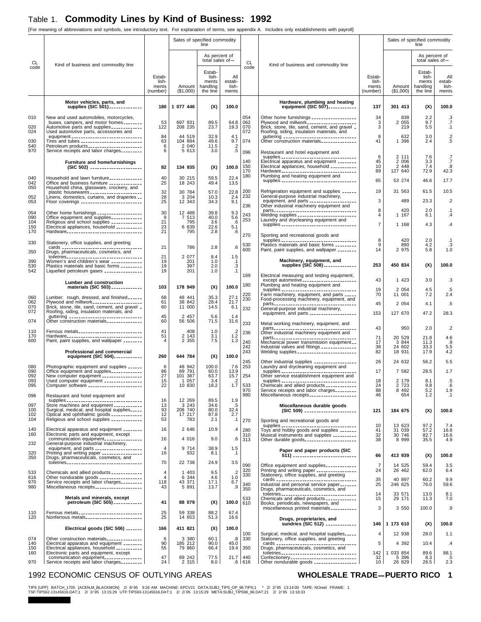### Table 1. **Commodity Lines by Kind of Business: 1992**

[For meaning of abbreviations and symbols, see introductory text. For explanation of terms, see appendix A. Includes only establishments with payroll]

|                   |                                                                                                                                            |                                      | Sales of specified commodity | line                                      |                                       |                   |                                                                                                                                           |                                      | Sales of specified commodity | line                                   |                                 |
|-------------------|--------------------------------------------------------------------------------------------------------------------------------------------|--------------------------------------|------------------------------|-------------------------------------------|---------------------------------------|-------------------|-------------------------------------------------------------------------------------------------------------------------------------------|--------------------------------------|------------------------------|----------------------------------------|---------------------------------|
| CL                | Kind of business and commodity line                                                                                                        |                                      |                              | As percent of<br>total sales of-          |                                       | <b>CL</b>         | Kind of business and commodity line                                                                                                       |                                      |                              | As percent of<br>total sales of $-$    |                                 |
| code              |                                                                                                                                            |                                      |                              | Estab-                                    |                                       | code              |                                                                                                                                           |                                      |                              | Estab-                                 |                                 |
|                   |                                                                                                                                            | Estab-<br>lish-<br>ments<br>(number) | Amount  <br>(\$1,000)        | lish-<br>ments<br>handling<br>the line    | All<br>estab-<br>lish-<br>ments       |                   |                                                                                                                                           | Estab-<br>lish-<br>ments<br>(number) | Amount<br>(\$1,000)          | lish-<br>ments<br>handling<br>the line | All<br>estab-<br>lish-<br>ments |
|                   | Motor vehicles, parts, and<br>supplies (SIC 501) _____________                                                                             | 180                                  | 1 077 446                    | (X)                                       | 100.0                                 |                   | Hardware, plumbing and heating<br>equipment (SIC 507) ____________                                                                        | 137                                  | 301 413                      | (X)                                    | 100.0                           |
| 010               | New and used automobiles, motorcycles,<br>buses, campers, and motor homes                                                                  | 53                                   | 697 931                      | 89.5                                      | 64.8                                  | 054<br>062        |                                                                                                                                           | 34<br>3                              | 838<br>2 0 5 5               | 2.2<br>9.7                             | .3<br>.7                        |
| 020<br>024        | Automotive parts and supplies ____________<br>Used automotive parts, accessories and                                                       | 122                                  | 208 235                      | 23.7                                      | 19.3                                  | 070<br>072        | Roofing, siding, insulation materials, and                                                                                                | 3                                    | 219                          | 5.5                                    | $\cdot$ 1                       |
| 030<br>540        | Petroleum products______________________                                                                                                   | 84<br>63<br>6                        | 44 519<br>104 894<br>2 040   | 32.9<br>49.6<br>11.5                      | 4.1<br>9.7                            | 074               |                                                                                                                                           | 8<br>41                              | 632<br>1 396                 | 3.0<br>2.4                             | $.2\phantom{0}$<br>.5           |
| 970               | Service receipts and labor charges                                                                                                         | 6                                    | 5 613                        | 3.0                                       | $\frac{.2}{.5}$                       | 096               | Restaurant and hotel equipment and                                                                                                        | 6                                    |                              |                                        |                                 |
|                   | Furniture and homefurnishings                                                                                                              | 82                                   | 134 935                      | (X)                                       | 100.0                                 | 140<br>150        | supplies _________________________________<br>Electrical apparatus and equipment ________<br>Electrical appliances, household ___________ | 45<br>10                             | 2 111<br>2 0 0 6<br>2 4 4 8  | 7.6<br>3.3<br>7.4                      | .7<br>$\cdot$<br>.8             |
| 040               | Household and lawn furniture_____________                                                                                                  | 40                                   | 30 215                       | 59.5                                      | 22.4                                  | 170<br>180        | Hardware---------------------------------<br>Plumbing and heating equipment and                                                           | 89                                   | 127 640                      | 72.9                                   | 42.3                            |
| 042<br>050        | Office and business furniture _____________<br>Household china, glassware, crockery, and                                                   | 25                                   | 18 243                       | 49.4                                      | 13.5                                  |                   | supplies __________________________________                                                                                               | 65                                   | 53 274                       | 46.6                                   | 17.7                            |
| 052               | plastic housewares ______________________<br>Linens, domestics, curtains, and draperies __<br>Floor coverings ____________________________ | 32<br>$\frac{28}{25}$                | 30 784<br>3 204              | 57.0<br>10.3                              | 22.8<br>$\frac{2.4}{9.1}$             | 200<br>232        | Refrigeration equipment and supplies ______<br>General-purpose industrial machinery,                                                      | 19                                   | 31 563                       | 61.5                                   | 10.5                            |
| 053               |                                                                                                                                            |                                      | 12 343                       | 34.3                                      |                                       | 236               | equipment, and parts ___________________<br>Other industrial machinery equipment and                                                      | 3<br>8                               | 489<br>420                   | 23.3<br>2.0                            | $.2\phantom{0}$<br>.1           |
| 054<br>090<br>104 | Other home furnishings _________________<br>Office equipment and supplies _____________                                                    | 30<br>9<br>21                        | 12 488<br>7 513              | 39.8<br>40.0                              | 9.3<br>5.6                            | 243<br>253        | Welding supplies ________________________<br>Laundry and drycleaning equipment and<br>supplies ---------------------------------          |                                      | 1 167                        | 6.1                                    | $\cdot$ <sub>4</sub>            |
| 150<br>170        | Religious and school supplies ____________<br>Electrical appliances, household ___________<br>Hardware                                     | 23<br>21                             | 795<br>6 839<br>795          | 3.6<br>22.6<br>2.8                        | .6<br>5.1<br>.6                       |                   |                                                                                                                                           | $\overline{7}$                       | 1 168                        | 4.3                                    | $\cdot$ <sub>4</sub>            |
| 330               | Stationery, office supplies, and greeting                                                                                                  |                                      |                              |                                           |                                       | 270               | Sporting and recreational goods and<br>supplies ___________________________________                                                       | 8                                    | 420                          | 2.0                                    | $\cdot$ 1                       |
| 350               | Drugs, pharmaceuticals, cosmetics, and                                                                                                     | 21                                   | 786                          | 2.8                                       | $.6\,$                                | 530<br>600        | Plastics materials and basic forms _________<br>Paint, paint supplies, and wallpaper ________                                             | 9<br>14                              | 890<br>2 975                 | 4.2<br>5.8                             | $\frac{.3}{1.0}$                |
| 390               | toiletries <sub>---------------------------------</sub><br>Women's and children's wear ____________                                        | 21<br>19<br>19                       | 2 077<br>201<br>397          | 8.4<br>$1.0$                              | 1.5<br>$\frac{1}{3}$<br>$\frac{3}{1}$ |                   | Machinery, equipment, and<br>supplies (SIC 508)---------------                                                                            | 253                                  | 450 834                      | (X)                                    | 100.0                           |
| 530<br>542        | Plastics materials and basic forms _________<br>Liquefied petroleum gases _______________                                                  | 19                                   | 201                          | 2.0<br>1.0                                |                                       | 169               | Electrical measuring and testing equipment,                                                                                               |                                      |                              |                                        |                                 |
|                   | Lumber and construction<br>materials (SIC 503) ____________                                                                                | 103                                  | 178 949                      | (X)                                       | 100.0                                 | 180               | except automotive_______________________<br>Plumbing and heating equipment and                                                            | 43                                   | 1 4 2 3                      | 3.0                                    | .3                              |
| 060               | Lumber: rough, dressed, and finished______                                                                                                 | 68                                   | 48 441                       | 35.3                                      | 27.1                                  | 220<br>230        | supplies ___________________________________<br>Farm machinery, equipment, and parts _____<br>Food-processing machinery, equipment, and   | 19<br>70                             | 2 0 5 4<br>11 001            | 4.5<br>7.2                             | .5<br>2.4                       |
| 062<br>070        | Plywood and millwork____________________<br>Brick, stone, tile, sand, cement, and gravel _                                                 | 61<br>60                             | 38 842<br>11 000             | 28.4<br>14.5                              | 21.7<br>6.1                           | 232               | General-purpose industrial machinery,                                                                                                     | 45                                   | 2 0 5 4                      | 4.1                                    | .5                              |
| 072<br>074        | Roofing, siding, insulation materials, and<br>guttering ________________________________<br>Other construction materials______________     | 45<br>60                             | 2 4 5 7<br>56 506            | 5.6<br>71.5                               | 1.4<br>31.6                           |                   | equipment, and parts ___________________                                                                                                  | 153                                  | 127 670                      | 47.2                                   | 28.3                            |
| 110               | Ferrous metals                                                                                                                             | 41                                   | 408                          | 1.0                                       |                                       | 233               | Metal working machinery, equipment, and                                                                                                   | 43                                   | 950                          | 2.0                                    | $.2\phantom{0}$                 |
| 170<br>600        | Hardware_________________________________<br>Paint, paint supplies, and wallpaper _______                                                  | 51<br>$\overline{\mathbf{4}}$        | 2 143<br>2 3 5 5             | 3.1<br>7.5                                | 1.2<br>1.3                            | 236<br>240        | Other industrial machinery equipment and<br>Mechanical power transmission equipment                                                       | 71<br>17                             | 20 529<br>3 8 4 4            | 21.8<br>11.3                           | 4.6<br>.9                       |
|                   | Professional and commercial                                                                                                                |                                      |                              |                                           |                                       | 242<br>243        | Industrial valves and fittings ______________<br>Welding supplies _________________________                                               | 38<br>82                             | 24 602<br>18 931             | 33.3<br>17.9                           | $\frac{5.5}{4.2}$               |
|                   | equipment (SIC 504) ___________                                                                                                            | 260                                  | 644 784                      | (X)                                       | 100.0                                 | 245               | Other industrial supplies _________________                                                                                               | 26                                   | 24 632                       | 56.2                                   | 5.5                             |
| 080<br>090<br>092 | Photographic equipment and supplies ______<br>Office equipment and supplies<br>New computer equipment ________________                     | 6<br>86<br>$\frac{5}{27}$            | 48 942<br>89 791<br>101 387  | 100.0<br>60.0<br>63.7                     | 7.6<br>13.9<br>15.7                   | 253<br>254        | Laundry and drycleaning equipment and<br>supplies __________________________________<br>Other service establishment equipment and         | 17                                   | 7 582                        | 28.5                                   | 1.7                             |
| 093<br>095        | Used computer equipment _______________<br>computer software ______________________                                                        | 15<br>22                             | 1 057<br>10 830              | 3.4<br>18.2                               | $1.7^{2}$                             | 533               | supplies __________________________________<br>Chemicals and allied products ____________                                                 | 18<br>24                             | 2 179<br>2 I 23              | 8.1<br>9.8                             | .5<br>.6                        |
| 096               | Restaurant and hotel equipment and                                                                                                         |                                      |                              |                                           |                                       | 970<br>980        | Service receipts and labor charges<br>Miscellaneous receipts___________________                                                           | 88<br>46                             | 8 4 9 2<br>654               | $5.2$<br>1.2                           | 1.9<br>$\cdot$ 1                |
| 097<br>100        | supplies __________________________________<br>Store machines and equipment ___________<br>Surgical, medical, and hospital supplies_____   | 16<br>13<br>93                       | 12 269<br>3 2 4 3<br>208 740 | 89.5<br>34.6<br>80.0                      | 1.9<br>.5<br>32.4                     |                   | Miscellaneous durable goods                                                                                                               |                                      |                              |                                        |                                 |
| 102<br>104        | Optical and ophthalmic goods ____________<br>Religious and school supplies ____________                                                    | 12<br>53                             | 17 217<br>783                | 87.8<br>2.1                               | 2.7<br>$\cdot$ 1                      | 270               | (SIC 509) _______________________                                                                                                         | 121                                  | 184 675                      | (X)                                    | 100.0                           |
| 140               | Electrical apparatus and equipment ________                                                                                                | 16                                   | 2 646                        | 10.9                                      | $\cdot$                               | 280               | Sporting and recreational goods and<br>supplies __________________________________<br>Toys and hobby goods and supplies _______           | 10<br>41                             | 13 623<br>31 039             | 97.2<br>57.2                           | $7.4$<br>16.8                   |
| 160               | Electronic parts and equipment, except<br>communication equipment                                                                          | 16                                   | 4 0 16                       | 9.0                                       | $.6\,$                                | 310<br>313        | Musical instruments and supplies _________<br>Other durable goods                                                                         | 32<br>38                             | 30 746<br>8 9 9 9            | 82.7<br>35.5                           | 16.6<br>4.9                     |
| 232<br>320        | General-purpose industrial machinery,<br>equipment, and parts ____________________<br>Printing and writing paper ________________          | $\overline{4}$<br>16                 | 9 7 1 4<br>932               | 38.9<br>8.1                               | 1.5<br>.1                             |                   | Paper and paper products (SIC                                                                                                             |                                      |                              |                                        |                                 |
| 350               | Drugs, pharmaceuticals, cosmetics, and<br>toiletries <sub>----------------------------------</sub>                                         | 70                                   | 22 738                       | 24.9                                      | 3.5                                   |                   | 511) ______________________________                                                                                                       | 66                                   | 413 939                      | (X)                                    | 100.0                           |
| 533               | Chemicals and allied products ____________                                                                                                 | 4                                    | 1 403                        | $\begin{array}{c} 9.5 \\ 4.6 \end{array}$ | $\frac{2}{3}$                         | 090<br>320<br>330 | Office equipment and supplies<br>Printing and writing paper ________________<br>Stationery, office supplies, and greeting                 | $\overline{7}$<br>24                 | 14 525<br>26 462             | 59.4<br>62.0                           | 3.5<br>6.4                      |
| 616<br>970<br>980 | Other nondurable goods _________________<br>Service receipts and labor charges<br>Miscellaneous receipts                                   | $\overline{4}$<br>118<br>43          | 6 344<br>43 371<br>5 8 9 1   | 17.1<br>13.7                              | 1.0<br>6.7<br>.9                      | 340               | cards<br>Industrial and personal service paper_______                                                                                     | 35<br>25                             | 40 897<br>246 625            | 60.2<br>76.0                           | 9.9<br>59.6                     |
|                   | Metals and minerals, except                                                                                                                |                                      |                              |                                           |                                       | 350               | Drugs, pharmaceuticals, cosmetics, and<br>toiletries <sub>---------------------------------</sub>                                         | 14<br>15                             | 33 571                       | 13.0                                   | 8.1                             |
|                   | petroleum (SIC 505) ___________                                                                                                            | 41                                   | 88 079                       | (X)                                       | 100.0                                 | 533<br>610        | Chemicals and allied products ____________<br>Books, periodicals, newspapers, and<br>miscellaneous printed materials __________           | 3                                    | 29 171<br>3 5 5 0            | 11.3<br>100.0                          | 7.0<br>.9                       |
| 110<br>120        | Ferrous metals___________________________<br>Nonferrous metals________________________                                                     | 25<br>25                             | 59 338<br>14 653             | 88.2<br>51.3                              | 67.4<br>16.6                          |                   | Drugs, proprietaries, and                                                                                                                 |                                      |                              |                                        |                                 |
|                   | Electrical goods (SIC 506)                                                                                                                 | 166                                  | 411 821                      | (X)                                       | 100.0                                 | 100               | sundries (SIC 512)<br>Surgical, medical, and hospital supplies                                                                            | 146<br>4                             | 1 173 610<br>12 938          | (X)<br>28.0                            | 100.0<br>1.1                    |
| 074<br>140        | Other construction materials<br>Electrical apparatus and equipment ________                                                                | 6<br>90                              | 3 3 8 0<br>185 212           | 60.1<br>90.0                              | 8.<br>45.0                            | 330               | Stationery, office supplies, and greeting                                                                                                 | 5                                    | 4 3 9 2                      | 10.4                                   | $\mathcal{A}$                   |
| 150<br>160        | Electrical appliances, household __________<br>Electronic parts and equipment, except                                                      | 55                                   | 79 860                       | 66.4                                      | 19.4                                  | 350               | Drugs, pharmaceuticals, cosmetics, and<br>toiletries_________________________________                                                     | 142                                  | 1 033 854                    | 89.6                                   | 88.1                            |
| 970               |                                                                                                                                            | 47<br>24                             | 89 242<br>2 3 1 5            | 77.5<br>8.0                               | 21.7                                  | 440<br>$.6$ 616   |                                                                                                                                           | 32<br>10 <sup>°</sup>                | 5 3 9 6<br>26 829            | 8.3<br>26.5                            | $.5$<br>2.3                     |

#### 1992 ECONOMIC CENSUS OF OUTLYING AREAS **WHOLESALE TRADE-PUERTO RICO** 1

TIPS [UPF] BATCH\_1705 [ACEN,M\_BLACKMON] 2/8/95 9:26 AM MACHINE: EPCV21 DATA:SUBJ\_TIPS\_OP\_96.TIPS;1 \* 2/2/95 13:14:00 TAPE: NOreel FRAME: 1<br>TSF:TIPS92-13145616.DAT;1 2/2/95 13:15:29 UTF:TIPS93-13145616.DAT;1 2/2/95 13:15:29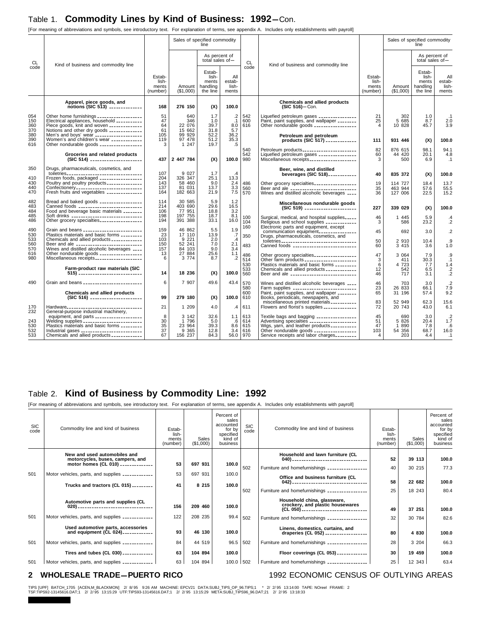### Table 1. Commodity Lines by Kind of Business: 1992-Con.

[For meaning of abbreviations and symbols, see introductory text. For explanation of terms, see appendix A. Includes only establishments with payroll]

|                                 |                                                                                                                                                                                                                                                                              |                                       | Sales of specified commodity                   | line                                             |                                           |                                 |                                                                                                                                                                                                                            |                                      | Sales of specified commodity               | line                                             |                                                   |
|---------------------------------|------------------------------------------------------------------------------------------------------------------------------------------------------------------------------------------------------------------------------------------------------------------------------|---------------------------------------|------------------------------------------------|--------------------------------------------------|-------------------------------------------|---------------------------------|----------------------------------------------------------------------------------------------------------------------------------------------------------------------------------------------------------------------------|--------------------------------------|--------------------------------------------|--------------------------------------------------|---------------------------------------------------|
| CL                              | Kind of business and commodity line                                                                                                                                                                                                                                          |                                       |                                                | As percent of<br>total sales of $-$              |                                           | CL                              | Kind of business and commodity line                                                                                                                                                                                        |                                      |                                            | As percent of<br>total sales of $-$              |                                                   |
| code                            |                                                                                                                                                                                                                                                                              | Estab-<br>lish-<br>ments<br>(number)  | Amount<br>(\$1,000)                            | Estab-<br>lish-<br>ments<br>handling<br>the line | All<br>estab-<br>lish-<br>ments           | code                            |                                                                                                                                                                                                                            | Estab-<br>lish-<br>ments<br>(number) | Amount<br>(\$1,000)                        | Estab-<br>lish-<br>ments<br>handling<br>the line | All<br>estab-<br>lish-<br>ments                   |
|                                 | Apparel, piece goods, and<br>$notions (SIC 513)$                                                                                                                                                                                                                             | 168                                   | 276 150                                        | (X)                                              | 100.0                                     |                                 | Chemicals and allied products<br>$(SIC 516)$ -Con.                                                                                                                                                                         |                                      |                                            |                                                  |                                                   |
| 054<br>150<br>360<br>370<br>380 | Other home furnishings __________________<br>Electrical appliances, household __________<br>Piece goods, knit and woven _____________<br>Notions and other dry goods _____________<br>Men's and boys' wear ___________________                                               | 51<br>47<br>64<br>61<br>105           | 640<br>346<br>22 076<br>15 662<br>99 929       | 1.7<br>1.0<br>39.7<br>31.8<br>52.2               | $.2\,$<br>$\cdot$ 1<br>8.0<br>5.7<br>36.2 | 542<br>600<br>616               | Liquefied petroleum gases _______________<br>Paint, paint supplies, and wallpaper ________<br>Other nondurable goods _________________<br>Petroleum and petroleum                                                          | 21<br>25<br>$\overline{4}$           | 302<br>5 685<br>10 828                     | 1.0<br>8.7<br>45.7                               | .1<br>2.0<br>3.9                                  |
| 390<br>616                      | Women's and children's wear ____________<br>Other nondurable goods _________________                                                                                                                                                                                         | 119<br>3                              | 97 478<br>1 247                                | 51.2<br>19.7                                     | 35.3<br>.5                                | 540<br>542                      | products (SIC 517) ____________<br>Petroleum products                                                                                                                                                                      | 111<br>82                            | 931 446<br>876 615<br>44 420               | (X)<br>98.1<br>20.1                              | 100.0<br>94.1                                     |
|                                 | Groceries and related products<br>(SIC 514) _______________________                                                                                                                                                                                                          | 437                                   | 2 447 784                                      | (X)                                              | 100.0                                     | 980                             | Liquefied petroleum gases _______________<br>Miscellaneous receipts                                                                                                                                                        | 60<br>3                              | 500                                        | 6.9                                              | 4.8<br>.1                                         |
| 350<br>410                      | Drugs, pharmaceuticals, cosmetics, and<br>toiletries <sub>----------------------------------</sub><br>Frozen foods, packaged _________________                                                                                                                               | 107<br>204                            | 9 0 27<br>326 347                              | 1.7<br>25.1                                      | $\cdot$<br>13.3                           |                                 | Beer, wine, and distilled<br>beverages (SIC 518)                                                                                                                                                                           | 40                                   | 835 372                                    | (X)                                              | 100.0                                             |
| 430<br>440<br>470               | Poultry and poultry products ______________<br>Confectionery _____________________________<br>Fresh fruits and vegetables ______________                                                                                                                                     | 143<br>137<br>164                     | 58 460<br>81 031<br>182 663                    | 9.0<br>13.7<br>21.9                              | 2.4<br>3.3<br>7.5                         | 486<br>560<br>570               | Other grocery specialties_________________<br>Beer and ale _____________________________<br>Wines and distilled alcoholic beverages ____                                                                                   | 19<br>35<br>36                       | 114 727<br>463 944<br>127 006              | 18.4<br>57.6<br>22.5                             | 13.7<br>55.5<br>15.2                              |
| 482<br>483                      | Bread and baked goods _________________<br>Canned foods ___________________________                                                                                                                                                                                          | 114<br>214                            | 30 585<br>403 690                              | 5.9<br>29.6                                      | 1.2<br>16.5                               |                                 | Miscellaneous nondurable goods<br>(SIC 519) _______________________                                                                                                                                                        | 227                                  | 339 029                                    | (X)                                              | 100.0                                             |
| 484<br>485<br>486               | Food and beverage basic materials ________<br>Soft drinks _______________________________<br>Other grocery specialties                                                                                                                                                       | 106<br>198<br>194                     | 77 951<br>197 755<br>391 388                   | 18.8<br>18.7<br>33.1                             | 3.2<br>8.1<br>16.0                        | 100<br>104                      | Surgical, medical, and hospital supplies<br>Religious and school supplies ____________                                                                                                                                     | 46<br>3                              | 1 4 4 5<br>586                             | 5.9<br>23.2                                      | .4<br>$\cdot$ .2                                  |
| 490<br>530                      | Grain and beans __________________________<br>Plastics materials and basic forms _________                                                                                                                                                                                   | 159<br>23                             | 46 862<br>17 110                               | 5.5<br>13.9                                      | 1.9<br>.7                                 | 160<br>350                      | Electronic parts and equipment, except<br>communication equipment                                                                                                                                                          | 45                                   | 692                                        | 3.0                                              | $\cdot$ .2                                        |
| 533<br>560<br>570               | Chemicals and allied products ____________<br>Beer and ale _____________________________<br>Wines and distilled alcoholic beverages ____                                                                                                                                     | 103<br>150<br>157                     | 9 2 2 1<br>52 241<br>84 103                    | 2.0<br>7.0<br>9.0                                | $\overline{.4}$<br>2.1<br>3.4             | 483                             | Canned foods ___________________________                                                                                                                                                                                   | 50<br>60                             | 2 9 1 0<br>3 4 1 5                         | 10.4<br>3.6                                      | .9<br>1.0                                         |
| 616<br>980                      | Other nondurable goods __________________<br>Miscellaneous receipts<br>Farm-product raw materials (SIC                                                                                                                                                                       | 13<br>6                               | 27 884<br>3 7 7 4                              | 25.6<br>8.7                                      | 1.1<br>$\cdot$                            | 486<br>514<br>530<br>533        | Plastics materials and basic forms _________<br>Chemicals and allied products ____________                                                                                                                                 | 47<br>3<br>6<br>12                   | 3 0 6 4<br>411<br>4 723<br>542             | 7.9<br>30.3<br>7.7<br>6.5                        | $.9\,$<br>.1<br>1.4                               |
|                                 | $515)$                                                                                                                                                                                                                                                                       | 14                                    | 18 236                                         | (X)                                              | 100.0                                     | 560                             | Beer and ale _____________________________                                                                                                                                                                                 | 46                                   | 717                                        | 3.1                                              | $\frac{.2}{.2}$                                   |
| 490                             | Grain and beans _________________________<br>Chemicals and allied products                                                                                                                                                                                                   | 6                                     | 7 907                                          | 49.6                                             | 43.4                                      | 570<br>580<br>600               | Wines and distilled alcoholic beverages ____<br>Farm supplies _____________________________<br>Paint, paint supplies, and wallpaper ________                                                                               | 46<br>23<br>65                       | 703<br>26 833<br>31 196                    | 3.0<br>66.1<br>57.4                              | $\cdot$ .2<br>7.9<br>9.2                          |
| 170                             | (SIC 516) _______________________<br>Hardware                                                                                                                                                                                                                                | 99<br>21                              | 279 180<br>1 209                               | (X)<br>4.0                                       | 100.0<br>$\cdot$                          | 610<br>611                      | Books, periodicals, newspapers, and<br>miscellaneous printed materials __________<br>Flowers and florist's supplies _____________                                                                                          | 83<br>72                             | 52 949<br>20 743                           | 62.3<br>43.0                                     | 15.6<br>6.1                                       |
| 232<br>243<br>530<br>532<br>533 | General-purpose industrial machinery,<br>equipment, and parts ____________________<br>Welding supplies _________________________<br>Plastics materials and basic forms ________<br>Industrial gases __________________________<br>Chemicals and allied products ____________ | 8<br>30<br>35<br>$\frac{5}{37}$<br>67 | 3 142<br>1 796<br>23 964<br>9 3 6 5<br>156 237 | 32.6<br>5.0<br>39.3<br>12.8<br>84.3              | 1.1<br>$.6\,$<br>8.6<br>3.4<br>56.0       | 613<br>614<br>615<br>616<br>970 | Textile bags and bagging ________________<br>Advertising specialties ___________________<br>Wigs, yarn, and leather products ___________<br>Other nondurable goods _________________<br>Service receipts and labor charges | 45<br>51<br>47<br>103<br>4           | 690<br>5 8 2 6<br>1 8 9 0<br>54 356<br>203 | 3.0<br>20.4<br>7.8<br>68.7<br>4.4                | .2<br>$1.\overline{7}$<br>.6<br>16.0<br>$\cdot$ 1 |

### Table 2. **Kind of Business by Commodity Line: 1992**

[For meaning of abbreviations and symbols, see introductory text. For explanation of terms, see appendix A. Includes only establishments with payroll]

| <b>SIC</b><br>code | Commodity line and kind of business                              | Estab-<br>lish-<br>ments<br>(number) | Sales<br>(\$1,000) | Percent of<br>sales<br>accounted<br>for by<br>specified<br>kind of<br>business | <b>SIC</b><br>code | Commodity line and kind of business                                                                        | Estab-<br>lish-<br>ments<br>(number) | Sales<br>(\$1,000) | Percent of<br>sales<br>accounted<br>for by<br>specified<br>kind of<br>business |
|--------------------|------------------------------------------------------------------|--------------------------------------|--------------------|--------------------------------------------------------------------------------|--------------------|------------------------------------------------------------------------------------------------------------|--------------------------------------|--------------------|--------------------------------------------------------------------------------|
|                    | New and used automobiles and<br>motorcycles, buses, campers, and |                                      |                    |                                                                                |                    | Household and lawn furniture (CL                                                                           | 52                                   | 39 113             | 100.0                                                                          |
|                    | motor homes (CL 010) _____________                               | 53                                   | 697 931            | 100.0                                                                          | 502                | Furniture and homefurnishings ________________                                                             | 40                                   | 30 215             | 77.3                                                                           |
| 501                | Motor vehicles, parts, and supplies ____________                 | 53                                   | 697 931            | 100.0                                                                          |                    | Office and business furniture (CL                                                                          |                                      |                    |                                                                                |
|                    | Trucks and tractors (CL 015) ________                            | 41                                   | 8 2 1 5            | 100.0                                                                          |                    | 042) -----------------------------------                                                                   | 58                                   | 22 682             | 100.0                                                                          |
|                    |                                                                  |                                      |                    |                                                                                | 502                | Furniture and homefurnishings ________________                                                             | 25                                   | 18 243             | 80.4                                                                           |
|                    | Automotive parts and supplies (CL                                | 156                                  | 209 460            | 100.0                                                                          |                    | Household china, glassware,<br>crockery, and plastic housewares<br>(CL 050) ______________________________ | 49                                   | 37 251             | 100.0                                                                          |
| 501                | Motor vehicles, parts, and supplies ____________                 | 122                                  | 208 235            | 99.4                                                                           | 502                | Furniture and homefurnishings ________________                                                             | 32                                   | 30 784             | 82.6                                                                           |
|                    | Used automotive parts, accessories<br>and equipment (CL 024)     | 93                                   | 46 130             | 100.0                                                                          |                    | Linens, domestics, curtains, and<br>draperies (CL 052) _________________                                   | 80                                   | 4 8 3 0            | 100.0                                                                          |
| 501                | Motor vehicles, parts, and supplies ____________                 | 84                                   | 44 519             | 96.5                                                                           | 502                | Furniture and homefurnishings _________________                                                            | 28                                   | 3 204              | 66.3                                                                           |
|                    | Tires and tubes (CL 030) ____________                            | 63                                   | 104 894            | 100.0                                                                          |                    | Floor coverings (CL 053) ____________                                                                      | 30                                   | 19 459             | 100.0                                                                          |
| 501                | Motor vehicles, parts, and supplies ____________                 | 63                                   | 104 894            | 100.0 502                                                                      |                    | Furniture and homefurnishings ________________                                                             | 25                                   | 12 343             | 63.4                                                                           |

#### **2 WHOLESALE TRADE-PUERTO RICO** 1992 ECONOMIC CENSUS OF OUTLYING AREAS

TIPS [UPF] BATCH\_1705 [ACEN,M\_BLACKMON] 2/8/95 9:26 AM MACHINE: EPCV21 DATA:SUBJ\_TIPS\_OP\_96.TIPS;1 \* 2/2/95 13:14:00 TAPE: NOreel FRAME: 2<br>TSF:TIPS92-13145616.DAT;1 2/2/95 13:15:29 UTF:TIPS93-13145616.DAT;1 2/2/95 13:15:29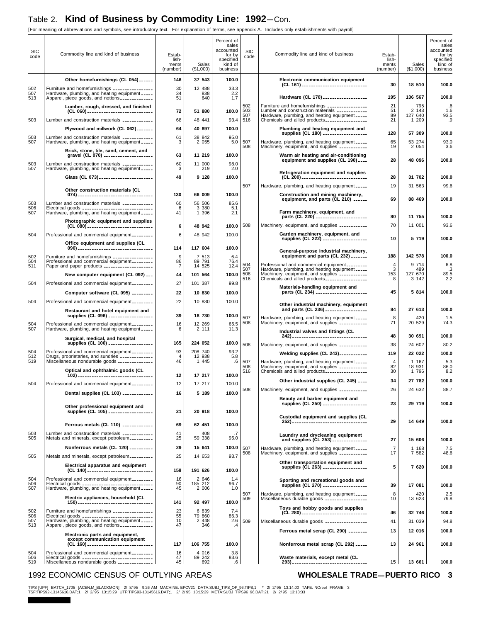### Table 2. Kind of Business by Commodity Line: 1992-Con.

[For meaning of abbreviations and symbols, see introductory text. For explanation of terms, see appendix A. Includes only establishments with payroll]

|                    | modified and controlled and opinions, see introductory text. The explanation or terms, see appendix it. molded only cotabilisments with payron |                                         |                    |                                                                                |                    |                                                                                                                                                      |                                      |                    |                                                                                |
|--------------------|------------------------------------------------------------------------------------------------------------------------------------------------|-----------------------------------------|--------------------|--------------------------------------------------------------------------------|--------------------|------------------------------------------------------------------------------------------------------------------------------------------------------|--------------------------------------|--------------------|--------------------------------------------------------------------------------|
| <b>SIC</b><br>code | Commodity line and kind of business                                                                                                            | Estab-<br>lish-<br>ments<br>(number)    | Sales<br>(\$1,000) | Percent of<br>sales<br>accounted<br>for by<br>specified<br>kind of<br>business | <b>SIC</b><br>code | Commodity line and kind of business                                                                                                                  | Estab-<br>lish-<br>ments<br>(number) | Sales<br>(\$1,000) | Percent of<br>sales<br>accounted<br>for by<br>specified<br>kind of<br>business |
|                    | Other homefurnishings (CL 054) ______                                                                                                          | 146                                     | 37 543             | 100.0                                                                          |                    | Electronic communication equipment                                                                                                                   |                                      |                    |                                                                                |
| 502<br>507         | Furniture and homefurnishings ________________<br>Hardware, plumbing, and heating equipment _____                                              | 30<br>34                                | 12 488<br>838      | 33.3<br>2.2                                                                    |                    | (CL 161) ______________________________<br>Hardware (CL 170) __________________                                                                      | 30<br>195                            | 18 510<br>136 567  | 100.0<br>100.0                                                                 |
| 513                | Apparel, piece goods, and notions ____________<br>Lumber, rough, dressed, and finished                                                         | 51                                      | 640                | 1.7                                                                            | 502                |                                                                                                                                                      | 21                                   | 795                | .6                                                                             |
|                    | (CL 060) ______________________________                                                                                                        | 72                                      | 51 880             | 100.0                                                                          | 503<br>507         | Furniture and homefurnishings ________________<br>Lumber and construction materials _____________<br>Hardware, plumbing, and heating equipment _____ | 51<br>89                             | 2 143<br>127 640   | 1.6<br>93.5                                                                    |
| 503                | Lumber and construction materials ____________                                                                                                 | 68                                      | 48 441             | 93.4                                                                           | 516                | Chemicals and allied products________________                                                                                                        | 21                                   | 1 209              | .9                                                                             |
|                    | Plywood and millwork (CL 062) _______                                                                                                          | 64                                      | 40 897             | 100.0                                                                          |                    | Plumbing and heating equipment and<br>supplies (CL 180) ------------------                                                                           | 128                                  | 57 309             | 100.0                                                                          |
| 503<br>507         | Lumber and construction materials ____________<br>Hardware, plumbing, and heating equipment _____                                              | 61<br>3                                 | 38 842<br>2 0 5 5  | 95.0<br>5.0                                                                    | 507                | Hardware, plumbing, and heating equipment _____                                                                                                      | 65                                   | 53 274             | 93.0                                                                           |
|                    | Brick, stone, tile, sand, cement, and<br>gravel (CL 070) _____________________                                                                 | 63                                      | 11 219             | 100.0                                                                          | 508                | Machinery, equipment, and supplies ___________<br>Warm air heating and air-conditioning                                                              | 19                                   | 2 0 5 4            | 3.6                                                                            |
| 503                | Lumber and construction materials _____________                                                                                                | 60                                      | 11 000             | 98.0                                                                           |                    | equipment and supplies (CL 190) ____                                                                                                                 | 28                                   | 48 096             | 100.0                                                                          |
| 507                | Hardware, plumbing, and heating equipment _____                                                                                                | 3                                       | 219                | 2.0                                                                            |                    | Refrigeration equipment and supplies                                                                                                                 |                                      |                    |                                                                                |
|                    | Glass (CL 073) _______________________                                                                                                         | 49                                      | 9 1 28             | 100.0                                                                          |                    | (CL 200) ______________________________                                                                                                              | 28                                   | 31 702             | 100.0                                                                          |
|                    | Other construction materials (CL                                                                                                               |                                         |                    |                                                                                | 507                | Hardware, plumbing, and heating equipment _____                                                                                                      | 19                                   | 31 563             | 99.6                                                                           |
| 503                | Lumber and construction materials _____________                                                                                                | 130<br>60                               | 66 009<br>56 506   | 100.0<br>85.6                                                                  |                    | Construction and mining machinery,<br>equipment, and parts (CL 210)                                                                                  | 69                                   | 88 469             | 100.0                                                                          |
| 506<br>507         | Electrical goods ______________________________<br>Hardware, plumbing, and heating equipment _____                                             | 6<br>41                                 | 3 3 8 0<br>1 396   | 5.1<br>2.1                                                                     |                    | Farm machinery, equipment, and                                                                                                                       |                                      |                    |                                                                                |
|                    | Photographic equipment and supplies                                                                                                            |                                         |                    |                                                                                |                    | parts (CL 220) ______________________                                                                                                                | 80                                   | 11 755             | 100.0                                                                          |
|                    | (CL 080) _____________________________                                                                                                         | 6                                       | 48 942             | 100.0                                                                          | 508                | Machinery, equipment, and supplies ___________                                                                                                       | 70                                   | 11 001             | 93.6                                                                           |
| 504                | Professional and commercial equipment ________                                                                                                 | 6                                       | 48 942             | 100.0                                                                          |                    | Garden machinery, equipment, and<br>supplies (CL 222) -------------------                                                                            | 10                                   | 5 7 1 9            | 100.0                                                                          |
|                    | Office equipment and supplies (CL                                                                                                              | 114                                     | 117 604            | 100.0                                                                          |                    |                                                                                                                                                      |                                      |                    |                                                                                |
| 502                | Furniture and homefurnishings ________________                                                                                                 | $\boldsymbol{9}$                        | 7 513<br>89 791    | 6.4                                                                            |                    | General-purpose industrial machinery,<br>equipment and parts (CL 232) _______                                                                        | 188                                  | 142 578            | 100.0                                                                          |
| 504<br>511         | Professional and commercial equipment<br>Paper and paper products ____________________                                                         | 86<br>7                                 | 14 525             | 76.4<br>12.4                                                                   | 504<br>507         | Professional and commercial equipment ________<br>Hardware, plumbing, and heating equipment _____                                                    | 4<br>3                               | 9 7 1 4<br>489     | 6.8<br>.3                                                                      |
|                    | New computer equipment (CL 092) ___                                                                                                            | 44                                      | 101 564            | 100.0                                                                          | 508<br>516         |                                                                                                                                                      | 153<br>8                             | 127 670<br>3 142   | 89.5<br>2.2                                                                    |
| 504                | Professional and commercial equipment                                                                                                          | 27                                      | 101 387            | 99.8                                                                           |                    | Materials-handling equipment and                                                                                                                     |                                      |                    |                                                                                |
|                    | Computer software (CL 095) ________                                                                                                            | 22                                      | 10 830             | 100.0                                                                          |                    | parts (CL 234) ______________________                                                                                                                | 45                                   | 5 8 1 4            | 100.0                                                                          |
| 504                | Professional and commercial equipment _________                                                                                                | 22                                      | 10 830             | 100.0                                                                          |                    | Other industrial machinery, equipment                                                                                                                | 84                                   | 27 613             | 100.0                                                                          |
|                    | Restaurant and hotel equipment and<br>supplies (CL 096) __________________                                                                     | 39                                      | 18 730             | 100.0                                                                          | 507                | and parts (CL 236)<br>Hardware, plumbing, and heating equipment _____                                                                                | 8                                    | 420                | 1.5                                                                            |
| 504                | Professional and commercial equipment ________                                                                                                 | 16                                      | 12 269             | 65.5                                                                           | 508                | Machinery, equipment, and supplies ___________                                                                                                       | 71                                   | 20 529             | 74.3                                                                           |
| 507                | Hardware, plumbing, and heating equipment _____<br>Surgical, medical, and hospital                                                             | 6                                       | 2 111              | 11.3                                                                           |                    | Industrial valves and fittings (CL<br>242) ----------------------------------                                                                        | 48                                   | 30 691             | 100.0                                                                          |
|                    | supplies (CL 100) -------------------                                                                                                          | 165                                     | 224 052            | 100.0                                                                          | 508                | Machinery, equipment, and supplies ___________                                                                                                       | 38                                   | 24 602             | 80.2                                                                           |
| 504<br>512         | Professional and commercial equipment<br>Drugs, proprietaries, and sundries _____________                                                      | 93<br>$\overline{4}$                    | 208 740<br>12 938  | 93.2<br>5.8                                                                    |                    | <b>Welding supplies (CL 243)</b> ___________                                                                                                         | 119                                  | 22 022             | 100.0                                                                          |
| 519                | Miscellaneous nondurable goods ______________                                                                                                  | 46                                      | 1 4 4 5            | $.6\,$                                                                         | 507<br>508         | Hardware, plumbing, and heating equipment _____<br>Machinery, equipment, and supplies ___________                                                    | $\overline{4}$<br>82                 | 1 167<br>18 931    | 5.3<br>86.0                                                                    |
|                    | Optical and ophthalmic goods (CL                                                                                                               | 12                                      | 17 217             | 100.0                                                                          | 516                | Chemicals and allied products-----------------                                                                                                       | 30                                   | 1 796              | 8.2                                                                            |
| 504                | Professional and commercial equipment                                                                                                          | 12                                      | 17 217             | 100.0                                                                          |                    | Other industrial supplies (CL 245)                                                                                                                   | 34                                   | 27 782             | 100.0                                                                          |
|                    | Dental supplies (CL 103) ____________                                                                                                          | 16                                      | 5 189              | 100.0                                                                          | 508                | Machinery, equipment, and supplies ___________                                                                                                       | 26                                   | 24 632             | 88.7                                                                           |
|                    | Other professional equipment and                                                                                                               |                                         |                    |                                                                                |                    | Beauty and barber equipment and<br>supplies (CL 250) ___________________                                                                             | 23                                   | 29 719             | 100.0                                                                          |
|                    | supplies (CL 105) --------------------                                                                                                         | 21                                      | 20 918             | 100.0                                                                          |                    | Custodial equipment and supplies (CL                                                                                                                 |                                      |                    |                                                                                |
|                    | Ferrous metals (CL 110) ____________                                                                                                           | 69                                      | 62 451             | 100.0                                                                          |                    |                                                                                                                                                      | 29                                   | 14 649             | 100.0                                                                          |
| 503                | Lumber and construction materials _____________                                                                                                | 41                                      | 408                |                                                                                |                    | Laundry and drycleaning equipment                                                                                                                    |                                      |                    |                                                                                |
| 505                | Metals and minerals, except petroleum_________                                                                                                 | 25                                      | 59 338             | 95.0                                                                           |                    | and supplies (CL 253) --------------                                                                                                                 | 27                                   | 15 606             | 100.0                                                                          |
|                    | Nonferrous metals (CL 120) _________                                                                                                           | 29                                      | 15 641             | 100.0                                                                          | 507<br>508         | Hardware, plumbing, and heating equipment _____<br>Machinery, equipment, and supplies ____________                                                   | 7<br>17                              | 1 1 68<br>7 582    | 7.5<br>48.6                                                                    |
| 505                | Metals and minerals, except petroleum_________                                                                                                 | 25                                      | 14 653             | 93.7                                                                           |                    | Other transportation equipment and                                                                                                                   |                                      |                    |                                                                                |
|                    | Electrical apparatus and equipment<br>(CL 140) ------------------------------                                                                  | 158                                     | 191 626            | 100.0                                                                          |                    | supplies (CL 263) ___________________                                                                                                                | 5                                    | 7 620              | 100.0                                                                          |
| 504<br>506         | Professional and commercial equipment<br>Electrical goods _______________________________                                                      | 16<br>90                                | 2 646<br>185 212   | 1.4<br>96.7                                                                    |                    | Sporting and recreational goods and                                                                                                                  |                                      |                    |                                                                                |
| 507                | Hardware, plumbing, and heating equipment _____                                                                                                | 45                                      | 2 006              | 1.0                                                                            | 507                | supplies (CL 270) ___________________<br>Hardware, plumbing, and heating equipment _____                                                             | 39<br>8                              | 17 081<br>420      | 100.0<br>2.5                                                                   |
|                    | Electric appliances, household (CL                                                                                                             | 141                                     | 92 497             | 100.0                                                                          | 509                | Miscellaneous durable goods _________________                                                                                                        | 10                                   | 13 623             | 79.8                                                                           |
| 502                | Furniture and homefurnishings ________________                                                                                                 | $\begin{array}{c} 23 \\ 55 \end{array}$ | 6 839              | 7.4                                                                            |                    | Toys and hobby goods and supplies<br>(CL 280) ______________________________                                                                         | 46                                   | 32 746             | 100.0                                                                          |
| 506<br>507         |                                                                                                                                                | 10                                      | 79 860<br>2 4 4 8  | 86.3<br>2.6                                                                    | 509                | Miscellaneous durable goods _________________                                                                                                        | 41                                   | 31 039             | 94.8                                                                           |
| 513                | Apparel, piece goods, and notions _____________                                                                                                | 47                                      | 346                | .4                                                                             |                    | Ferrous metal scrap (CL 290) ________                                                                                                                | 13                                   | 12 016             | 100.0                                                                          |
|                    | Electronic parts and equipment,<br>except communication equipment                                                                              |                                         |                    |                                                                                |                    |                                                                                                                                                      |                                      |                    |                                                                                |
| 504                | (CL 160) ______________________________<br>Professional and commercial equipment                                                               | 117<br>16                               | 106 755<br>4 0 16  | 100.0<br>3.8                                                                   |                    | Nonferrous metal scrap (CL 292) _____                                                                                                                | 13                                   | 24 961             | 100.0                                                                          |
| 506<br>519         | Electrical goods ______________________________<br>Miscellaneous nondurable goods _____________                                                | 47<br>45                                | 89 242<br>692      | 83.6<br>.6                                                                     |                    | Waste materials, except metal (CL<br>293) ----------------------------------                                                                         | 15                                   | 13 661             | 100.0                                                                          |
|                    |                                                                                                                                                |                                         |                    |                                                                                |                    |                                                                                                                                                      |                                      |                    |                                                                                |

#### 1992 ECONOMIC CENSUS OF OUTLYING AREAS **WHOLESALE TRADE-PUERTO RICO** 3

TIPS [UPF] BATCH\_1705 [ACEN,M\_BLACKMON] 2/8/95 9:26 AM MACHINE: EPCV21 DATA:SUBJ\_TIPS\_OP\_96.TIPS;1 \* 2/2/95 13:14:00 TAPE: NOreel FRAME: 3<br>TSF:TIPS92-13145616.DAT;1 2/2/95 13:15:29 UTF:TIPS93-13145616.DAT;1 2/2/95 13:15:29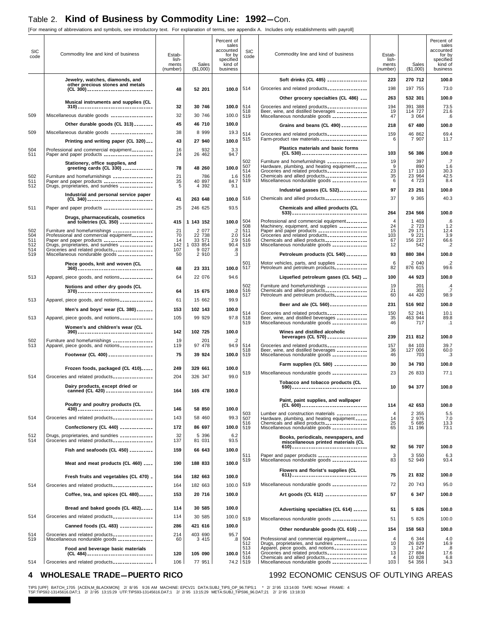### Table 2. Kind of Business by Commodity Line: 1992-Con.

[For meaning of abbreviations and symbols, see introductory text. For explanation of terms, see appendix A. Includes only establishments with payroll]

| <b>SIC</b><br>code | Commodity line and kind of business                                                                                                                  | Estab-<br>lish-<br>ments<br>(number) | Sales<br>(\$1,000)  | Percent of<br>sales<br>accounted<br>for by<br>specified<br>kind of<br>business | <b>SIC</b><br>code       | Commodity line and kind of business                                                                                                                    | Estab-<br>lish-<br>ments<br>(number) | Sales<br>(\$1,000) | Percent of<br>sales<br>accounted<br>for by<br>specified<br>kind of<br>business |
|--------------------|------------------------------------------------------------------------------------------------------------------------------------------------------|--------------------------------------|---------------------|--------------------------------------------------------------------------------|--------------------------|--------------------------------------------------------------------------------------------------------------------------------------------------------|--------------------------------------|--------------------|--------------------------------------------------------------------------------|
|                    | Jewelry, watches, diamonds, and                                                                                                                      |                                      |                     |                                                                                |                          | Soft drinks (CL 485) ________________                                                                                                                  | 223                                  | 270 712            | 100.0                                                                          |
|                    | other precious stones and metals<br>(CL 300) _____________________________                                                                           | 48                                   | 52 201              | 100.0                                                                          | 514                      | Groceries and related products ________________                                                                                                        | 198                                  | 197 755            | 73.0                                                                           |
|                    |                                                                                                                                                      |                                      |                     |                                                                                |                          | Other grocery specialties (CL 486)                                                                                                                     | 263                                  | 532 301            | 100.0                                                                          |
|                    | Musical instruments and supplies (CL                                                                                                                 | 32                                   | 30 746              | 100.0                                                                          | 514                      |                                                                                                                                                        | 194                                  | 391 388            | 73.5                                                                           |
| 509                | Miscellaneous durable goods _________________                                                                                                        | 32                                   | 30 746              | 100.0                                                                          | 518<br>519               | Groceries and related products _______________<br>Beer, wine, and distilled beverages _____________<br>Miscellaneous nondurable goods ________________ | 19<br>47                             | 114 727<br>3 0 6 4 | 21.6<br>.6                                                                     |
|                    | Other durable goods (CL 313) ________                                                                                                                | 45                                   | 46 710              | 100.0                                                                          |                          |                                                                                                                                                        |                                      |                    |                                                                                |
| 509                | Miscellaneous durable goods ________________                                                                                                         | 38                                   | 8 9 9 9             | 19.3                                                                           | 514                      | Grains and beans (CL 490) __________                                                                                                                   | 218                                  | 67 480             | 100.0                                                                          |
|                    | Printing and writing paper (CL 320)                                                                                                                  | 43                                   | 27 940              | 100.0                                                                          | 515                      | Groceries and related products _______________<br>Farm-product raw materials ___________________                                                       | 159<br>6                             | 46 862<br>7 907    | 69.4<br>11.7                                                                   |
| 504                | Professional and commercial equipment                                                                                                                | 16                                   | 932                 | 3.3                                                                            |                          | Plastics materials and basic forms<br>(CL 530) ______________________________                                                                          | 103                                  | 56 386             | 100.0                                                                          |
| 511                | Paper and paper products _____________________                                                                                                       | 24                                   | 26 462              | 94.7                                                                           | 502                      |                                                                                                                                                        | 19                                   | 397                | .7                                                                             |
|                    | Stationery, office supplies, and<br>greeting cards (CL 330) ____________                                                                             | 78                                   | 48 260              | 100.0                                                                          |                          | Furniture and homefurnishings ________________<br>Hardware, plumbing, and heating equipment _____<br>Groceries and related products ________________   | 9<br>23                              | 890<br>17 110      | 1.6<br>30.3                                                                    |
| 502                | Furniture and homefurnishings ________________                                                                                                       | 21                                   | 786                 | 1.6                                                                            | 507<br>514<br>516<br>519 | Chemicals and allied products                                                                                                                          | 35                                   | 23 964             | 42.5                                                                           |
| 511<br>512         |                                                                                                                                                      | 35<br>5                              | 40 897<br>4 3 9 2   | 84.7<br>9.1                                                                    |                          | Miscellaneous nondurable goods ______________                                                                                                          | 6                                    | 4 723              | 8.4                                                                            |
|                    | Industrial and personal service paper                                                                                                                |                                      |                     |                                                                                |                          | Industrial gasses (CL 532) ___________                                                                                                                 | 97                                   | 23 251             | 100.0                                                                          |
|                    | (CL 340) -----------------------------                                                                                                               | 41                                   | 263 648             | 100.0                                                                          | 516                      | Chemicals and allied products <sub>-----------------</sub>                                                                                             | 37                                   | 9 3 6 5            | 40.3                                                                           |
| 511                | Paper and paper products ____________________                                                                                                        | 25                                   | 246 625             | 93.5                                                                           |                          | Chemicals and allied products (CL                                                                                                                      | 264                                  | 234 566            | 100.0                                                                          |
|                    | Drugs, pharmaceuticals, cosmetics<br>and toiletries (CL 350) ______________                                                                          | 415                                  | 1 143 152           | 100.0                                                                          | 504                      | Professional and commercial equipment________                                                                                                          | $\overline{4}$                       | 1 403              | .6                                                                             |
| 502                |                                                                                                                                                      | $\frac{21}{70}$                      | 2 077<br>22 738     | $2.\overline{0}$                                                               | 508                      | Machinery, equipment, and supplies ___________                                                                                                         | 24<br>15                             | 2 7 2 3<br>29 171  | 1.2<br>12.4                                                                    |
| 504<br>511         | Furniture and homefurnishings _______________<br>Professional and commercial equipment _________                                                     | 14                                   | 33 571              | 2.9                                                                            | 511<br>514<br>516        |                                                                                                                                                        | 103<br>67                            | 9 2 2 1<br>156 237 | 3.9<br>66.6                                                                    |
| 512<br>514         | Paper and paper products ___________________<br>Drugs, proprietaries, and sundries ______________<br>Groceries and related products ________________ | 142<br>107                           | 1 033 854<br>9 0 27 | 90.4<br>.8                                                                     | 519                      | Chemicals and allied products_________________<br>Miscellaneous nondurable goods _______________                                                       | 12                                   | 542                | $\cdot$                                                                        |
| 519                | Miscellaneous nondurable goods ______________                                                                                                        | 50                                   | 2 910               | .3                                                                             |                          | Petroleum products (CL 540) ________                                                                                                                   | 93                                   | 880 384            | 100.0                                                                          |
|                    | Piece goods, knit and woven (CL<br>360) ---------------------------------                                                                            | 68                                   | 23 331              | 100.0                                                                          | 501<br>517               | Motor vehicles, parts, and supplies ____________<br>Petroleum and petroleum products                                                                   | 6<br>82                              | 2 040<br>876 615   | $\cdot$<br>99.6                                                                |
| 513                | Apparel, piece goods, and notions _____________                                                                                                      | 64                                   | 22 076              | 94.6                                                                           |                          | Liquefied petroleum gases (CL 542)                                                                                                                     | 100                                  | 44 923             | 100.0                                                                          |
|                    | Notions and other dry goods (CL                                                                                                                      |                                      |                     |                                                                                | 502                      | Furniture and homefurnishings ________________                                                                                                         | 19                                   | 201                | $\cdot$ <sub>4</sub>                                                           |
|                    | 370) -----------------------------------                                                                                                             | 64                                   | 15 675              | 100.0                                                                          | 516<br>517               |                                                                                                                                                        | 21<br>60                             | 302<br>44 420      | .7<br>98.9                                                                     |
| 513                | Apparel, piece goods, and notions _____________                                                                                                      | 61                                   | 15 662              | 99.9                                                                           |                          | Beer and ale (CL 560) _______________                                                                                                                  | 231                                  | 516 902            | 100.0                                                                          |
|                    | Men's and boys' wear (CL 380) _______                                                                                                                | 153                                  | 102 143             | 100.0                                                                          |                          | Groceries and related products ________________                                                                                                        | 150                                  | 52 241             | 10.1                                                                           |
| 513                | Apparel, piece goods, and notions _____________                                                                                                      | 105                                  | 99 929              | 97.8                                                                           | 514<br>518<br>519        | Beer, wine, and distilled beverages ____________                                                                                                       | 35<br>46                             | 463 944<br>717     | 89.8<br>$\cdot$ 1                                                              |
|                    | Women's and children's wear (CL                                                                                                                      | 142                                  | 102 725             |                                                                                |                          | Miscellaneous nondurable goods ______________                                                                                                          |                                      |                    |                                                                                |
|                    |                                                                                                                                                      |                                      |                     | 100.0                                                                          |                          | Wines and distilled alcoholic<br>beverages (CL 570) ________________                                                                                   | 239                                  | 211 812            | 100.0                                                                          |
| 502<br>513         | Furniture and homefurnishings ________________<br>Apparel, piece goods, and notions _____________                                                    | 19<br>119                            | 201<br>97 478       | .2<br>94.9                                                                     | 514                      | Groceries and related products ________________                                                                                                        | 157                                  | 84 103             | 39.7                                                                           |
|                    | Footwear (CL 400) -------------------                                                                                                                | 75                                   | 39 924              | 100.0                                                                          | 518<br>519               | Beer, wine, and distilled beverages ____________<br>Miscellaneous nondurable goods ______________                                                      | 36<br>46                             | 127 006<br>703     | 60.0<br>.3                                                                     |
|                    |                                                                                                                                                      |                                      |                     |                                                                                |                          | Farm supplies (CL 580) --------------                                                                                                                  | 30                                   | 34 793             | 100.0                                                                          |
|                    | Frozen foods, packaged (CL 410)                                                                                                                      | 249                                  | 329 661             | 100.0<br>99.0                                                                  | 519                      | Miscellaneous nondurable goods ______________                                                                                                          | 23                                   | 26 833             | 77.1                                                                           |
| 514                | Groceries and related products ________________                                                                                                      | 204                                  | 326 347             |                                                                                |                          | Tobacco and tobacco products (CL                                                                                                                       |                                      |                    |                                                                                |
|                    | Dairy products, except dried or<br>canned (CL 420) ___________________                                                                               | 164                                  | 165 478             | 100.0                                                                          |                          |                                                                                                                                                        | 10                                   | 94 377             | 100.0                                                                          |
|                    |                                                                                                                                                      |                                      |                     |                                                                                |                          | Paint, paint supplies, and wallpaper                                                                                                                   |                                      |                    |                                                                                |
|                    | Poultry and poultry products (CL<br>430) ----------------------------------                                                                          | 146                                  | 58 850              | 100.0                                                                          |                          | (CL 600) _______________________________                                                                                                               | 114                                  | 42 653             | 100.0                                                                          |
| 514                | Groceries and related products ________________                                                                                                      | 143                                  | 58 460              | 99.3                                                                           | 503<br>507               | Lumber and construction materials ____________<br>Hardware, plumbing, and heating equipment _____                                                      | 4<br>14                              | 2 3 5 5<br>2 975   | 5.5<br>7.0                                                                     |
|                    | Confectionery (CL 440) _____________                                                                                                                 | 172                                  | 86 697              | 100.0                                                                          | 516<br>519               | Chemicals and allied products-----------------<br>Miscellaneous nondurable goods ______________                                                        | 25<br>65                             | 5 685<br>31 196    | 13.3<br>73.1                                                                   |
| 512                | Drugs, proprietaries, and sundries _____________                                                                                                     | 32                                   | 5 3 9 6             | 6.2                                                                            |                          | Books, periodicals, newspapers, and                                                                                                                    |                                      |                    |                                                                                |
| 514                | Groceries and related products ________________                                                                                                      | 137                                  | 81 031              | 93.5                                                                           |                          | miscellaneous printed materials (CL                                                                                                                    | 92                                   | 56 707             | 100.0                                                                          |
|                    | Fish and seafoods (CL 450) _________                                                                                                                 | 159                                  | 66 643              | 100.0                                                                          | 511                      |                                                                                                                                                        | 3                                    | 3 5 5 0            | 6.3                                                                            |
|                    | Meat and meat products (CL 460) ____                                                                                                                 | 190                                  | 188 833             | 100.0                                                                          | 519                      | Paper and paper products ___________________<br>Miscellaneous nondurable goods _______________                                                         | 83                                   | 52 949             | 93.4                                                                           |
|                    |                                                                                                                                                      |                                      |                     |                                                                                |                          | Flowers and florist's supplies (CL                                                                                                                     | 75                                   | 21 832             | 100.0                                                                          |
|                    | Fresh fruits and vegetables (CL 470) .                                                                                                               | 164                                  | 182 663             | 100.0                                                                          |                          |                                                                                                                                                        |                                      |                    |                                                                                |
| 514                | Groceries and related products ________________                                                                                                      | 164                                  | 182 663             | 100.0                                                                          | 519                      | Miscellaneous nondurable goods ______________                                                                                                          | 72                                   | 20 743             | 95.0                                                                           |
|                    | Coffee, tea, and spices (CL 480) ______                                                                                                              | 153                                  | 20 716              | 100.0                                                                          |                          | Art goods (CL 612) _________________                                                                                                                   | 57                                   | 6 347              | 100.0                                                                          |
|                    | Bread and baked goods (CL 482) _____                                                                                                                 | 114                                  | 30 585              | 100.0                                                                          |                          | Advertising specialties (CL 614) ______                                                                                                                | 51                                   | 5 826              | 100.0                                                                          |
| 514                | Groceries and related products ________________                                                                                                      | 114                                  | 30 585              | 100.0                                                                          | 519                      | Miscellaneous nondurable goods ______________                                                                                                          | 51                                   | 5 826              | 100.0                                                                          |
|                    | Canned foods (CL 483) --------------                                                                                                                 | 286                                  | 421 616             | 100.0                                                                          |                          | Other nondurable goods (CL 616)                                                                                                                        | 154                                  | 158 563            | 100.0                                                                          |
| 514                | Groceries and related products ________________                                                                                                      | 214                                  | 403 690             | 95.7                                                                           | 504                      | Professional and commercial equipment                                                                                                                  | 4                                    | 6 344              | 4.0                                                                            |
| 519                | Miscellaneous nondurable goods ______________                                                                                                        | 60                                   | 3 4 1 5             | .8                                                                             | 512<br>513               | Drugs, proprietaries, and sundries _____________                                                                                                       | 10                                   | 26 829<br>1 247    | 16.9                                                                           |
|                    | Food and beverage basic materials<br>(CL 484) _____________________________                                                                          | 120                                  | 105 090             | 100.0                                                                          | 514                      | Apparel, piece goods, and notions _____________<br>Groceries and related products ________________                                                     | 3<br>13                              | 27 884             | .8<br>17.6                                                                     |
| 514                | Groceries and related products ________________                                                                                                      | 106                                  | 77 951              | 74.2 519                                                                       | 516                      | Chemicals and allied products-----------------<br>Miscellaneous nondurable goods ______________                                                        | 4<br>103                             | 10 828<br>54 356   | 6.8<br>34.3                                                                    |

#### **4 WHOLESALE TRADE-PUERTO RICO** 1992 ECONOMIC CENSUS OF OUTLYING AREAS

TIPS [UPF] BATCH\_1705 [ACEN,M\_BLACKMON] 2/8/95 9:26 AM MACHINE: EPCV21 DATA:SUBJ\_TIPS\_OP\_96.TIPS;1 \* 2/2/95 13:14:00 TAPE: NOreel FRAME: 4<br>TSF:TIPS92-13145616.DAT;1 2/2/95 13:15:29 UTF:TIPS93-13145616.DAT;1 2/2/95 13:15:29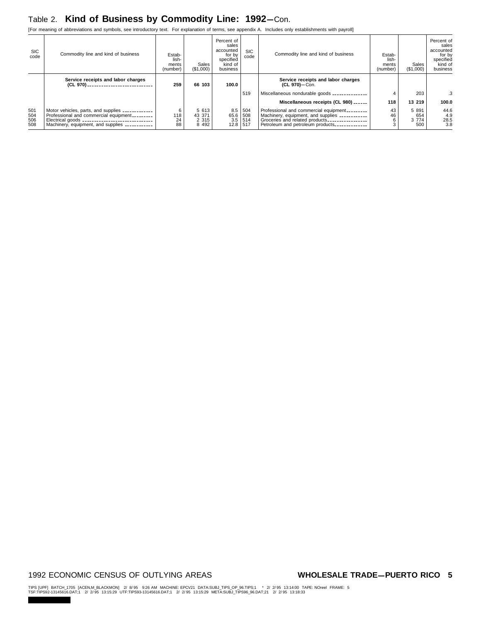### Table 2. Kind of Business by Commodity Line: 1992-Con.

[For meaning of abbreviations and symbols, see introductory text. For explanation of terms, see appendix A. Includes only establishments with payroll]

| <b>SIC</b><br>code       | Commodity line and kind of business                                                                                                                                                            | Estab-<br>lish-<br>ments<br>(number) | Sales<br>(\$1,000)                    | Percent of<br>sales<br>accounted<br>for by<br>specified<br>kind of<br>business | <b>SIC</b><br>code       | Commodity line and kind of business                                                                                                                                                                     | Estab-<br>lish-<br>ments<br>(number) | Sales<br>(\$1,000)               | Percent of<br>sales<br>accounted<br>for by<br>specified<br>kind of<br>business |
|--------------------------|------------------------------------------------------------------------------------------------------------------------------------------------------------------------------------------------|--------------------------------------|---------------------------------------|--------------------------------------------------------------------------------|--------------------------|---------------------------------------------------------------------------------------------------------------------------------------------------------------------------------------------------------|--------------------------------------|----------------------------------|--------------------------------------------------------------------------------|
|                          | Service receipts and labor charges<br>(CL 970) _____________________________                                                                                                                   | 259                                  | 66 103                                | 100.0                                                                          |                          | Service receipts and labor charges<br>(CL 970)-Con.                                                                                                                                                     |                                      |                                  |                                                                                |
|                          |                                                                                                                                                                                                |                                      |                                       |                                                                                | 519                      | Miscellaneous nondurable goods ______________                                                                                                                                                           |                                      | 203                              | .3                                                                             |
|                          |                                                                                                                                                                                                |                                      |                                       |                                                                                |                          | Miscellaneous receipts (CL 980) ______                                                                                                                                                                  | 118                                  | 13 219                           | 100.0                                                                          |
| 501<br>504<br>506<br>508 | Motor vehicles, parts, and supplies ____________<br>Professional and commercial equipment<br>Electrical goods ______________________________<br>Machinery, equipment, and supplies ___________ | 118<br>24<br>88                      | 5 613<br>43 371<br>2 3 1 5<br>8 4 9 2 | 8.5<br>65.6<br>3.5<br>12.8                                                     | 504<br>508<br>514<br>517 | Professional and commercial equipment<br>Machinery, equipment, and supplies ___________<br>Groceries and related products ________________<br>Petroleum and petroleum products <sub>-------------</sub> | 43<br>46<br>6                        | 5 8 9 1<br>654<br>3 7 7 4<br>500 | 44.6<br>4.9<br>28.5<br>3.8                                                     |

#### 1992 ECONOMIC CENSUS OF OUTLYING AREAS **WHOLESALE TRADE-PUERTO RICO** 5

TIPS [UPF] BATCH\_1705 [ACEN,M\_BLACKMON] 2/8/95 9:26 AM MACHINE: EPCV21 DATA:SUBJ\_TIPS\_OP\_96.TIPS;1 \* 2/2/95 13:14:00 TAPE: NOreel FRAME: 5<br>TSF:TIPS92-13145616.DAT;1 2/2/95 13:15:29 UTF:TIPS93-13145616.DAT;1 2/2/95 13:15:29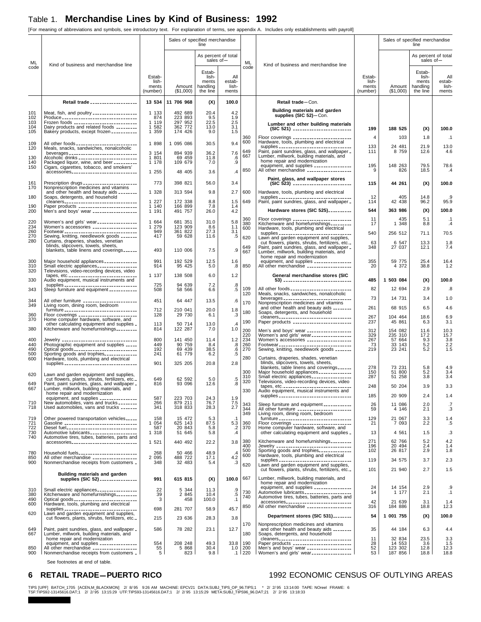[For meaning of abbreviations and symbols, see introductory text. For explanation of terms, see appendix A. Includes only establishments with payroll]

| Sales of specified merchandise<br>Sales of specified merchandise<br>line<br>line<br>As percent of total<br>As percent of total<br>sales of-<br>sales of $-$<br>ML<br>ML<br>Kind of business and merchandise line<br>Kind of business and merchandise line<br>code<br>code<br>Estab-<br>Estab-<br>lish-<br>lish-<br>All<br>Estab-<br>All<br>Estab-<br>ments<br>estab-<br>ments<br>lish-<br>lish-<br>Amount   handling<br>ments<br>Amount<br>handling<br>ments<br>lish-<br>the line<br>ments<br>(\$1,000)<br>the line<br>(number)<br>(\$1,000)<br>(number)<br>Retail trade ____________________<br>11 706 968<br>Retail trade-Con.<br>13 534<br>100.0<br>(X)<br>Building materials and garden<br>Meat, fish, and poultry __________________<br>1 1 3 3<br>492 689<br>20.4<br>4.2<br>101<br>supplies (SIC 52)-Con.<br>223 893<br>102<br>874<br>9.5<br>1.9<br>1 1 1 9<br>297 952<br>22.5<br>103<br>2.5<br>Lumber and other building materials<br>104<br>Dairy products and related foods _________<br>$\mathbf{1}$<br>582<br>362 772<br>13.0<br>3.1<br>199<br>188 525<br>(X)<br>(SIC 521) --------------------------<br>1 359<br>105<br>Bakery products, except frozen __________<br>174 426<br>9.0<br>1.5<br>360<br>$\overline{4}$<br>103<br>1.8<br>Floor coverings _________________________<br>Hardware, tools, plumbing and electrical<br>600<br>9.4<br>109<br>1 898<br>1 095 086<br>30.5<br>133<br>24 481<br>13.0<br>21.9<br>supplies _______________________________<br>Paint, paint sundries, glass, and wallpaper _<br>Meals, snacks, sandwiches, nonalcoholic<br>120<br>649<br>111<br>8 7 5 9<br>12.6<br>894 939<br>7.6<br>3 154<br>36.2<br>667<br>Lumber, millwork, building materials, and<br>69 459<br>1 801<br>11.8<br>.6<br>130<br>home repair and modernization<br>109 679<br>.9<br>140<br>Packaged liquor, wine, and beer _________<br>1 178<br>7.0<br>195<br>79.5<br>equipment, and supplies _______________<br>148 263<br>150<br>Cigars, cigarettes, tobacco, and smokers'<br>850<br>All other merchandise __________________<br>9<br>826<br>18.5<br>.4<br>1 255<br>accessories<br>48 405<br>3.6<br>$\cdot$<br>Paint, glass, and wallpaper stores<br>773<br>398 821<br>Prescription drugs ______________________<br>56.0<br>3.4<br>161<br>(X)<br>(SIC 523) -------------------------<br>115<br>44 261<br>100.0<br>Nonprescription medicines and vitamins<br>170<br>1 3 2 8<br>2.7<br>600<br>Hardware, tools, plumbing and electrical<br>and other health and beauty aids ________<br>313 594<br>9.8<br>12<br>180<br>Soaps, detergents, and household<br>405<br>14.8<br>supplies _________________________________<br>cleaners<br>1 2 2 7<br>172 338<br>1.5<br>649<br>Paint, paint sundries, glass, and wallpaper _<br>42 438<br>96.2<br>95.9<br>8.8<br>114<br>Paper products ________________________<br>166 899<br>190<br>1 140<br>7.8<br>1.4<br>Hardware stores (SIC 525) _________<br>363 986<br>(X)<br>544<br>200<br>Men's and boys' wear __________________<br>26.0<br>4.2<br>1 191<br>491 757<br>360<br>5.1<br>Floor coverings _______________________<br>Kitchenware and homefurnishings _________<br>11<br>435<br>$\cdot$ 1<br>681 351<br>5.8<br>220<br>Women's and girls' wear ________________<br>1 664<br>31.0<br>380<br>1 348<br>8.8<br>$\cdot$<br>17<br>234<br>Women's accessories __________________<br>1 279<br>123 909<br>8.6<br>1.1<br>600<br>Hardware, tools, plumbing and electrical<br>260<br>949<br>361 822<br>27.3<br>3.1<br>Footwear<br>sewing, knitting, needlework goods<br>sexing, sexisting, needlework goods<br>540<br>256 512<br>supplies __________________________________<br>71.1<br>270<br>417<br>59 628<br>.5<br>11.6<br>620<br>Lawn and garden equipment and supplies,<br>280<br>Curtains, draperies, shades, venetian<br>63<br>6 547<br>cut flowers, plants, shrubs, fertilizers, etc.<br>13.3<br>blinds, slipcovers, towels, sheets,<br>649<br>Paint, paint sundries, glass, and wallpaper _<br>348<br>27 037<br>12.1<br>7.4<br>.9<br>blankets, table linens and coverings<br>493<br>110 006<br>7.5<br>667<br>Lumber, millwork, building materials, and<br>home repair and modernization<br>991<br>192 529<br>300<br>Major household appliances _____________<br>12.5<br>1.6<br>equipment, and supplies _______________<br>355<br>59 775<br>25.4<br>850<br>4 372<br>310<br>Small electric appliances ________________<br>914<br>95 425<br>.8<br>All other merchandise __________________<br>20<br>38.8<br>5.0<br>320<br>Televisions, video-recording devices, video<br>1 137<br>tapes, etc<br>138 508<br>6.0<br>1.2<br>General merchandise stores (SIC<br>330<br>Audio equipment, musical instruments and<br>485<br>1 503 084<br>(X)<br>725<br>94 639<br>7.2<br>supplies ________________________________<br>.8<br>109<br>All other foods __________________________<br>82<br>12 694<br>2.9<br>343<br>Sleep furniture and equipment ___________<br>508<br>58 566<br>6.6<br>.5<br>Meals, snacks, sandwiches, nonalcoholic<br>120<br>73<br>14 731<br>3.4<br>beverages ______________________________<br>451<br>344<br>All other furniture ______________________<br>64 447<br>13.5<br>.6<br>170<br>Nonprescription medicines and vitamins<br>349<br>Living room, dining room, bedroom<br>261<br>68 915<br>6.5<br>and other health and beauty aids ________<br>furniture _________________________________<br>712<br>210 041<br>20.0<br>1.8<br>180<br>Soaps, detergents, and household<br>Floor coverings _________________________<br>128<br>29 730<br>$\cdot$ 3<br>360<br>6.1<br>267<br>104 464<br>18.6<br>6.9<br>cleaners<br>370<br>Home computer hardware, software, and<br>190<br>Paper products ________________________<br>45 861<br>237<br>6.3<br>113<br>50 714<br>other calculating equipment and supplies -<br>Kitchenware and homefurnishings-<br>13.0<br>$\mathcal{A}$<br>380<br>814<br>122 287<br>7.0<br>1.0<br>200<br>312<br>154 082<br>Men's and boys' wear __________________<br>11.6<br>329<br>235 310<br>220<br>Women's and girls' wear<br>17.2<br>$\frac{3.8}{2.2}$<br>1.5<br>234<br>267<br>1.2<br>57 664<br>9.3<br>800<br>141 450<br>Women's accessories __________________<br>400<br>Jewelry ______________________________<br>Photographic equipment and supplies _____<br>11.4<br>$\overline{.8}$<br>$.6$<br>260<br>90 759<br>440<br>449<br>73<br>33 143<br>5.2<br>8.4<br>Footwear <sub>-------------------------------</sub><br>Sewing, knitting, needlework goods _______<br>219<br>192<br>23 241<br>5.2<br>490<br>Optical goods<br>69 439<br>38.5<br>270<br>.5<br>Sporting goods and trophies<br>500<br>241<br>61 779<br>6.2<br>280<br>Curtains, draperies, shades, venetian<br>600<br>Hardware, tools, plumbing and electrical<br>blinds, slipcovers, towels, sheets,<br>901<br>2.8<br>325 205<br>20.8<br>supplies _________________________________<br>278<br>blankets, table linens and coverings<br>73 231<br>5.8<br>4.9<br>300<br>5.2<br>Major household appliances _____________<br>150<br>51 800<br>620<br>Lawn and garden equipment and supplies,<br>51 258<br>3.4<br>310<br>Small electric appliances ________________<br>287<br>3.8<br>.5<br>cut flowers, plants, shrubs, fertilizers, etc.<br>649<br>62 592<br>5.0<br>320<br>Televisions, video-recording devices, video<br>649<br>.8<br>Paint, paint sundries, glass, and wallpaper _<br>816<br>93 096<br>12.6<br>50 204<br>3.9<br>248<br>667<br>Lumber, millwork, building materials, and<br>330<br>Audio equipment, musical instruments and<br>home repair and modernization<br>185<br>20 909<br>2.4<br>supplies ________________________________<br>587<br>223 703<br>equipment, and supplies _______________<br>24.3<br>1.9<br>879 211<br>710<br>New automobiles, vans and trucks ________<br>266<br>76.7<br>$7.5$<br>2.7<br>343<br>Sleep furniture and equipment ___________<br>26<br>11 086<br>2.0<br>.7<br>Used automobiles, vans and trucks _______<br>341<br>318 833<br>28.3<br>718<br>344<br>All other furniture _______________________<br>59<br>4 146<br>2.1<br>349<br>Living room, dining room, bedroom<br>158<br>15 472<br>furniture __________________________________<br>129<br>21 067<br>719<br>Other powered transportation vehicles<br>5.3<br>3.3<br>$\cdot$ 1<br>625 143<br>87.5<br>$5.\overline{3}$<br>$.2$<br>721<br>Gasoline _________________________________<br>1 0 5 4<br>360<br>Floor coverings ________________________<br>Home computer hardware, software, and<br>21<br>7 0 9 3<br>2.2<br>.5<br>20 843<br>Diesel fuel_______________________________<br>587<br>370<br>722<br>5.8<br>51 645<br>Automotive lubricants ____________________<br>1 3 1 8<br>.4<br>13<br>4 5 6 1<br>730<br>5.8<br>other calculating equipment and supplies _<br>1.5<br>740<br>Automotive tires, tubes, batteries, parts and<br>380<br>Kitchenware and homefurnishings<br>271<br>62 766<br>5.2<br>1 521<br>440 492<br>22.2<br>3.8<br>accessories______________________________<br>20 494<br>400<br>196<br>2.4<br>1.4<br>102<br>26 817<br>2.9<br>500<br>50 466<br>Household fuels_________________________<br>268<br>48.9<br>780<br>$\cdot$<br>600<br>Hardware, tools, plumbing and electrical<br>4.2<br>2 0 9 5<br>488 722<br>850<br>All other merchandise __________________<br>17.1<br>119<br>3.7<br>34 575<br>supplies<br>Lawn and garden equipment and supplies,<br>900<br>Nonmerchandise receipts from customers _<br>348<br>32 483<br>.3<br>5.4<br>620<br>cut flowers, plants, shrubs, fertilizers, etc.<br>21 940<br>2.7<br>1.5<br>101<br>Building materials and garden<br>Lumber, millwork, building materials, and<br>supplies (SIC 52) _______________<br>667<br>615 815<br>991<br>(X)<br>100.0<br>home repair and modernization<br>24<br>14 154<br>2.9<br>.9<br>Small electric appliances ________________<br>22<br>5 3 4 4<br>11.3<br>$\frac{.9}{.5}$<br>310<br>730<br>14<br>1 177<br>2.1<br>$\cdot$ 1<br>Kitchenware and homefurnishings<br>39<br>380<br>2 845<br>10.4<br>740<br>Automotive tires, tubes, batteries, parts and<br>3<br>490<br>Optical goods _____________________________<br>458<br>100.0<br>$\cdot$ 1<br>42<br>accessories<br>21 639<br>3.1<br>1.4<br>600<br>Hardware, tools, plumbing and electrical<br>184 886<br>850<br>All other merchandise __________________<br>316<br>18.8<br>45.7<br>supplies ________________________________<br>698<br>281 707<br>58.9<br>Lawn and garden equipment and supplies,<br>620<br>Department stores (SIC 531)<br>54<br>1 001 755<br>(X)<br>100.0<br>cut flowers, plants, shrubs, fertilizers, etc.<br>215<br>23 636<br>28.3<br>3.8<br>170<br>Nonprescription medicines and vitamins<br>12.7<br>and other health and beauty aids ________<br>35<br>649<br>Paint, paint sundries, glass, and wallpaper .<br>586<br>78 282<br>23.1<br>44 184<br>6.3<br>Lumber, millwork, building materials, and<br>180<br>667<br>Soaps, detergents, and household<br>home repair and modernization<br>11<br>32 834<br>23.5<br>3.3<br>equipment, and supplies _______________<br>208 248<br>49.3<br>33.8<br>190<br>Paper products _________________________<br>28<br>14 553<br>554<br>3.6<br>All other merchandise __________________<br>52<br>55<br>200<br>Men's and boys' wear __________________<br>123 302<br>850<br>5 8 6 8<br>30.4<br>12.8<br>1.0<br>5<br>Nonmerchandise receipts from customers _<br>823<br>9.8<br>$.1$   220<br>Women's and girls' wear<br>53<br>187 856<br>18.8<br>18.8<br>900 |  |  |  | por meaning or abbreviations and symbols, see introductory text. The explanation or terms, see appendix A. Includes only establishments with payron |  |                          |
|------------------------------------------------------------------------------------------------------------------------------------------------------------------------------------------------------------------------------------------------------------------------------------------------------------------------------------------------------------------------------------------------------------------------------------------------------------------------------------------------------------------------------------------------------------------------------------------------------------------------------------------------------------------------------------------------------------------------------------------------------------------------------------------------------------------------------------------------------------------------------------------------------------------------------------------------------------------------------------------------------------------------------------------------------------------------------------------------------------------------------------------------------------------------------------------------------------------------------------------------------------------------------------------------------------------------------------------------------------------------------------------------------------------------------------------------------------------------------------------------------------------------------------------------------------------------------------------------------------------------------------------------------------------------------------------------------------------------------------------------------------------------------------------------------------------------------------------------------------------------------------------------------------------------------------------------------------------------------------------------------------------------------------------------------------------------------------------------------------------------------------------------------------------------------------------------------------------------------------------------------------------------------------------------------------------------------------------------------------------------------------------------------------------------------------------------------------------------------------------------------------------------------------------------------------------------------------------------------------------------------------------------------------------------------------------------------------------------------------------------------------------------------------------------------------------------------------------------------------------------------------------------------------------------------------------------------------------------------------------------------------------------------------------------------------------------------------------------------------------------------------------------------------------------------------------------------------------------------------------------------------------------------------------------------------------------------------------------------------------------------------------------------------------------------------------------------------------------------------------------------------------------------------------------------------------------------------------------------------------------------------------------------------------------------------------------------------------------------------------------------------------------------------------------------------------------------------------------------------------------------------------------------------------------------------------------------------------------------------------------------------------------------------------------------------------------------------------------------------------------------------------------------------------------------------------------------------------------------------------------------------------------------------------------------------------------------------------------------------------------------------------------------------------------------------------------------------------------------------------------------------------------------------------------------------------------------------------------------------------------------------------------------------------------------------------------------------------------------------------------------------------------------------------------------------------------------------------------------------------------------------------------------------------------------------------------------------------------------------------------------------------------------------------------------------------------------------------------------------------------------------------------------------------------------------------------------------------------------------------------------------------------------------------------------------------------------------------------------------------------------------------------------------------------------------------------------------------------------------------------------------------------------------------------------------------------------------------------------------------------------------------------------------------------------------------------------------------------------------------------------------------------------------------------------------------------------------------------------------------------------------------------------------------------------------------------------------------------------------------------------------------------------------------------------------------------------------------------------------------------------------------------------------------------------------------------------------------------------------------------------------------------------------------------------------------------------------------------------------------------------------------------------------------------------------------------------------------------------------------------------------------------------------------------------------------------------------------------------------------------------------------------------------------------------------------------------------------------------------------------------------------------------------------------------------------------------------------------------------------------------------------------------------------------------------------------------------------------------------------------------------------------------------------------------------------------------------------------------------------------------------------------------------------------------------------------------------------------------------------------------------------------------------------------------------------------------------------------------------------------------------------------------------------------------------------------------------------------------------------------------------------------------------------------------------------------------------------------------------------------------------------------------------------------------------------------------------------------------------------------------------------------------------------------------------------------------------------------------------------------------------------------------------------------------------------------------------------------------------------------------------------------------------------------------------------------------------------------------------------------------------------------------------------------------------------------------------------------------------------------------------------------------------------------------------------------------------------------------------------------------------------------------------------------------------------------------------------------------------------------------------------------------------------------------------------------------------------------------------------------------------------------------------------------------------------------------------------------------------------------------------------------------------------------------------------------------------------------------------------------------------------------------------------------------------------------------------------------------------------------------------------------------------------------------------------------------------------------------------------------------------------------------------------------------------------------------------------------------------------------------------------------------------------------------------------------------------------------------------------------------------------------------------------------------------------------------------------------------------------------------------------------------------------------------------------------------------------------------------------------------------------------------------------------------------------------------------------------------------------------------------------------------------------------------------------------------------------------------------------------------------------------------------------------------------------------------------------------------------------------------------------------------------------------------------------------------------------------------------------------------------------------------------------------------------------------------------------------------------------------------------------------------------------------------------------------------------------------------------------------------------------------------------------------------------------------------------------------------------------------------------------------------------------------------------------------------------------------------------------------------------------------------------------------------------------------------------------------------------------------------------------------------------------------------------------------------------------------------------------------------------------------------------------------------------------------------------------------------------------------------------------------------------------------------------------------------------------------------------------------------------------------------------------------------------------------------------------------------------------------------------------------------------------------------------------------------------------------------------------------------------------------------|--|--|--|-----------------------------------------------------------------------------------------------------------------------------------------------------|--|--------------------------|
|                                                                                                                                                                                                                                                                                                                                                                                                                                                                                                                                                                                                                                                                                                                                                                                                                                                                                                                                                                                                                                                                                                                                                                                                                                                                                                                                                                                                                                                                                                                                                                                                                                                                                                                                                                                                                                                                                                                                                                                                                                                                                                                                                                                                                                                                                                                                                                                                                                                                                                                                                                                                                                                                                                                                                                                                                                                                                                                                                                                                                                                                                                                                                                                                                                                                                                                                                                                                                                                                                                                                                                                                                                                                                                                                                                                                                                                                                                                                                                                                                                                                                                                                                                                                                                                                                                                                                                                                                                                                                                                                                                                                                                                                                                                                                                                                                                                                                                                                                                                                                                                                                                                                                                                                                                                                                                                                                                                                                                                                                                                                                                                                                                                                                                                                                                                                                                                                                                                                                                                                                                                                                                                                                                                                                                                                                                                                                                                                                                                                                                                                                                                                                                                                                                                                                                                                                                                                                                                                                                                                                                                                                                                                                                                                                                                                                                                                                                                                                                                                                                                                                                                                                                                                                                                                                                                                                                                                                                                                                                                                                                                                                                                                                                                                                                                                                                                                                                                                                                                                                                                                                                                                                                                                                                                                                                                                                                                                                                                                                                                                                                                                                                                                                                                                                                                                                                                                                                                                                                                                                                                                                                                                                                                                                                                                                                                                                                                                                                                                                                                                                                                                                                                                                                                                                                                                                                                                                                                                                                                                                                                                                                                                                                                                                                                                                                                                                                                                                                                                                                                                                                                                                                                                                                                                                                                                                                                                                                                                      |  |  |  |                                                                                                                                                     |  |                          |
|                                                                                                                                                                                                                                                                                                                                                                                                                                                                                                                                                                                                                                                                                                                                                                                                                                                                                                                                                                                                                                                                                                                                                                                                                                                                                                                                                                                                                                                                                                                                                                                                                                                                                                                                                                                                                                                                                                                                                                                                                                                                                                                                                                                                                                                                                                                                                                                                                                                                                                                                                                                                                                                                                                                                                                                                                                                                                                                                                                                                                                                                                                                                                                                                                                                                                                                                                                                                                                                                                                                                                                                                                                                                                                                                                                                                                                                                                                                                                                                                                                                                                                                                                                                                                                                                                                                                                                                                                                                                                                                                                                                                                                                                                                                                                                                                                                                                                                                                                                                                                                                                                                                                                                                                                                                                                                                                                                                                                                                                                                                                                                                                                                                                                                                                                                                                                                                                                                                                                                                                                                                                                                                                                                                                                                                                                                                                                                                                                                                                                                                                                                                                                                                                                                                                                                                                                                                                                                                                                                                                                                                                                                                                                                                                                                                                                                                                                                                                                                                                                                                                                                                                                                                                                                                                                                                                                                                                                                                                                                                                                                                                                                                                                                                                                                                                                                                                                                                                                                                                                                                                                                                                                                                                                                                                                                                                                                                                                                                                                                                                                                                                                                                                                                                                                                                                                                                                                                                                                                                                                                                                                                                                                                                                                                                                                                                                                                                                                                                                                                                                                                                                                                                                                                                                                                                                                                                                                                                                                                                                                                                                                                                                                                                                                                                                                                                                                                                                                                                                                                                                                                                                                                                                                                                                                                                                                                                                                                                                      |  |  |  |                                                                                                                                                     |  |                          |
|                                                                                                                                                                                                                                                                                                                                                                                                                                                                                                                                                                                                                                                                                                                                                                                                                                                                                                                                                                                                                                                                                                                                                                                                                                                                                                                                                                                                                                                                                                                                                                                                                                                                                                                                                                                                                                                                                                                                                                                                                                                                                                                                                                                                                                                                                                                                                                                                                                                                                                                                                                                                                                                                                                                                                                                                                                                                                                                                                                                                                                                                                                                                                                                                                                                                                                                                                                                                                                                                                                                                                                                                                                                                                                                                                                                                                                                                                                                                                                                                                                                                                                                                                                                                                                                                                                                                                                                                                                                                                                                                                                                                                                                                                                                                                                                                                                                                                                                                                                                                                                                                                                                                                                                                                                                                                                                                                                                                                                                                                                                                                                                                                                                                                                                                                                                                                                                                                                                                                                                                                                                                                                                                                                                                                                                                                                                                                                                                                                                                                                                                                                                                                                                                                                                                                                                                                                                                                                                                                                                                                                                                                                                                                                                                                                                                                                                                                                                                                                                                                                                                                                                                                                                                                                                                                                                                                                                                                                                                                                                                                                                                                                                                                                                                                                                                                                                                                                                                                                                                                                                                                                                                                                                                                                                                                                                                                                                                                                                                                                                                                                                                                                                                                                                                                                                                                                                                                                                                                                                                                                                                                                                                                                                                                                                                                                                                                                                                                                                                                                                                                                                                                                                                                                                                                                                                                                                                                                                                                                                                                                                                                                                                                                                                                                                                                                                                                                                                                                                                                                                                                                                                                                                                                                                                                                                                                                                                                                                                      |  |  |  |                                                                                                                                                     |  |                          |
|                                                                                                                                                                                                                                                                                                                                                                                                                                                                                                                                                                                                                                                                                                                                                                                                                                                                                                                                                                                                                                                                                                                                                                                                                                                                                                                                                                                                                                                                                                                                                                                                                                                                                                                                                                                                                                                                                                                                                                                                                                                                                                                                                                                                                                                                                                                                                                                                                                                                                                                                                                                                                                                                                                                                                                                                                                                                                                                                                                                                                                                                                                                                                                                                                                                                                                                                                                                                                                                                                                                                                                                                                                                                                                                                                                                                                                                                                                                                                                                                                                                                                                                                                                                                                                                                                                                                                                                                                                                                                                                                                                                                                                                                                                                                                                                                                                                                                                                                                                                                                                                                                                                                                                                                                                                                                                                                                                                                                                                                                                                                                                                                                                                                                                                                                                                                                                                                                                                                                                                                                                                                                                                                                                                                                                                                                                                                                                                                                                                                                                                                                                                                                                                                                                                                                                                                                                                                                                                                                                                                                                                                                                                                                                                                                                                                                                                                                                                                                                                                                                                                                                                                                                                                                                                                                                                                                                                                                                                                                                                                                                                                                                                                                                                                                                                                                                                                                                                                                                                                                                                                                                                                                                                                                                                                                                                                                                                                                                                                                                                                                                                                                                                                                                                                                                                                                                                                                                                                                                                                                                                                                                                                                                                                                                                                                                                                                                                                                                                                                                                                                                                                                                                                                                                                                                                                                                                                                                                                                                                                                                                                                                                                                                                                                                                                                                                                                                                                                                                                                                                                                                                                                                                                                                                                                                                                                                                                                                                                      |  |  |  |                                                                                                                                                     |  | estab-<br>lish-<br>ments |
|                                                                                                                                                                                                                                                                                                                                                                                                                                                                                                                                                                                                                                                                                                                                                                                                                                                                                                                                                                                                                                                                                                                                                                                                                                                                                                                                                                                                                                                                                                                                                                                                                                                                                                                                                                                                                                                                                                                                                                                                                                                                                                                                                                                                                                                                                                                                                                                                                                                                                                                                                                                                                                                                                                                                                                                                                                                                                                                                                                                                                                                                                                                                                                                                                                                                                                                                                                                                                                                                                                                                                                                                                                                                                                                                                                                                                                                                                                                                                                                                                                                                                                                                                                                                                                                                                                                                                                                                                                                                                                                                                                                                                                                                                                                                                                                                                                                                                                                                                                                                                                                                                                                                                                                                                                                                                                                                                                                                                                                                                                                                                                                                                                                                                                                                                                                                                                                                                                                                                                                                                                                                                                                                                                                                                                                                                                                                                                                                                                                                                                                                                                                                                                                                                                                                                                                                                                                                                                                                                                                                                                                                                                                                                                                                                                                                                                                                                                                                                                                                                                                                                                                                                                                                                                                                                                                                                                                                                                                                                                                                                                                                                                                                                                                                                                                                                                                                                                                                                                                                                                                                                                                                                                                                                                                                                                                                                                                                                                                                                                                                                                                                                                                                                                                                                                                                                                                                                                                                                                                                                                                                                                                                                                                                                                                                                                                                                                                                                                                                                                                                                                                                                                                                                                                                                                                                                                                                                                                                                                                                                                                                                                                                                                                                                                                                                                                                                                                                                                                                                                                                                                                                                                                                                                                                                                                                                                                                                                                                      |  |  |  |                                                                                                                                                     |  |                          |
|                                                                                                                                                                                                                                                                                                                                                                                                                                                                                                                                                                                                                                                                                                                                                                                                                                                                                                                                                                                                                                                                                                                                                                                                                                                                                                                                                                                                                                                                                                                                                                                                                                                                                                                                                                                                                                                                                                                                                                                                                                                                                                                                                                                                                                                                                                                                                                                                                                                                                                                                                                                                                                                                                                                                                                                                                                                                                                                                                                                                                                                                                                                                                                                                                                                                                                                                                                                                                                                                                                                                                                                                                                                                                                                                                                                                                                                                                                                                                                                                                                                                                                                                                                                                                                                                                                                                                                                                                                                                                                                                                                                                                                                                                                                                                                                                                                                                                                                                                                                                                                                                                                                                                                                                                                                                                                                                                                                                                                                                                                                                                                                                                                                                                                                                                                                                                                                                                                                                                                                                                                                                                                                                                                                                                                                                                                                                                                                                                                                                                                                                                                                                                                                                                                                                                                                                                                                                                                                                                                                                                                                                                                                                                                                                                                                                                                                                                                                                                                                                                                                                                                                                                                                                                                                                                                                                                                                                                                                                                                                                                                                                                                                                                                                                                                                                                                                                                                                                                                                                                                                                                                                                                                                                                                                                                                                                                                                                                                                                                                                                                                                                                                                                                                                                                                                                                                                                                                                                                                                                                                                                                                                                                                                                                                                                                                                                                                                                                                                                                                                                                                                                                                                                                                                                                                                                                                                                                                                                                                                                                                                                                                                                                                                                                                                                                                                                                                                                                                                                                                                                                                                                                                                                                                                                                                                                                                                                                                                                      |  |  |  |                                                                                                                                                     |  |                          |
|                                                                                                                                                                                                                                                                                                                                                                                                                                                                                                                                                                                                                                                                                                                                                                                                                                                                                                                                                                                                                                                                                                                                                                                                                                                                                                                                                                                                                                                                                                                                                                                                                                                                                                                                                                                                                                                                                                                                                                                                                                                                                                                                                                                                                                                                                                                                                                                                                                                                                                                                                                                                                                                                                                                                                                                                                                                                                                                                                                                                                                                                                                                                                                                                                                                                                                                                                                                                                                                                                                                                                                                                                                                                                                                                                                                                                                                                                                                                                                                                                                                                                                                                                                                                                                                                                                                                                                                                                                                                                                                                                                                                                                                                                                                                                                                                                                                                                                                                                                                                                                                                                                                                                                                                                                                                                                                                                                                                                                                                                                                                                                                                                                                                                                                                                                                                                                                                                                                                                                                                                                                                                                                                                                                                                                                                                                                                                                                                                                                                                                                                                                                                                                                                                                                                                                                                                                                                                                                                                                                                                                                                                                                                                                                                                                                                                                                                                                                                                                                                                                                                                                                                                                                                                                                                                                                                                                                                                                                                                                                                                                                                                                                                                                                                                                                                                                                                                                                                                                                                                                                                                                                                                                                                                                                                                                                                                                                                                                                                                                                                                                                                                                                                                                                                                                                                                                                                                                                                                                                                                                                                                                                                                                                                                                                                                                                                                                                                                                                                                                                                                                                                                                                                                                                                                                                                                                                                                                                                                                                                                                                                                                                                                                                                                                                                                                                                                                                                                                                                                                                                                                                                                                                                                                                                                                                                                                                                                                                                      |  |  |  |                                                                                                                                                     |  | 100.0                    |
|                                                                                                                                                                                                                                                                                                                                                                                                                                                                                                                                                                                                                                                                                                                                                                                                                                                                                                                                                                                                                                                                                                                                                                                                                                                                                                                                                                                                                                                                                                                                                                                                                                                                                                                                                                                                                                                                                                                                                                                                                                                                                                                                                                                                                                                                                                                                                                                                                                                                                                                                                                                                                                                                                                                                                                                                                                                                                                                                                                                                                                                                                                                                                                                                                                                                                                                                                                                                                                                                                                                                                                                                                                                                                                                                                                                                                                                                                                                                                                                                                                                                                                                                                                                                                                                                                                                                                                                                                                                                                                                                                                                                                                                                                                                                                                                                                                                                                                                                                                                                                                                                                                                                                                                                                                                                                                                                                                                                                                                                                                                                                                                                                                                                                                                                                                                                                                                                                                                                                                                                                                                                                                                                                                                                                                                                                                                                                                                                                                                                                                                                                                                                                                                                                                                                                                                                                                                                                                                                                                                                                                                                                                                                                                                                                                                                                                                                                                                                                                                                                                                                                                                                                                                                                                                                                                                                                                                                                                                                                                                                                                                                                                                                                                                                                                                                                                                                                                                                                                                                                                                                                                                                                                                                                                                                                                                                                                                                                                                                                                                                                                                                                                                                                                                                                                                                                                                                                                                                                                                                                                                                                                                                                                                                                                                                                                                                                                                                                                                                                                                                                                                                                                                                                                                                                                                                                                                                                                                                                                                                                                                                                                                                                                                                                                                                                                                                                                                                                                                                                                                                                                                                                                                                                                                                                                                                                                                                                                                                      |  |  |  |                                                                                                                                                     |  | .1                       |
|                                                                                                                                                                                                                                                                                                                                                                                                                                                                                                                                                                                                                                                                                                                                                                                                                                                                                                                                                                                                                                                                                                                                                                                                                                                                                                                                                                                                                                                                                                                                                                                                                                                                                                                                                                                                                                                                                                                                                                                                                                                                                                                                                                                                                                                                                                                                                                                                                                                                                                                                                                                                                                                                                                                                                                                                                                                                                                                                                                                                                                                                                                                                                                                                                                                                                                                                                                                                                                                                                                                                                                                                                                                                                                                                                                                                                                                                                                                                                                                                                                                                                                                                                                                                                                                                                                                                                                                                                                                                                                                                                                                                                                                                                                                                                                                                                                                                                                                                                                                                                                                                                                                                                                                                                                                                                                                                                                                                                                                                                                                                                                                                                                                                                                                                                                                                                                                                                                                                                                                                                                                                                                                                                                                                                                                                                                                                                                                                                                                                                                                                                                                                                                                                                                                                                                                                                                                                                                                                                                                                                                                                                                                                                                                                                                                                                                                                                                                                                                                                                                                                                                                                                                                                                                                                                                                                                                                                                                                                                                                                                                                                                                                                                                                                                                                                                                                                                                                                                                                                                                                                                                                                                                                                                                                                                                                                                                                                                                                                                                                                                                                                                                                                                                                                                                                                                                                                                                                                                                                                                                                                                                                                                                                                                                                                                                                                                                                                                                                                                                                                                                                                                                                                                                                                                                                                                                                                                                                                                                                                                                                                                                                                                                                                                                                                                                                                                                                                                                                                                                                                                                                                                                                                                                                                                                                                                                                                                                                                      |  |  |  |                                                                                                                                                     |  | 4.6                      |
|                                                                                                                                                                                                                                                                                                                                                                                                                                                                                                                                                                                                                                                                                                                                                                                                                                                                                                                                                                                                                                                                                                                                                                                                                                                                                                                                                                                                                                                                                                                                                                                                                                                                                                                                                                                                                                                                                                                                                                                                                                                                                                                                                                                                                                                                                                                                                                                                                                                                                                                                                                                                                                                                                                                                                                                                                                                                                                                                                                                                                                                                                                                                                                                                                                                                                                                                                                                                                                                                                                                                                                                                                                                                                                                                                                                                                                                                                                                                                                                                                                                                                                                                                                                                                                                                                                                                                                                                                                                                                                                                                                                                                                                                                                                                                                                                                                                                                                                                                                                                                                                                                                                                                                                                                                                                                                                                                                                                                                                                                                                                                                                                                                                                                                                                                                                                                                                                                                                                                                                                                                                                                                                                                                                                                                                                                                                                                                                                                                                                                                                                                                                                                                                                                                                                                                                                                                                                                                                                                                                                                                                                                                                                                                                                                                                                                                                                                                                                                                                                                                                                                                                                                                                                                                                                                                                                                                                                                                                                                                                                                                                                                                                                                                                                                                                                                                                                                                                                                                                                                                                                                                                                                                                                                                                                                                                                                                                                                                                                                                                                                                                                                                                                                                                                                                                                                                                                                                                                                                                                                                                                                                                                                                                                                                                                                                                                                                                                                                                                                                                                                                                                                                                                                                                                                                                                                                                                                                                                                                                                                                                                                                                                                                                                                                                                                                                                                                                                                                                                                                                                                                                                                                                                                                                                                                                                                                                                                                                                      |  |  |  |                                                                                                                                                     |  | 78.6                     |
|                                                                                                                                                                                                                                                                                                                                                                                                                                                                                                                                                                                                                                                                                                                                                                                                                                                                                                                                                                                                                                                                                                                                                                                                                                                                                                                                                                                                                                                                                                                                                                                                                                                                                                                                                                                                                                                                                                                                                                                                                                                                                                                                                                                                                                                                                                                                                                                                                                                                                                                                                                                                                                                                                                                                                                                                                                                                                                                                                                                                                                                                                                                                                                                                                                                                                                                                                                                                                                                                                                                                                                                                                                                                                                                                                                                                                                                                                                                                                                                                                                                                                                                                                                                                                                                                                                                                                                                                                                                                                                                                                                                                                                                                                                                                                                                                                                                                                                                                                                                                                                                                                                                                                                                                                                                                                                                                                                                                                                                                                                                                                                                                                                                                                                                                                                                                                                                                                                                                                                                                                                                                                                                                                                                                                                                                                                                                                                                                                                                                                                                                                                                                                                                                                                                                                                                                                                                                                                                                                                                                                                                                                                                                                                                                                                                                                                                                                                                                                                                                                                                                                                                                                                                                                                                                                                                                                                                                                                                                                                                                                                                                                                                                                                                                                                                                                                                                                                                                                                                                                                                                                                                                                                                                                                                                                                                                                                                                                                                                                                                                                                                                                                                                                                                                                                                                                                                                                                                                                                                                                                                                                                                                                                                                                                                                                                                                                                                                                                                                                                                                                                                                                                                                                                                                                                                                                                                                                                                                                                                                                                                                                                                                                                                                                                                                                                                                                                                                                                                                                                                                                                                                                                                                                                                                                                                                                                                                                                                                      |  |  |  |                                                                                                                                                     |  |                          |
|                                                                                                                                                                                                                                                                                                                                                                                                                                                                                                                                                                                                                                                                                                                                                                                                                                                                                                                                                                                                                                                                                                                                                                                                                                                                                                                                                                                                                                                                                                                                                                                                                                                                                                                                                                                                                                                                                                                                                                                                                                                                                                                                                                                                                                                                                                                                                                                                                                                                                                                                                                                                                                                                                                                                                                                                                                                                                                                                                                                                                                                                                                                                                                                                                                                                                                                                                                                                                                                                                                                                                                                                                                                                                                                                                                                                                                                                                                                                                                                                                                                                                                                                                                                                                                                                                                                                                                                                                                                                                                                                                                                                                                                                                                                                                                                                                                                                                                                                                                                                                                                                                                                                                                                                                                                                                                                                                                                                                                                                                                                                                                                                                                                                                                                                                                                                                                                                                                                                                                                                                                                                                                                                                                                                                                                                                                                                                                                                                                                                                                                                                                                                                                                                                                                                                                                                                                                                                                                                                                                                                                                                                                                                                                                                                                                                                                                                                                                                                                                                                                                                                                                                                                                                                                                                                                                                                                                                                                                                                                                                                                                                                                                                                                                                                                                                                                                                                                                                                                                                                                                                                                                                                                                                                                                                                                                                                                                                                                                                                                                                                                                                                                                                                                                                                                                                                                                                                                                                                                                                                                                                                                                                                                                                                                                                                                                                                                                                                                                                                                                                                                                                                                                                                                                                                                                                                                                                                                                                                                                                                                                                                                                                                                                                                                                                                                                                                                                                                                                                                                                                                                                                                                                                                                                                                                                                                                                                                                                                      |  |  |  |                                                                                                                                                     |  |                          |
|                                                                                                                                                                                                                                                                                                                                                                                                                                                                                                                                                                                                                                                                                                                                                                                                                                                                                                                                                                                                                                                                                                                                                                                                                                                                                                                                                                                                                                                                                                                                                                                                                                                                                                                                                                                                                                                                                                                                                                                                                                                                                                                                                                                                                                                                                                                                                                                                                                                                                                                                                                                                                                                                                                                                                                                                                                                                                                                                                                                                                                                                                                                                                                                                                                                                                                                                                                                                                                                                                                                                                                                                                                                                                                                                                                                                                                                                                                                                                                                                                                                                                                                                                                                                                                                                                                                                                                                                                                                                                                                                                                                                                                                                                                                                                                                                                                                                                                                                                                                                                                                                                                                                                                                                                                                                                                                                                                                                                                                                                                                                                                                                                                                                                                                                                                                                                                                                                                                                                                                                                                                                                                                                                                                                                                                                                                                                                                                                                                                                                                                                                                                                                                                                                                                                                                                                                                                                                                                                                                                                                                                                                                                                                                                                                                                                                                                                                                                                                                                                                                                                                                                                                                                                                                                                                                                                                                                                                                                                                                                                                                                                                                                                                                                                                                                                                                                                                                                                                                                                                                                                                                                                                                                                                                                                                                                                                                                                                                                                                                                                                                                                                                                                                                                                                                                                                                                                                                                                                                                                                                                                                                                                                                                                                                                                                                                                                                                                                                                                                                                                                                                                                                                                                                                                                                                                                                                                                                                                                                                                                                                                                                                                                                                                                                                                                                                                                                                                                                                                                                                                                                                                                                                                                                                                                                                                                                                                                                                                      |  |  |  |                                                                                                                                                     |  | .9                       |
|                                                                                                                                                                                                                                                                                                                                                                                                                                                                                                                                                                                                                                                                                                                                                                                                                                                                                                                                                                                                                                                                                                                                                                                                                                                                                                                                                                                                                                                                                                                                                                                                                                                                                                                                                                                                                                                                                                                                                                                                                                                                                                                                                                                                                                                                                                                                                                                                                                                                                                                                                                                                                                                                                                                                                                                                                                                                                                                                                                                                                                                                                                                                                                                                                                                                                                                                                                                                                                                                                                                                                                                                                                                                                                                                                                                                                                                                                                                                                                                                                                                                                                                                                                                                                                                                                                                                                                                                                                                                                                                                                                                                                                                                                                                                                                                                                                                                                                                                                                                                                                                                                                                                                                                                                                                                                                                                                                                                                                                                                                                                                                                                                                                                                                                                                                                                                                                                                                                                                                                                                                                                                                                                                                                                                                                                                                                                                                                                                                                                                                                                                                                                                                                                                                                                                                                                                                                                                                                                                                                                                                                                                                                                                                                                                                                                                                                                                                                                                                                                                                                                                                                                                                                                                                                                                                                                                                                                                                                                                                                                                                                                                                                                                                                                                                                                                                                                                                                                                                                                                                                                                                                                                                                                                                                                                                                                                                                                                                                                                                                                                                                                                                                                                                                                                                                                                                                                                                                                                                                                                                                                                                                                                                                                                                                                                                                                                                                                                                                                                                                                                                                                                                                                                                                                                                                                                                                                                                                                                                                                                                                                                                                                                                                                                                                                                                                                                                                                                                                                                                                                                                                                                                                                                                                                                                                                                                                                                                                                      |  |  |  |                                                                                                                                                     |  | 100.0                    |
|                                                                                                                                                                                                                                                                                                                                                                                                                                                                                                                                                                                                                                                                                                                                                                                                                                                                                                                                                                                                                                                                                                                                                                                                                                                                                                                                                                                                                                                                                                                                                                                                                                                                                                                                                                                                                                                                                                                                                                                                                                                                                                                                                                                                                                                                                                                                                                                                                                                                                                                                                                                                                                                                                                                                                                                                                                                                                                                                                                                                                                                                                                                                                                                                                                                                                                                                                                                                                                                                                                                                                                                                                                                                                                                                                                                                                                                                                                                                                                                                                                                                                                                                                                                                                                                                                                                                                                                                                                                                                                                                                                                                                                                                                                                                                                                                                                                                                                                                                                                                                                                                                                                                                                                                                                                                                                                                                                                                                                                                                                                                                                                                                                                                                                                                                                                                                                                                                                                                                                                                                                                                                                                                                                                                                                                                                                                                                                                                                                                                                                                                                                                                                                                                                                                                                                                                                                                                                                                                                                                                                                                                                                                                                                                                                                                                                                                                                                                                                                                                                                                                                                                                                                                                                                                                                                                                                                                                                                                                                                                                                                                                                                                                                                                                                                                                                                                                                                                                                                                                                                                                                                                                                                                                                                                                                                                                                                                                                                                                                                                                                                                                                                                                                                                                                                                                                                                                                                                                                                                                                                                                                                                                                                                                                                                                                                                                                                                                                                                                                                                                                                                                                                                                                                                                                                                                                                                                                                                                                                                                                                                                                                                                                                                                                                                                                                                                                                                                                                                                                                                                                                                                                                                                                                                                                                                                                                                                                                                                      |  |  |  |                                                                                                                                                     |  |                          |
|                                                                                                                                                                                                                                                                                                                                                                                                                                                                                                                                                                                                                                                                                                                                                                                                                                                                                                                                                                                                                                                                                                                                                                                                                                                                                                                                                                                                                                                                                                                                                                                                                                                                                                                                                                                                                                                                                                                                                                                                                                                                                                                                                                                                                                                                                                                                                                                                                                                                                                                                                                                                                                                                                                                                                                                                                                                                                                                                                                                                                                                                                                                                                                                                                                                                                                                                                                                                                                                                                                                                                                                                                                                                                                                                                                                                                                                                                                                                                                                                                                                                                                                                                                                                                                                                                                                                                                                                                                                                                                                                                                                                                                                                                                                                                                                                                                                                                                                                                                                                                                                                                                                                                                                                                                                                                                                                                                                                                                                                                                                                                                                                                                                                                                                                                                                                                                                                                                                                                                                                                                                                                                                                                                                                                                                                                                                                                                                                                                                                                                                                                                                                                                                                                                                                                                                                                                                                                                                                                                                                                                                                                                                                                                                                                                                                                                                                                                                                                                                                                                                                                                                                                                                                                                                                                                                                                                                                                                                                                                                                                                                                                                                                                                                                                                                                                                                                                                                                                                                                                                                                                                                                                                                                                                                                                                                                                                                                                                                                                                                                                                                                                                                                                                                                                                                                                                                                                                                                                                                                                                                                                                                                                                                                                                                                                                                                                                                                                                                                                                                                                                                                                                                                                                                                                                                                                                                                                                                                                                                                                                                                                                                                                                                                                                                                                                                                                                                                                                                                                                                                                                                                                                                                                                                                                                                                                                                                                                                                      |  |  |  |                                                                                                                                                     |  | 70.5                     |
|                                                                                                                                                                                                                                                                                                                                                                                                                                                                                                                                                                                                                                                                                                                                                                                                                                                                                                                                                                                                                                                                                                                                                                                                                                                                                                                                                                                                                                                                                                                                                                                                                                                                                                                                                                                                                                                                                                                                                                                                                                                                                                                                                                                                                                                                                                                                                                                                                                                                                                                                                                                                                                                                                                                                                                                                                                                                                                                                                                                                                                                                                                                                                                                                                                                                                                                                                                                                                                                                                                                                                                                                                                                                                                                                                                                                                                                                                                                                                                                                                                                                                                                                                                                                                                                                                                                                                                                                                                                                                                                                                                                                                                                                                                                                                                                                                                                                                                                                                                                                                                                                                                                                                                                                                                                                                                                                                                                                                                                                                                                                                                                                                                                                                                                                                                                                                                                                                                                                                                                                                                                                                                                                                                                                                                                                                                                                                                                                                                                                                                                                                                                                                                                                                                                                                                                                                                                                                                                                                                                                                                                                                                                                                                                                                                                                                                                                                                                                                                                                                                                                                                                                                                                                                                                                                                                                                                                                                                                                                                                                                                                                                                                                                                                                                                                                                                                                                                                                                                                                                                                                                                                                                                                                                                                                                                                                                                                                                                                                                                                                                                                                                                                                                                                                                                                                                                                                                                                                                                                                                                                                                                                                                                                                                                                                                                                                                                                                                                                                                                                                                                                                                                                                                                                                                                                                                                                                                                                                                                                                                                                                                                                                                                                                                                                                                                                                                                                                                                                                                                                                                                                                                                                                                                                                                                                                                                                                                                                                      |  |  |  |                                                                                                                                                     |  | 1.8                      |
|                                                                                                                                                                                                                                                                                                                                                                                                                                                                                                                                                                                                                                                                                                                                                                                                                                                                                                                                                                                                                                                                                                                                                                                                                                                                                                                                                                                                                                                                                                                                                                                                                                                                                                                                                                                                                                                                                                                                                                                                                                                                                                                                                                                                                                                                                                                                                                                                                                                                                                                                                                                                                                                                                                                                                                                                                                                                                                                                                                                                                                                                                                                                                                                                                                                                                                                                                                                                                                                                                                                                                                                                                                                                                                                                                                                                                                                                                                                                                                                                                                                                                                                                                                                                                                                                                                                                                                                                                                                                                                                                                                                                                                                                                                                                                                                                                                                                                                                                                                                                                                                                                                                                                                                                                                                                                                                                                                                                                                                                                                                                                                                                                                                                                                                                                                                                                                                                                                                                                                                                                                                                                                                                                                                                                                                                                                                                                                                                                                                                                                                                                                                                                                                                                                                                                                                                                                                                                                                                                                                                                                                                                                                                                                                                                                                                                                                                                                                                                                                                                                                                                                                                                                                                                                                                                                                                                                                                                                                                                                                                                                                                                                                                                                                                                                                                                                                                                                                                                                                                                                                                                                                                                                                                                                                                                                                                                                                                                                                                                                                                                                                                                                                                                                                                                                                                                                                                                                                                                                                                                                                                                                                                                                                                                                                                                                                                                                                                                                                                                                                                                                                                                                                                                                                                                                                                                                                                                                                                                                                                                                                                                                                                                                                                                                                                                                                                                                                                                                                                                                                                                                                                                                                                                                                                                                                                                                                                                                                                      |  |  |  |                                                                                                                                                     |  |                          |
|                                                                                                                                                                                                                                                                                                                                                                                                                                                                                                                                                                                                                                                                                                                                                                                                                                                                                                                                                                                                                                                                                                                                                                                                                                                                                                                                                                                                                                                                                                                                                                                                                                                                                                                                                                                                                                                                                                                                                                                                                                                                                                                                                                                                                                                                                                                                                                                                                                                                                                                                                                                                                                                                                                                                                                                                                                                                                                                                                                                                                                                                                                                                                                                                                                                                                                                                                                                                                                                                                                                                                                                                                                                                                                                                                                                                                                                                                                                                                                                                                                                                                                                                                                                                                                                                                                                                                                                                                                                                                                                                                                                                                                                                                                                                                                                                                                                                                                                                                                                                                                                                                                                                                                                                                                                                                                                                                                                                                                                                                                                                                                                                                                                                                                                                                                                                                                                                                                                                                                                                                                                                                                                                                                                                                                                                                                                                                                                                                                                                                                                                                                                                                                                                                                                                                                                                                                                                                                                                                                                                                                                                                                                                                                                                                                                                                                                                                                                                                                                                                                                                                                                                                                                                                                                                                                                                                                                                                                                                                                                                                                                                                                                                                                                                                                                                                                                                                                                                                                                                                                                                                                                                                                                                                                                                                                                                                                                                                                                                                                                                                                                                                                                                                                                                                                                                                                                                                                                                                                                                                                                                                                                                                                                                                                                                                                                                                                                                                                                                                                                                                                                                                                                                                                                                                                                                                                                                                                                                                                                                                                                                                                                                                                                                                                                                                                                                                                                                                                                                                                                                                                                                                                                                                                                                                                                                                                                                                                                                      |  |  |  |                                                                                                                                                     |  | 16.4<br>1.2              |
|                                                                                                                                                                                                                                                                                                                                                                                                                                                                                                                                                                                                                                                                                                                                                                                                                                                                                                                                                                                                                                                                                                                                                                                                                                                                                                                                                                                                                                                                                                                                                                                                                                                                                                                                                                                                                                                                                                                                                                                                                                                                                                                                                                                                                                                                                                                                                                                                                                                                                                                                                                                                                                                                                                                                                                                                                                                                                                                                                                                                                                                                                                                                                                                                                                                                                                                                                                                                                                                                                                                                                                                                                                                                                                                                                                                                                                                                                                                                                                                                                                                                                                                                                                                                                                                                                                                                                                                                                                                                                                                                                                                                                                                                                                                                                                                                                                                                                                                                                                                                                                                                                                                                                                                                                                                                                                                                                                                                                                                                                                                                                                                                                                                                                                                                                                                                                                                                                                                                                                                                                                                                                                                                                                                                                                                                                                                                                                                                                                                                                                                                                                                                                                                                                                                                                                                                                                                                                                                                                                                                                                                                                                                                                                                                                                                                                                                                                                                                                                                                                                                                                                                                                                                                                                                                                                                                                                                                                                                                                                                                                                                                                                                                                                                                                                                                                                                                                                                                                                                                                                                                                                                                                                                                                                                                                                                                                                                                                                                                                                                                                                                                                                                                                                                                                                                                                                                                                                                                                                                                                                                                                                                                                                                                                                                                                                                                                                                                                                                                                                                                                                                                                                                                                                                                                                                                                                                                                                                                                                                                                                                                                                                                                                                                                                                                                                                                                                                                                                                                                                                                                                                                                                                                                                                                                                                                                                                                                                                                      |  |  |  |                                                                                                                                                     |  | 100.0                    |
|                                                                                                                                                                                                                                                                                                                                                                                                                                                                                                                                                                                                                                                                                                                                                                                                                                                                                                                                                                                                                                                                                                                                                                                                                                                                                                                                                                                                                                                                                                                                                                                                                                                                                                                                                                                                                                                                                                                                                                                                                                                                                                                                                                                                                                                                                                                                                                                                                                                                                                                                                                                                                                                                                                                                                                                                                                                                                                                                                                                                                                                                                                                                                                                                                                                                                                                                                                                                                                                                                                                                                                                                                                                                                                                                                                                                                                                                                                                                                                                                                                                                                                                                                                                                                                                                                                                                                                                                                                                                                                                                                                                                                                                                                                                                                                                                                                                                                                                                                                                                                                                                                                                                                                                                                                                                                                                                                                                                                                                                                                                                                                                                                                                                                                                                                                                                                                                                                                                                                                                                                                                                                                                                                                                                                                                                                                                                                                                                                                                                                                                                                                                                                                                                                                                                                                                                                                                                                                                                                                                                                                                                                                                                                                                                                                                                                                                                                                                                                                                                                                                                                                                                                                                                                                                                                                                                                                                                                                                                                                                                                                                                                                                                                                                                                                                                                                                                                                                                                                                                                                                                                                                                                                                                                                                                                                                                                                                                                                                                                                                                                                                                                                                                                                                                                                                                                                                                                                                                                                                                                                                                                                                                                                                                                                                                                                                                                                                                                                                                                                                                                                                                                                                                                                                                                                                                                                                                                                                                                                                                                                                                                                                                                                                                                                                                                                                                                                                                                                                                                                                                                                                                                                                                                                                                                                                                                                                                                                                                      |  |  |  |                                                                                                                                                     |  | .8                       |
|                                                                                                                                                                                                                                                                                                                                                                                                                                                                                                                                                                                                                                                                                                                                                                                                                                                                                                                                                                                                                                                                                                                                                                                                                                                                                                                                                                                                                                                                                                                                                                                                                                                                                                                                                                                                                                                                                                                                                                                                                                                                                                                                                                                                                                                                                                                                                                                                                                                                                                                                                                                                                                                                                                                                                                                                                                                                                                                                                                                                                                                                                                                                                                                                                                                                                                                                                                                                                                                                                                                                                                                                                                                                                                                                                                                                                                                                                                                                                                                                                                                                                                                                                                                                                                                                                                                                                                                                                                                                                                                                                                                                                                                                                                                                                                                                                                                                                                                                                                                                                                                                                                                                                                                                                                                                                                                                                                                                                                                                                                                                                                                                                                                                                                                                                                                                                                                                                                                                                                                                                                                                                                                                                                                                                                                                                                                                                                                                                                                                                                                                                                                                                                                                                                                                                                                                                                                                                                                                                                                                                                                                                                                                                                                                                                                                                                                                                                                                                                                                                                                                                                                                                                                                                                                                                                                                                                                                                                                                                                                                                                                                                                                                                                                                                                                                                                                                                                                                                                                                                                                                                                                                                                                                                                                                                                                                                                                                                                                                                                                                                                                                                                                                                                                                                                                                                                                                                                                                                                                                                                                                                                                                                                                                                                                                                                                                                                                                                                                                                                                                                                                                                                                                                                                                                                                                                                                                                                                                                                                                                                                                                                                                                                                                                                                                                                                                                                                                                                                                                                                                                                                                                                                                                                                                                                                                                                                                                                                                      |  |  |  |                                                                                                                                                     |  | 1.0                      |
|                                                                                                                                                                                                                                                                                                                                                                                                                                                                                                                                                                                                                                                                                                                                                                                                                                                                                                                                                                                                                                                                                                                                                                                                                                                                                                                                                                                                                                                                                                                                                                                                                                                                                                                                                                                                                                                                                                                                                                                                                                                                                                                                                                                                                                                                                                                                                                                                                                                                                                                                                                                                                                                                                                                                                                                                                                                                                                                                                                                                                                                                                                                                                                                                                                                                                                                                                                                                                                                                                                                                                                                                                                                                                                                                                                                                                                                                                                                                                                                                                                                                                                                                                                                                                                                                                                                                                                                                                                                                                                                                                                                                                                                                                                                                                                                                                                                                                                                                                                                                                                                                                                                                                                                                                                                                                                                                                                                                                                                                                                                                                                                                                                                                                                                                                                                                                                                                                                                                                                                                                                                                                                                                                                                                                                                                                                                                                                                                                                                                                                                                                                                                                                                                                                                                                                                                                                                                                                                                                                                                                                                                                                                                                                                                                                                                                                                                                                                                                                                                                                                                                                                                                                                                                                                                                                                                                                                                                                                                                                                                                                                                                                                                                                                                                                                                                                                                                                                                                                                                                                                                                                                                                                                                                                                                                                                                                                                                                                                                                                                                                                                                                                                                                                                                                                                                                                                                                                                                                                                                                                                                                                                                                                                                                                                                                                                                                                                                                                                                                                                                                                                                                                                                                                                                                                                                                                                                                                                                                                                                                                                                                                                                                                                                                                                                                                                                                                                                                                                                                                                                                                                                                                                                                                                                                                                                                                                                                                                                      |  |  |  |                                                                                                                                                     |  | 4.6                      |
|                                                                                                                                                                                                                                                                                                                                                                                                                                                                                                                                                                                                                                                                                                                                                                                                                                                                                                                                                                                                                                                                                                                                                                                                                                                                                                                                                                                                                                                                                                                                                                                                                                                                                                                                                                                                                                                                                                                                                                                                                                                                                                                                                                                                                                                                                                                                                                                                                                                                                                                                                                                                                                                                                                                                                                                                                                                                                                                                                                                                                                                                                                                                                                                                                                                                                                                                                                                                                                                                                                                                                                                                                                                                                                                                                                                                                                                                                                                                                                                                                                                                                                                                                                                                                                                                                                                                                                                                                                                                                                                                                                                                                                                                                                                                                                                                                                                                                                                                                                                                                                                                                                                                                                                                                                                                                                                                                                                                                                                                                                                                                                                                                                                                                                                                                                                                                                                                                                                                                                                                                                                                                                                                                                                                                                                                                                                                                                                                                                                                                                                                                                                                                                                                                                                                                                                                                                                                                                                                                                                                                                                                                                                                                                                                                                                                                                                                                                                                                                                                                                                                                                                                                                                                                                                                                                                                                                                                                                                                                                                                                                                                                                                                                                                                                                                                                                                                                                                                                                                                                                                                                                                                                                                                                                                                                                                                                                                                                                                                                                                                                                                                                                                                                                                                                                                                                                                                                                                                                                                                                                                                                                                                                                                                                                                                                                                                                                                                                                                                                                                                                                                                                                                                                                                                                                                                                                                                                                                                                                                                                                                                                                                                                                                                                                                                                                                                                                                                                                                                                                                                                                                                                                                                                                                                                                                                                                                                                                                                      |  |  |  |                                                                                                                                                     |  | 3.1                      |
|                                                                                                                                                                                                                                                                                                                                                                                                                                                                                                                                                                                                                                                                                                                                                                                                                                                                                                                                                                                                                                                                                                                                                                                                                                                                                                                                                                                                                                                                                                                                                                                                                                                                                                                                                                                                                                                                                                                                                                                                                                                                                                                                                                                                                                                                                                                                                                                                                                                                                                                                                                                                                                                                                                                                                                                                                                                                                                                                                                                                                                                                                                                                                                                                                                                                                                                                                                                                                                                                                                                                                                                                                                                                                                                                                                                                                                                                                                                                                                                                                                                                                                                                                                                                                                                                                                                                                                                                                                                                                                                                                                                                                                                                                                                                                                                                                                                                                                                                                                                                                                                                                                                                                                                                                                                                                                                                                                                                                                                                                                                                                                                                                                                                                                                                                                                                                                                                                                                                                                                                                                                                                                                                                                                                                                                                                                                                                                                                                                                                                                                                                                                                                                                                                                                                                                                                                                                                                                                                                                                                                                                                                                                                                                                                                                                                                                                                                                                                                                                                                                                                                                                                                                                                                                                                                                                                                                                                                                                                                                                                                                                                                                                                                                                                                                                                                                                                                                                                                                                                                                                                                                                                                                                                                                                                                                                                                                                                                                                                                                                                                                                                                                                                                                                                                                                                                                                                                                                                                                                                                                                                                                                                                                                                                                                                                                                                                                                                                                                                                                                                                                                                                                                                                                                                                                                                                                                                                                                                                                                                                                                                                                                                                                                                                                                                                                                                                                                                                                                                                                                                                                                                                                                                                                                                                                                                                                                                                                                                      |  |  |  |                                                                                                                                                     |  | 10.3<br>15.7             |
|                                                                                                                                                                                                                                                                                                                                                                                                                                                                                                                                                                                                                                                                                                                                                                                                                                                                                                                                                                                                                                                                                                                                                                                                                                                                                                                                                                                                                                                                                                                                                                                                                                                                                                                                                                                                                                                                                                                                                                                                                                                                                                                                                                                                                                                                                                                                                                                                                                                                                                                                                                                                                                                                                                                                                                                                                                                                                                                                                                                                                                                                                                                                                                                                                                                                                                                                                                                                                                                                                                                                                                                                                                                                                                                                                                                                                                                                                                                                                                                                                                                                                                                                                                                                                                                                                                                                                                                                                                                                                                                                                                                                                                                                                                                                                                                                                                                                                                                                                                                                                                                                                                                                                                                                                                                                                                                                                                                                                                                                                                                                                                                                                                                                                                                                                                                                                                                                                                                                                                                                                                                                                                                                                                                                                                                                                                                                                                                                                                                                                                                                                                                                                                                                                                                                                                                                                                                                                                                                                                                                                                                                                                                                                                                                                                                                                                                                                                                                                                                                                                                                                                                                                                                                                                                                                                                                                                                                                                                                                                                                                                                                                                                                                                                                                                                                                                                                                                                                                                                                                                                                                                                                                                                                                                                                                                                                                                                                                                                                                                                                                                                                                                                                                                                                                                                                                                                                                                                                                                                                                                                                                                                                                                                                                                                                                                                                                                                                                                                                                                                                                                                                                                                                                                                                                                                                                                                                                                                                                                                                                                                                                                                                                                                                                                                                                                                                                                                                                                                                                                                                                                                                                                                                                                                                                                                                                                                                                                                                      |  |  |  |                                                                                                                                                     |  |                          |
|                                                                                                                                                                                                                                                                                                                                                                                                                                                                                                                                                                                                                                                                                                                                                                                                                                                                                                                                                                                                                                                                                                                                                                                                                                                                                                                                                                                                                                                                                                                                                                                                                                                                                                                                                                                                                                                                                                                                                                                                                                                                                                                                                                                                                                                                                                                                                                                                                                                                                                                                                                                                                                                                                                                                                                                                                                                                                                                                                                                                                                                                                                                                                                                                                                                                                                                                                                                                                                                                                                                                                                                                                                                                                                                                                                                                                                                                                                                                                                                                                                                                                                                                                                                                                                                                                                                                                                                                                                                                                                                                                                                                                                                                                                                                                                                                                                                                                                                                                                                                                                                                                                                                                                                                                                                                                                                                                                                                                                                                                                                                                                                                                                                                                                                                                                                                                                                                                                                                                                                                                                                                                                                                                                                                                                                                                                                                                                                                                                                                                                                                                                                                                                                                                                                                                                                                                                                                                                                                                                                                                                                                                                                                                                                                                                                                                                                                                                                                                                                                                                                                                                                                                                                                                                                                                                                                                                                                                                                                                                                                                                                                                                                                                                                                                                                                                                                                                                                                                                                                                                                                                                                                                                                                                                                                                                                                                                                                                                                                                                                                                                                                                                                                                                                                                                                                                                                                                                                                                                                                                                                                                                                                                                                                                                                                                                                                                                                                                                                                                                                                                                                                                                                                                                                                                                                                                                                                                                                                                                                                                                                                                                                                                                                                                                                                                                                                                                                                                                                                                                                                                                                                                                                                                                                                                                                                                                                                                                                                      |  |  |  |                                                                                                                                                     |  |                          |
|                                                                                                                                                                                                                                                                                                                                                                                                                                                                                                                                                                                                                                                                                                                                                                                                                                                                                                                                                                                                                                                                                                                                                                                                                                                                                                                                                                                                                                                                                                                                                                                                                                                                                                                                                                                                                                                                                                                                                                                                                                                                                                                                                                                                                                                                                                                                                                                                                                                                                                                                                                                                                                                                                                                                                                                                                                                                                                                                                                                                                                                                                                                                                                                                                                                                                                                                                                                                                                                                                                                                                                                                                                                                                                                                                                                                                                                                                                                                                                                                                                                                                                                                                                                                                                                                                                                                                                                                                                                                                                                                                                                                                                                                                                                                                                                                                                                                                                                                                                                                                                                                                                                                                                                                                                                                                                                                                                                                                                                                                                                                                                                                                                                                                                                                                                                                                                                                                                                                                                                                                                                                                                                                                                                                                                                                                                                                                                                                                                                                                                                                                                                                                                                                                                                                                                                                                                                                                                                                                                                                                                                                                                                                                                                                                                                                                                                                                                                                                                                                                                                                                                                                                                                                                                                                                                                                                                                                                                                                                                                                                                                                                                                                                                                                                                                                                                                                                                                                                                                                                                                                                                                                                                                                                                                                                                                                                                                                                                                                                                                                                                                                                                                                                                                                                                                                                                                                                                                                                                                                                                                                                                                                                                                                                                                                                                                                                                                                                                                                                                                                                                                                                                                                                                                                                                                                                                                                                                                                                                                                                                                                                                                                                                                                                                                                                                                                                                                                                                                                                                                                                                                                                                                                                                                                                                                                                                                                                                                                      |  |  |  |                                                                                                                                                     |  |                          |
|                                                                                                                                                                                                                                                                                                                                                                                                                                                                                                                                                                                                                                                                                                                                                                                                                                                                                                                                                                                                                                                                                                                                                                                                                                                                                                                                                                                                                                                                                                                                                                                                                                                                                                                                                                                                                                                                                                                                                                                                                                                                                                                                                                                                                                                                                                                                                                                                                                                                                                                                                                                                                                                                                                                                                                                                                                                                                                                                                                                                                                                                                                                                                                                                                                                                                                                                                                                                                                                                                                                                                                                                                                                                                                                                                                                                                                                                                                                                                                                                                                                                                                                                                                                                                                                                                                                                                                                                                                                                                                                                                                                                                                                                                                                                                                                                                                                                                                                                                                                                                                                                                                                                                                                                                                                                                                                                                                                                                                                                                                                                                                                                                                                                                                                                                                                                                                                                                                                                                                                                                                                                                                                                                                                                                                                                                                                                                                                                                                                                                                                                                                                                                                                                                                                                                                                                                                                                                                                                                                                                                                                                                                                                                                                                                                                                                                                                                                                                                                                                                                                                                                                                                                                                                                                                                                                                                                                                                                                                                                                                                                                                                                                                                                                                                                                                                                                                                                                                                                                                                                                                                                                                                                                                                                                                                                                                                                                                                                                                                                                                                                                                                                                                                                                                                                                                                                                                                                                                                                                                                                                                                                                                                                                                                                                                                                                                                                                                                                                                                                                                                                                                                                                                                                                                                                                                                                                                                                                                                                                                                                                                                                                                                                                                                                                                                                                                                                                                                                                                                                                                                                                                                                                                                                                                                                                                                                                                                                                                      |  |  |  |                                                                                                                                                     |  | 3.4                      |
|                                                                                                                                                                                                                                                                                                                                                                                                                                                                                                                                                                                                                                                                                                                                                                                                                                                                                                                                                                                                                                                                                                                                                                                                                                                                                                                                                                                                                                                                                                                                                                                                                                                                                                                                                                                                                                                                                                                                                                                                                                                                                                                                                                                                                                                                                                                                                                                                                                                                                                                                                                                                                                                                                                                                                                                                                                                                                                                                                                                                                                                                                                                                                                                                                                                                                                                                                                                                                                                                                                                                                                                                                                                                                                                                                                                                                                                                                                                                                                                                                                                                                                                                                                                                                                                                                                                                                                                                                                                                                                                                                                                                                                                                                                                                                                                                                                                                                                                                                                                                                                                                                                                                                                                                                                                                                                                                                                                                                                                                                                                                                                                                                                                                                                                                                                                                                                                                                                                                                                                                                                                                                                                                                                                                                                                                                                                                                                                                                                                                                                                                                                                                                                                                                                                                                                                                                                                                                                                                                                                                                                                                                                                                                                                                                                                                                                                                                                                                                                                                                                                                                                                                                                                                                                                                                                                                                                                                                                                                                                                                                                                                                                                                                                                                                                                                                                                                                                                                                                                                                                                                                                                                                                                                                                                                                                                                                                                                                                                                                                                                                                                                                                                                                                                                                                                                                                                                                                                                                                                                                                                                                                                                                                                                                                                                                                                                                                                                                                                                                                                                                                                                                                                                                                                                                                                                                                                                                                                                                                                                                                                                                                                                                                                                                                                                                                                                                                                                                                                                                                                                                                                                                                                                                                                                                                                                                                                                                                                                      |  |  |  |                                                                                                                                                     |  | 3.3                      |
|                                                                                                                                                                                                                                                                                                                                                                                                                                                                                                                                                                                                                                                                                                                                                                                                                                                                                                                                                                                                                                                                                                                                                                                                                                                                                                                                                                                                                                                                                                                                                                                                                                                                                                                                                                                                                                                                                                                                                                                                                                                                                                                                                                                                                                                                                                                                                                                                                                                                                                                                                                                                                                                                                                                                                                                                                                                                                                                                                                                                                                                                                                                                                                                                                                                                                                                                                                                                                                                                                                                                                                                                                                                                                                                                                                                                                                                                                                                                                                                                                                                                                                                                                                                                                                                                                                                                                                                                                                                                                                                                                                                                                                                                                                                                                                                                                                                                                                                                                                                                                                                                                                                                                                                                                                                                                                                                                                                                                                                                                                                                                                                                                                                                                                                                                                                                                                                                                                                                                                                                                                                                                                                                                                                                                                                                                                                                                                                                                                                                                                                                                                                                                                                                                                                                                                                                                                                                                                                                                                                                                                                                                                                                                                                                                                                                                                                                                                                                                                                                                                                                                                                                                                                                                                                                                                                                                                                                                                                                                                                                                                                                                                                                                                                                                                                                                                                                                                                                                                                                                                                                                                                                                                                                                                                                                                                                                                                                                                                                                                                                                                                                                                                                                                                                                                                                                                                                                                                                                                                                                                                                                                                                                                                                                                                                                                                                                                                                                                                                                                                                                                                                                                                                                                                                                                                                                                                                                                                                                                                                                                                                                                                                                                                                                                                                                                                                                                                                                                                                                                                                                                                                                                                                                                                                                                                                                                                                                                                                      |  |  |  |                                                                                                                                                     |  | 1.4                      |
|                                                                                                                                                                                                                                                                                                                                                                                                                                                                                                                                                                                                                                                                                                                                                                                                                                                                                                                                                                                                                                                                                                                                                                                                                                                                                                                                                                                                                                                                                                                                                                                                                                                                                                                                                                                                                                                                                                                                                                                                                                                                                                                                                                                                                                                                                                                                                                                                                                                                                                                                                                                                                                                                                                                                                                                                                                                                                                                                                                                                                                                                                                                                                                                                                                                                                                                                                                                                                                                                                                                                                                                                                                                                                                                                                                                                                                                                                                                                                                                                                                                                                                                                                                                                                                                                                                                                                                                                                                                                                                                                                                                                                                                                                                                                                                                                                                                                                                                                                                                                                                                                                                                                                                                                                                                                                                                                                                                                                                                                                                                                                                                                                                                                                                                                                                                                                                                                                                                                                                                                                                                                                                                                                                                                                                                                                                                                                                                                                                                                                                                                                                                                                                                                                                                                                                                                                                                                                                                                                                                                                                                                                                                                                                                                                                                                                                                                                                                                                                                                                                                                                                                                                                                                                                                                                                                                                                                                                                                                                                                                                                                                                                                                                                                                                                                                                                                                                                                                                                                                                                                                                                                                                                                                                                                                                                                                                                                                                                                                                                                                                                                                                                                                                                                                                                                                                                                                                                                                                                                                                                                                                                                                                                                                                                                                                                                                                                                                                                                                                                                                                                                                                                                                                                                                                                                                                                                                                                                                                                                                                                                                                                                                                                                                                                                                                                                                                                                                                                                                                                                                                                                                                                                                                                                                                                                                                                                                                                                                      |  |  |  |                                                                                                                                                     |  | .3                       |
|                                                                                                                                                                                                                                                                                                                                                                                                                                                                                                                                                                                                                                                                                                                                                                                                                                                                                                                                                                                                                                                                                                                                                                                                                                                                                                                                                                                                                                                                                                                                                                                                                                                                                                                                                                                                                                                                                                                                                                                                                                                                                                                                                                                                                                                                                                                                                                                                                                                                                                                                                                                                                                                                                                                                                                                                                                                                                                                                                                                                                                                                                                                                                                                                                                                                                                                                                                                                                                                                                                                                                                                                                                                                                                                                                                                                                                                                                                                                                                                                                                                                                                                                                                                                                                                                                                                                                                                                                                                                                                                                                                                                                                                                                                                                                                                                                                                                                                                                                                                                                                                                                                                                                                                                                                                                                                                                                                                                                                                                                                                                                                                                                                                                                                                                                                                                                                                                                                                                                                                                                                                                                                                                                                                                                                                                                                                                                                                                                                                                                                                                                                                                                                                                                                                                                                                                                                                                                                                                                                                                                                                                                                                                                                                                                                                                                                                                                                                                                                                                                                                                                                                                                                                                                                                                                                                                                                                                                                                                                                                                                                                                                                                                                                                                                                                                                                                                                                                                                                                                                                                                                                                                                                                                                                                                                                                                                                                                                                                                                                                                                                                                                                                                                                                                                                                                                                                                                                                                                                                                                                                                                                                                                                                                                                                                                                                                                                                                                                                                                                                                                                                                                                                                                                                                                                                                                                                                                                                                                                                                                                                                                                                                                                                                                                                                                                                                                                                                                                                                                                                                                                                                                                                                                                                                                                                                                                                                                                                                      |  |  |  |                                                                                                                                                     |  | 1.4                      |
|                                                                                                                                                                                                                                                                                                                                                                                                                                                                                                                                                                                                                                                                                                                                                                                                                                                                                                                                                                                                                                                                                                                                                                                                                                                                                                                                                                                                                                                                                                                                                                                                                                                                                                                                                                                                                                                                                                                                                                                                                                                                                                                                                                                                                                                                                                                                                                                                                                                                                                                                                                                                                                                                                                                                                                                                                                                                                                                                                                                                                                                                                                                                                                                                                                                                                                                                                                                                                                                                                                                                                                                                                                                                                                                                                                                                                                                                                                                                                                                                                                                                                                                                                                                                                                                                                                                                                                                                                                                                                                                                                                                                                                                                                                                                                                                                                                                                                                                                                                                                                                                                                                                                                                                                                                                                                                                                                                                                                                                                                                                                                                                                                                                                                                                                                                                                                                                                                                                                                                                                                                                                                                                                                                                                                                                                                                                                                                                                                                                                                                                                                                                                                                                                                                                                                                                                                                                                                                                                                                                                                                                                                                                                                                                                                                                                                                                                                                                                                                                                                                                                                                                                                                                                                                                                                                                                                                                                                                                                                                                                                                                                                                                                                                                                                                                                                                                                                                                                                                                                                                                                                                                                                                                                                                                                                                                                                                                                                                                                                                                                                                                                                                                                                                                                                                                                                                                                                                                                                                                                                                                                                                                                                                                                                                                                                                                                                                                                                                                                                                                                                                                                                                                                                                                                                                                                                                                                                                                                                                                                                                                                                                                                                                                                                                                                                                                                                                                                                                                                                                                                                                                                                                                                                                                                                                                                                                                                                                                                      |  |  |  |                                                                                                                                                     |  | .3                       |
|                                                                                                                                                                                                                                                                                                                                                                                                                                                                                                                                                                                                                                                                                                                                                                                                                                                                                                                                                                                                                                                                                                                                                                                                                                                                                                                                                                                                                                                                                                                                                                                                                                                                                                                                                                                                                                                                                                                                                                                                                                                                                                                                                                                                                                                                                                                                                                                                                                                                                                                                                                                                                                                                                                                                                                                                                                                                                                                                                                                                                                                                                                                                                                                                                                                                                                                                                                                                                                                                                                                                                                                                                                                                                                                                                                                                                                                                                                                                                                                                                                                                                                                                                                                                                                                                                                                                                                                                                                                                                                                                                                                                                                                                                                                                                                                                                                                                                                                                                                                                                                                                                                                                                                                                                                                                                                                                                                                                                                                                                                                                                                                                                                                                                                                                                                                                                                                                                                                                                                                                                                                                                                                                                                                                                                                                                                                                                                                                                                                                                                                                                                                                                                                                                                                                                                                                                                                                                                                                                                                                                                                                                                                                                                                                                                                                                                                                                                                                                                                                                                                                                                                                                                                                                                                                                                                                                                                                                                                                                                                                                                                                                                                                                                                                                                                                                                                                                                                                                                                                                                                                                                                                                                                                                                                                                                                                                                                                                                                                                                                                                                                                                                                                                                                                                                                                                                                                                                                                                                                                                                                                                                                                                                                                                                                                                                                                                                                                                                                                                                                                                                                                                                                                                                                                                                                                                                                                                                                                                                                                                                                                                                                                                                                                                                                                                                                                                                                                                                                                                                                                                                                                                                                                                                                                                                                                                                                                                                                                      |  |  |  |                                                                                                                                                     |  | 4.2                      |
|                                                                                                                                                                                                                                                                                                                                                                                                                                                                                                                                                                                                                                                                                                                                                                                                                                                                                                                                                                                                                                                                                                                                                                                                                                                                                                                                                                                                                                                                                                                                                                                                                                                                                                                                                                                                                                                                                                                                                                                                                                                                                                                                                                                                                                                                                                                                                                                                                                                                                                                                                                                                                                                                                                                                                                                                                                                                                                                                                                                                                                                                                                                                                                                                                                                                                                                                                                                                                                                                                                                                                                                                                                                                                                                                                                                                                                                                                                                                                                                                                                                                                                                                                                                                                                                                                                                                                                                                                                                                                                                                                                                                                                                                                                                                                                                                                                                                                                                                                                                                                                                                                                                                                                                                                                                                                                                                                                                                                                                                                                                                                                                                                                                                                                                                                                                                                                                                                                                                                                                                                                                                                                                                                                                                                                                                                                                                                                                                                                                                                                                                                                                                                                                                                                                                                                                                                                                                                                                                                                                                                                                                                                                                                                                                                                                                                                                                                                                                                                                                                                                                                                                                                                                                                                                                                                                                                                                                                                                                                                                                                                                                                                                                                                                                                                                                                                                                                                                                                                                                                                                                                                                                                                                                                                                                                                                                                                                                                                                                                                                                                                                                                                                                                                                                                                                                                                                                                                                                                                                                                                                                                                                                                                                                                                                                                                                                                                                                                                                                                                                                                                                                                                                                                                                                                                                                                                                                                                                                                                                                                                                                                                                                                                                                                                                                                                                                                                                                                                                                                                                                                                                                                                                                                                                                                                                                                                                                                                                                      |  |  |  |                                                                                                                                                     |  | 1.8                      |
|                                                                                                                                                                                                                                                                                                                                                                                                                                                                                                                                                                                                                                                                                                                                                                                                                                                                                                                                                                                                                                                                                                                                                                                                                                                                                                                                                                                                                                                                                                                                                                                                                                                                                                                                                                                                                                                                                                                                                                                                                                                                                                                                                                                                                                                                                                                                                                                                                                                                                                                                                                                                                                                                                                                                                                                                                                                                                                                                                                                                                                                                                                                                                                                                                                                                                                                                                                                                                                                                                                                                                                                                                                                                                                                                                                                                                                                                                                                                                                                                                                                                                                                                                                                                                                                                                                                                                                                                                                                                                                                                                                                                                                                                                                                                                                                                                                                                                                                                                                                                                                                                                                                                                                                                                                                                                                                                                                                                                                                                                                                                                                                                                                                                                                                                                                                                                                                                                                                                                                                                                                                                                                                                                                                                                                                                                                                                                                                                                                                                                                                                                                                                                                                                                                                                                                                                                                                                                                                                                                                                                                                                                                                                                                                                                                                                                                                                                                                                                                                                                                                                                                                                                                                                                                                                                                                                                                                                                                                                                                                                                                                                                                                                                                                                                                                                                                                                                                                                                                                                                                                                                                                                                                                                                                                                                                                                                                                                                                                                                                                                                                                                                                                                                                                                                                                                                                                                                                                                                                                                                                                                                                                                                                                                                                                                                                                                                                                                                                                                                                                                                                                                                                                                                                                                                                                                                                                                                                                                                                                                                                                                                                                                                                                                                                                                                                                                                                                                                                                                                                                                                                                                                                                                                                                                                                                                                                                                                                                                      |  |  |  |                                                                                                                                                     |  | 2.3                      |
|                                                                                                                                                                                                                                                                                                                                                                                                                                                                                                                                                                                                                                                                                                                                                                                                                                                                                                                                                                                                                                                                                                                                                                                                                                                                                                                                                                                                                                                                                                                                                                                                                                                                                                                                                                                                                                                                                                                                                                                                                                                                                                                                                                                                                                                                                                                                                                                                                                                                                                                                                                                                                                                                                                                                                                                                                                                                                                                                                                                                                                                                                                                                                                                                                                                                                                                                                                                                                                                                                                                                                                                                                                                                                                                                                                                                                                                                                                                                                                                                                                                                                                                                                                                                                                                                                                                                                                                                                                                                                                                                                                                                                                                                                                                                                                                                                                                                                                                                                                                                                                                                                                                                                                                                                                                                                                                                                                                                                                                                                                                                                                                                                                                                                                                                                                                                                                                                                                                                                                                                                                                                                                                                                                                                                                                                                                                                                                                                                                                                                                                                                                                                                                                                                                                                                                                                                                                                                                                                                                                                                                                                                                                                                                                                                                                                                                                                                                                                                                                                                                                                                                                                                                                                                                                                                                                                                                                                                                                                                                                                                                                                                                                                                                                                                                                                                                                                                                                                                                                                                                                                                                                                                                                                                                                                                                                                                                                                                                                                                                                                                                                                                                                                                                                                                                                                                                                                                                                                                                                                                                                                                                                                                                                                                                                                                                                                                                                                                                                                                                                                                                                                                                                                                                                                                                                                                                                                                                                                                                                                                                                                                                                                                                                                                                                                                                                                                                                                                                                                                                                                                                                                                                                                                                                                                                                                                                                                                                                                      |  |  |  |                                                                                                                                                     |  |                          |
|                                                                                                                                                                                                                                                                                                                                                                                                                                                                                                                                                                                                                                                                                                                                                                                                                                                                                                                                                                                                                                                                                                                                                                                                                                                                                                                                                                                                                                                                                                                                                                                                                                                                                                                                                                                                                                                                                                                                                                                                                                                                                                                                                                                                                                                                                                                                                                                                                                                                                                                                                                                                                                                                                                                                                                                                                                                                                                                                                                                                                                                                                                                                                                                                                                                                                                                                                                                                                                                                                                                                                                                                                                                                                                                                                                                                                                                                                                                                                                                                                                                                                                                                                                                                                                                                                                                                                                                                                                                                                                                                                                                                                                                                                                                                                                                                                                                                                                                                                                                                                                                                                                                                                                                                                                                                                                                                                                                                                                                                                                                                                                                                                                                                                                                                                                                                                                                                                                                                                                                                                                                                                                                                                                                                                                                                                                                                                                                                                                                                                                                                                                                                                                                                                                                                                                                                                                                                                                                                                                                                                                                                                                                                                                                                                                                                                                                                                                                                                                                                                                                                                                                                                                                                                                                                                                                                                                                                                                                                                                                                                                                                                                                                                                                                                                                                                                                                                                                                                                                                                                                                                                                                                                                                                                                                                                                                                                                                                                                                                                                                                                                                                                                                                                                                                                                                                                                                                                                                                                                                                                                                                                                                                                                                                                                                                                                                                                                                                                                                                                                                                                                                                                                                                                                                                                                                                                                                                                                                                                                                                                                                                                                                                                                                                                                                                                                                                                                                                                                                                                                                                                                                                                                                                                                                                                                                                                                                                                                                      |  |  |  |                                                                                                                                                     |  |                          |
|                                                                                                                                                                                                                                                                                                                                                                                                                                                                                                                                                                                                                                                                                                                                                                                                                                                                                                                                                                                                                                                                                                                                                                                                                                                                                                                                                                                                                                                                                                                                                                                                                                                                                                                                                                                                                                                                                                                                                                                                                                                                                                                                                                                                                                                                                                                                                                                                                                                                                                                                                                                                                                                                                                                                                                                                                                                                                                                                                                                                                                                                                                                                                                                                                                                                                                                                                                                                                                                                                                                                                                                                                                                                                                                                                                                                                                                                                                                                                                                                                                                                                                                                                                                                                                                                                                                                                                                                                                                                                                                                                                                                                                                                                                                                                                                                                                                                                                                                                                                                                                                                                                                                                                                                                                                                                                                                                                                                                                                                                                                                                                                                                                                                                                                                                                                                                                                                                                                                                                                                                                                                                                                                                                                                                                                                                                                                                                                                                                                                                                                                                                                                                                                                                                                                                                                                                                                                                                                                                                                                                                                                                                                                                                                                                                                                                                                                                                                                                                                                                                                                                                                                                                                                                                                                                                                                                                                                                                                                                                                                                                                                                                                                                                                                                                                                                                                                                                                                                                                                                                                                                                                                                                                                                                                                                                                                                                                                                                                                                                                                                                                                                                                                                                                                                                                                                                                                                                                                                                                                                                                                                                                                                                                                                                                                                                                                                                                                                                                                                                                                                                                                                                                                                                                                                                                                                                                                                                                                                                                                                                                                                                                                                                                                                                                                                                                                                                                                                                                                                                                                                                                                                                                                                                                                                                                                                                                                                                                                      |  |  |  |                                                                                                                                                     |  |                          |
|                                                                                                                                                                                                                                                                                                                                                                                                                                                                                                                                                                                                                                                                                                                                                                                                                                                                                                                                                                                                                                                                                                                                                                                                                                                                                                                                                                                                                                                                                                                                                                                                                                                                                                                                                                                                                                                                                                                                                                                                                                                                                                                                                                                                                                                                                                                                                                                                                                                                                                                                                                                                                                                                                                                                                                                                                                                                                                                                                                                                                                                                                                                                                                                                                                                                                                                                                                                                                                                                                                                                                                                                                                                                                                                                                                                                                                                                                                                                                                                                                                                                                                                                                                                                                                                                                                                                                                                                                                                                                                                                                                                                                                                                                                                                                                                                                                                                                                                                                                                                                                                                                                                                                                                                                                                                                                                                                                                                                                                                                                                                                                                                                                                                                                                                                                                                                                                                                                                                                                                                                                                                                                                                                                                                                                                                                                                                                                                                                                                                                                                                                                                                                                                                                                                                                                                                                                                                                                                                                                                                                                                                                                                                                                                                                                                                                                                                                                                                                                                                                                                                                                                                                                                                                                                                                                                                                                                                                                                                                                                                                                                                                                                                                                                                                                                                                                                                                                                                                                                                                                                                                                                                                                                                                                                                                                                                                                                                                                                                                                                                                                                                                                                                                                                                                                                                                                                                                                                                                                                                                                                                                                                                                                                                                                                                                                                                                                                                                                                                                                                                                                                                                                                                                                                                                                                                                                                                                                                                                                                                                                                                                                                                                                                                                                                                                                                                                                                                                                                                                                                                                                                                                                                                                                                                                                                                                                                                                                                                      |  |  |  |                                                                                                                                                     |  | 12.3                     |
|                                                                                                                                                                                                                                                                                                                                                                                                                                                                                                                                                                                                                                                                                                                                                                                                                                                                                                                                                                                                                                                                                                                                                                                                                                                                                                                                                                                                                                                                                                                                                                                                                                                                                                                                                                                                                                                                                                                                                                                                                                                                                                                                                                                                                                                                                                                                                                                                                                                                                                                                                                                                                                                                                                                                                                                                                                                                                                                                                                                                                                                                                                                                                                                                                                                                                                                                                                                                                                                                                                                                                                                                                                                                                                                                                                                                                                                                                                                                                                                                                                                                                                                                                                                                                                                                                                                                                                                                                                                                                                                                                                                                                                                                                                                                                                                                                                                                                                                                                                                                                                                                                                                                                                                                                                                                                                                                                                                                                                                                                                                                                                                                                                                                                                                                                                                                                                                                                                                                                                                                                                                                                                                                                                                                                                                                                                                                                                                                                                                                                                                                                                                                                                                                                                                                                                                                                                                                                                                                                                                                                                                                                                                                                                                                                                                                                                                                                                                                                                                                                                                                                                                                                                                                                                                                                                                                                                                                                                                                                                                                                                                                                                                                                                                                                                                                                                                                                                                                                                                                                                                                                                                                                                                                                                                                                                                                                                                                                                                                                                                                                                                                                                                                                                                                                                                                                                                                                                                                                                                                                                                                                                                                                                                                                                                                                                                                                                                                                                                                                                                                                                                                                                                                                                                                                                                                                                                                                                                                                                                                                                                                                                                                                                                                                                                                                                                                                                                                                                                                                                                                                                                                                                                                                                                                                                                                                                                                                                                                      |  |  |  |                                                                                                                                                     |  |                          |
|                                                                                                                                                                                                                                                                                                                                                                                                                                                                                                                                                                                                                                                                                                                                                                                                                                                                                                                                                                                                                                                                                                                                                                                                                                                                                                                                                                                                                                                                                                                                                                                                                                                                                                                                                                                                                                                                                                                                                                                                                                                                                                                                                                                                                                                                                                                                                                                                                                                                                                                                                                                                                                                                                                                                                                                                                                                                                                                                                                                                                                                                                                                                                                                                                                                                                                                                                                                                                                                                                                                                                                                                                                                                                                                                                                                                                                                                                                                                                                                                                                                                                                                                                                                                                                                                                                                                                                                                                                                                                                                                                                                                                                                                                                                                                                                                                                                                                                                                                                                                                                                                                                                                                                                                                                                                                                                                                                                                                                                                                                                                                                                                                                                                                                                                                                                                                                                                                                                                                                                                                                                                                                                                                                                                                                                                                                                                                                                                                                                                                                                                                                                                                                                                                                                                                                                                                                                                                                                                                                                                                                                                                                                                                                                                                                                                                                                                                                                                                                                                                                                                                                                                                                                                                                                                                                                                                                                                                                                                                                                                                                                                                                                                                                                                                                                                                                                                                                                                                                                                                                                                                                                                                                                                                                                                                                                                                                                                                                                                                                                                                                                                                                                                                                                                                                                                                                                                                                                                                                                                                                                                                                                                                                                                                                                                                                                                                                                                                                                                                                                                                                                                                                                                                                                                                                                                                                                                                                                                                                                                                                                                                                                                                                                                                                                                                                                                                                                                                                                                                                                                                                                                                                                                                                                                                                                                                                                                                                                                      |  |  |  |                                                                                                                                                     |  | 4.4                      |
|                                                                                                                                                                                                                                                                                                                                                                                                                                                                                                                                                                                                                                                                                                                                                                                                                                                                                                                                                                                                                                                                                                                                                                                                                                                                                                                                                                                                                                                                                                                                                                                                                                                                                                                                                                                                                                                                                                                                                                                                                                                                                                                                                                                                                                                                                                                                                                                                                                                                                                                                                                                                                                                                                                                                                                                                                                                                                                                                                                                                                                                                                                                                                                                                                                                                                                                                                                                                                                                                                                                                                                                                                                                                                                                                                                                                                                                                                                                                                                                                                                                                                                                                                                                                                                                                                                                                                                                                                                                                                                                                                                                                                                                                                                                                                                                                                                                                                                                                                                                                                                                                                                                                                                                                                                                                                                                                                                                                                                                                                                                                                                                                                                                                                                                                                                                                                                                                                                                                                                                                                                                                                                                                                                                                                                                                                                                                                                                                                                                                                                                                                                                                                                                                                                                                                                                                                                                                                                                                                                                                                                                                                                                                                                                                                                                                                                                                                                                                                                                                                                                                                                                                                                                                                                                                                                                                                                                                                                                                                                                                                                                                                                                                                                                                                                                                                                                                                                                                                                                                                                                                                                                                                                                                                                                                                                                                                                                                                                                                                                                                                                                                                                                                                                                                                                                                                                                                                                                                                                                                                                                                                                                                                                                                                                                                                                                                                                                                                                                                                                                                                                                                                                                                                                                                                                                                                                                                                                                                                                                                                                                                                                                                                                                                                                                                                                                                                                                                                                                                                                                                                                                                                                                                                                                                                                                                                                                                                                                                      |  |  |  |                                                                                                                                                     |  | 1.5<br>12.3              |

See footnotes at end of table.

Ŧ

#### **6 RETAIL TRADE-PUERTO RICO** 1992 ECONOMIC CENSUS OF OUTLYING AREAS

TIPS [UPF] BATCH\_1705 [ACEN,M\_BLACKMON] 2/8/95 9:26 AM MACHINE: EPCV21 DATA:SUBJ\_TIPS\_OP\_96.TIPS;1 \* 2/2/95 13:14:00 TAPE: NOreel FRAME: 6<br>TSF:TIPS92-13145616.DAT;1 2/2/95 13:15:29 UTF:TIPS93-13145616.DAT;1 2/2/95 13:15:29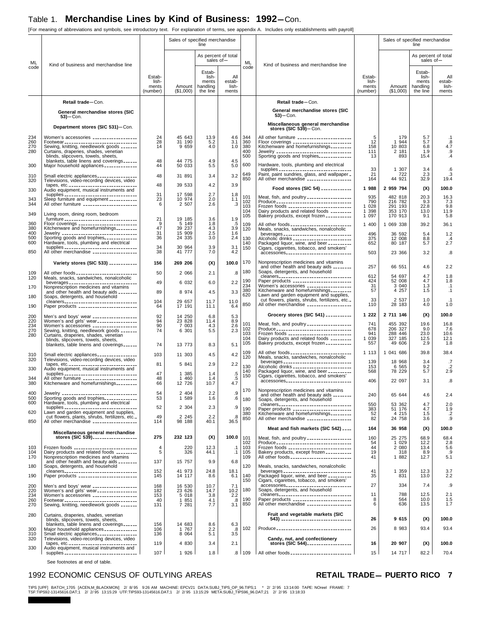[For meaning of abbreviations and symbols, see introductory text. For explanation of terms, see appendix A. Includes only establishments with payroll]

|                          |                                                                                                                                                                                                                                                           |                                      | Sales of specified merchandise        | line                                             |                                 |                                 |                                                                                                                                                                                    |                                                            | Sales of specified merchandise           | line                                             |                                         |
|--------------------------|-----------------------------------------------------------------------------------------------------------------------------------------------------------------------------------------------------------------------------------------------------------|--------------------------------------|---------------------------------------|--------------------------------------------------|---------------------------------|---------------------------------|------------------------------------------------------------------------------------------------------------------------------------------------------------------------------------|------------------------------------------------------------|------------------------------------------|--------------------------------------------------|-----------------------------------------|
| ML                       | Kind of business and merchandise line                                                                                                                                                                                                                     |                                      |                                       | As percent of total<br>sales of-                 |                                 | ML                              | Kind of business and merchandise line                                                                                                                                              |                                                            |                                          | As percent of total<br>sales of-                 |                                         |
| code                     |                                                                                                                                                                                                                                                           | Estab-<br>lish-<br>ments<br>(number) | Amount  <br>(\$1,000)                 | Estab-<br>lish-<br>ments<br>handling<br>the line | All<br>estab-<br>lish-<br>ments | code                            |                                                                                                                                                                                    | Estab-<br>lish-<br>ments<br>(number)                       | Amount<br>(\$1,000)                      | Estab-<br>lish-<br>ments<br>handling<br>the line | All<br>estab-<br>lish-<br>ments         |
|                          | Retail trade-Con.                                                                                                                                                                                                                                         |                                      |                                       |                                                  |                                 |                                 | Retail trade-Con.                                                                                                                                                                  |                                                            |                                          |                                                  |                                         |
|                          | General merchandise stores (SIC<br>$53$ ) – Con.                                                                                                                                                                                                          |                                      |                                       |                                                  |                                 |                                 | General merchandise stores (SIC<br>$53$ ) - Con.                                                                                                                                   |                                                            |                                          |                                                  |                                         |
|                          | Department stores (SIC 531)-Con.                                                                                                                                                                                                                          |                                      |                                       |                                                  |                                 |                                 | Miscellaneous general merchandise<br>stores $(SIC 539)$ -Con.                                                                                                                      |                                                            |                                          |                                                  |                                         |
| 234<br>260<br>270<br>280 | Women's accessories __________________<br>Footwear ________________________________<br>Sewing, knitting, needlework goods _______<br>Curtains, draperies, shades, venetian<br>blinds, slipcovers, towels, sheets,<br>blankets, table linens and coverings | 24<br>28<br>14<br>48                 | 45 643<br>31 190<br>9 6 5 9<br>44 775 | 13.9<br>5.2<br>4.0<br>4.9                        | 4.6<br>3.1<br>1.0<br>4.5        | 344<br>360<br>380<br>400<br>500 | All other furniture _______________________<br>Floor coverings<br>Kitchenware and homefurnishings_________                                                                         | $\begin{array}{c} 5 \\ 12 \end{array}$<br>158<br>111<br>13 | 179<br>1 944<br>10 803<br>2 181<br>893   | 5.7<br>5.7<br>6.8<br>1.9<br>15.4                 | $\cdot$ 1<br>.8<br>4.7<br>.9<br>$\cdot$ |
| 300                      | Major household appliances _____________                                                                                                                                                                                                                  | 44                                   | 50 033                                | 5.5                                              | 5.0                             | 600                             | Hardware, tools, plumbing and electrical<br>supplies ________________________________                                                                                              | 33                                                         | 1 307                                    | 3.4                                              | .6                                      |
| 310<br>320               | Small electric appliances<br>Televisions, video-recording devices, video                                                                                                                                                                                  | 48                                   | 31 891                                | 3.4                                              | 3.2                             | 649<br>850                      | Paint, paint sundries, glass, and wallpaper _<br>All other merchandise __________________                                                                                          | 21<br>164                                                  | 722<br>44 921                            | 2.3<br>32.9                                      | .3<br>19.4                              |
| 330                      | tapes, etc<br>Audio equipment, musical instruments and                                                                                                                                                                                                    | 48                                   | 39 533                                | 4.2                                              | 3.9                             |                                 | Food stores (SIC 54) ____________                                                                                                                                                  | 1 988                                                      | 2 959 794                                | (X)                                              | 100.0                                   |
| 343<br>344               | supplies _________________________________<br>Sleep furniture and equipment ___________<br>All other furniture _______________________                                                                                                                    | 31<br>23<br>6                        | 17 598<br>10 974<br>2 507             | 2.7<br>2.0<br>2.6                                | 1.8<br>1.1<br>.3                | 101<br>102<br>103<br>104        | Meat, fish, and poultry __________________<br>Produce ________________________________<br>Frozen foods ___________________________<br>Dairy products and related foods _________   | 935<br>790<br>1 0 28<br>1 3 9 8                            | 482 818<br>216 782<br>291 193<br>353 170 | 20.3<br>9.3<br>22.8<br>13.0                      | 16.3<br>7.3<br>9.8<br>11.9              |
| 349                      | Living room, dining room, bedroom<br>furniture ________________________________                                                                                                                                                                           | 21                                   | 19 185                                | 3.6                                              | 1.9                             | 105                             | Bakery products, except frozen ___________                                                                                                                                         | 1 0 9 7                                                    | 170 913                                  | 9.1                                              | 5.8                                     |
| 360<br>380<br>400        | Floor coverings _________________________<br>Kitchenware and homefurnishings_________                                                                                                                                                                     | 9<br>47<br>31                        | 5 149<br>39 237<br>15 909             | 1.8<br>$^{4.3}_{2.5}$                            | $.5\,$<br>3.9<br>1.6            | 109<br>120                      | All other foods __________________________<br>Meals, snacks, sandwiches, nonalcoholic                                                                                              | 1 400                                                      | 1 069 338                                | 39.2                                             | 36.1                                    |
| 500<br>600<br>850        | Jewelry __________________________________<br>Sporting goods and trophies_____________<br>Hardware, tools, plumbing and electrical<br>supplies ________________________________<br>All other merchandise __________________                               | 36<br>34<br>38                       | 24 335<br>30 964<br>41 777            | 3.0<br>3.9<br>7.0                                | 2.4<br>3.1<br>4.2               | 130<br>140<br>150               | beverages _______________________________<br>Alcoholic drinks _________________________<br>Packaged liquor, wine, and beer __________<br>Cigars, cigarettes, tobacco, and smokers' | 496<br>375<br>652                                          | 36 592<br>12 008<br>80 187               | 5.4<br>8.8<br>5.7                                | 1.2<br>.4<br>2.7                        |
|                          | Variety stores (SIC 533) ------------                                                                                                                                                                                                                     | 156                                  | 269 206                               | (X)                                              | 100.0                           | 170                             | accessories______________________________<br>Nonprescription medicines and vitamins                                                                                                | 503                                                        | 23 366                                   | 3.2                                              | .8                                      |
| 109                      | All other foods ____________________________                                                                                                                                                                                                              | 50                                   | 2 0 6 6                               | 2.1                                              | .8                              | 180                             | and other health and beauty aids ________<br>Soaps, detergents, and household                                                                                                      | 257                                                        | 66 551                                   | 4.6                                              | 2.2                                     |
| 120                      | Meals, snacks, sandwiches, nonalcoholic<br>beverages ______________________________                                                                                                                                                                       | 49                                   | 6 0 3 2                               | 6.0                                              | 2.2                             | 190                             | cleaners<br>Paper products _________________________                                                                                                                               | 612<br>424                                                 | 54 697<br>52 008                         | 4.7<br>4.7                                       | 1.8<br>1.8                              |
| 170                      | Nonprescription medicines and vitamins<br>and other health and beauty aids ________                                                                                                                                                                       | 89                                   | 8 9 7 4                               | 4.5                                              | 3.3                             | 234<br>380<br>620               | Women's accessories __________________<br>Kitchenware and homefurnishings                                                                                                          | 31<br>57                                                   | 3 0 4 0<br>4 2 5 7                       | 1.3<br>1.5                                       | $\cdot$ 1<br>$\cdot$ 1                  |
| 180<br>190               | Soaps, detergents, and household<br>cleaners_________________________________<br>Paper products ________________________                                                                                                                                  | 104<br>64                            | 29 657<br>17 191                      | 11.7<br>11.1                                     | 11.0<br>6.4                     | 850                             | Lawn and garden equipment and supplies,<br>cut flowers, plants, shrubs, fertilizers, etc.<br>All other merchandise __________________                                              | 33<br>110                                                  | 2 5 3 7<br>28 183                        | 1.0<br>4.0                                       | .1<br>1.0                               |
|                          |                                                                                                                                                                                                                                                           | 92                                   | 14 250                                | 6.8                                              | 5.3                             |                                 | Grocery stores (SIC 541)                                                                                                                                                           | 1 2 2 2                                                    | 2 711 146                                | (X)                                              | 100.0                                   |
| 200<br>220<br>234<br>270 | Men's and boys' wear<br>Women's and girls' wear<br>-------------------                                                                                                                                                                                    | 94<br>90                             | 23 828<br>7 003                       | 11.4<br>4.3                                      | 8.9<br>2.6                      | 101                             | Meat, fish, and poultry __________________                                                                                                                                         | 741                                                        | 455 392                                  | 19.6                                             | 16.8                                    |
| 280                      | Curtains, draperies, shades, venetian                                                                                                                                                                                                                     | 74                                   | 6 301                                 | 5.5                                              | 2.3                             | 102<br>103<br>104               | Produce _________________________________<br>Frozen foods ___________________________<br>Dairy products and related foods _________                                                | 678<br>941<br>1 0 3 9                                      | 206 327<br>288 446<br>327 185            | 9.0<br>23.0<br>12.5                              | 7.6<br>10.6<br>12.1                     |
|                          | blinds, slipcovers, towels, sheets,<br>blankets, table linens and coverings                                                                                                                                                                               | 74                                   | 13 773                                | 8.3                                              | 5.1                             | 105                             | Bakery products, except frozen ___________                                                                                                                                         | 557                                                        | 49 606                                   | 2.9                                              | 1.8                                     |
| 310<br>320               | Small electric appliances<br>Televisions, video-recording devices, video                                                                                                                                                                                  | 103                                  | 11 303                                | 4.5                                              | 4.2                             | 109<br>120                      | All other foods __________________________<br>Meals, snacks, sandwiches, nonalcoholic                                                                                              | 1 1 1 3                                                    | 1 041 686                                | 39.8                                             | 38.4                                    |
| 330                      | tapes, etc<br>Audio equipment, musical instruments and                                                                                                                                                                                                    | 81                                   | 5 841                                 | 2.9                                              | 2.2                             | 130                             | beverages _______________________________<br>Alcoholic drinks _________________________                                                                                            | 139<br>153                                                 | 18 968<br>6 5 6 5                        | 3.4<br>9.2                                       | .7<br>$\cdot$ .2                        |
| 344                      | supplies _________________________________<br>All other furniture _______________________                                                                                                                                                                 | 47<br>48                             | 1 385<br>1 460                        | 1.4<br>1.4                                       | $\frac{.5}{.5}$                 | 140<br>150                      | Packaged liquor, wine, and beer __________<br>Cigars, cigarettes, tobacco, and smokers'<br>accessories______________________________                                               | 568<br>406                                                 | 78 229<br>22 097                         | 5.7<br>3.1                                       | 2.9<br>$\overline{\mathbf{8}}$          |
| 380<br>400<br>500        | Kitchenware and homefurnishings________<br>Jewelry __________________________________<br>Sporting goods and trophies_____________                                                                                                                         | 66<br>54<br>53                       | 12 726<br>2 404<br>1 589              | 10.7<br>2.2<br>1.6                               | 4.7<br>.9<br>.6                 | 170                             | Nonprescription medicines and vitamins<br>and other health and beauty aids ________                                                                                                | 240                                                        | 65 644                                   | 4.6                                              | 2.4                                     |
| 600                      | Hardware, tools, plumbing and electrical<br>supplies ________________________________                                                                                                                                                                     | 52                                   | 2 3 0 4                               | 2.3                                              | .9                              | 180<br>190                      | Soaps, detergents, and household<br>cleaners__________________________________<br>Paper products ________________________                                                          | 550<br>383                                                 | 53 362<br>51 176                         | 4.7<br>4.7                                       | 2.0<br>1.9                              |
| 620                      | Lawn and garden equipment and supplies,<br>cut flowers, plants, shrubs, fertilizers, etc.                                                                                                                                                                 | 49                                   | 2 2 4 5                               | 2.2                                              | .8                              | 380<br>850                      | Kitchenware and homefurnishings<br>All other merchandise _____________________                                                                                                     | 52<br>82                                                   | 4 2 1 5<br>24 758                        | 1.5<br>3.6                                       | .2<br>.9                                |
| 850                      | All other merchandise __________________                                                                                                                                                                                                                  | 114                                  | 98 188                                | 40.1                                             | 36.5                            |                                 | Meat and fish markets (SIC 542)                                                                                                                                                    | 164                                                        | 36 958                                   | (X)                                              | 100.0                                   |
|                          | Miscellaneous general merchandise<br>stores (SIC 539)                                                                                                                                                                                                     | 275                                  | 232 123                               | (X)                                              | 100.0                           | 101                             | Meat, fish, and poultry __________________                                                                                                                                         | 160                                                        | 25 275                                   | 68.9                                             | 68.4                                    |
| 103<br>104               | Frozen foods ________________________<br>Dairy products and related foods _________                                                                                                                                                                       | $^{\rm 4}_{\rm 5}$                   | 220<br>326                            | 12.3<br>44.1                                     | $\cdot$ 1<br>.1                 | 102<br>103<br>105               | Produce ________________________________<br>Frozen foods ___________________________<br>Bakery products, except frozen __________                                                  | 54<br>44<br>19                                             | 1 0 2 9<br>2 080<br>318                  | 12.2<br>13.4<br>8.9                              | 2.8<br>5.6<br>.9                        |
| 170                      | Nonprescription medicines and vitamins<br>and other health and beauty aids ________                                                                                                                                                                       | 137                                  | 15 757                                | 9.9                                              | 6.8                             | 109                             | All other foods __________________________                                                                                                                                         | 41                                                         | 1 882                                    | 12.7                                             | 5.1                                     |
| 180                      | Soaps, detergents, and household<br>cleaners_________________________________                                                                                                                                                                             | 152                                  | 41 973                                | 24.8                                             | 18.1                            | 120                             | Meals, snacks, sandwiches, nonalcoholic<br>beverages ______________________________                                                                                                | 41                                                         | 1 359                                    | 12.3                                             | 3.7                                     |
| 190                      | Paper products ________________________                                                                                                                                                                                                                   | 145                                  | 14 117                                | 8.6                                              | 6.1                             | 140<br>150                      | Packaged liquor, wine, and beer __________<br>Cigars, cigarettes, tobacco, and smokers'                                                                                            | 35                                                         | 831                                      | 13.0                                             | 2.2                                     |
| 200<br>220               | Men's and boys' wear __________________<br>Women's and girls' wear                                                                                                                                                                                        | 168<br>182                           | 16 530<br>23 626                      | 10.7<br>14.7                                     | 7.1<br>10.2                     | 180                             | accessories<br>Soaps, detergents, and household<br>cleaners _________________________________                                                                                      | 27<br>11                                                   | 334<br>788                               | 7.4<br>12.5                                      | .9<br>2.1                               |
| 234<br>260<br>270        | Women's accessories __________________<br>Footwear_______________________________<br>Sewing, knitting, needlework goods _______                                                                                                                           | 153<br>40<br>131                     | 5 0 18<br>1 851<br>7 281              | 3.8<br>4.1<br>7.7                                | 2.2<br>.8<br>3.1                | 190<br>850                      | Paper products ________________________<br>All other merchandise __________________                                                                                                | 8<br>6                                                     | 564<br>636                               | 10.0<br>13.5                                     | 1.5<br>1.7                              |
| 280                      | Curtains, draperies, shades, venetian                                                                                                                                                                                                                     |                                      |                                       |                                                  |                                 |                                 | Fruit and vegetable markets (SIC                                                                                                                                                   |                                                            |                                          |                                                  |                                         |
|                          | blinds, slipcovers, towels, sheets,<br>blankets, table linens and coverings                                                                                                                                                                               | 156                                  | 14 683                                | 8.6                                              | 6.3                             |                                 | 543) __________________________________                                                                                                                                            | 26                                                         | 9 615                                    | (X)                                              | 100.0                                   |
| 300<br>310               | Major household appliances _____________<br>Small electric appliances ________________                                                                                                                                                                    | 106<br>136                           | 1 767<br>8 0 6 4                      | 2.2<br>5.1                                       | .8<br>3.5                       | 102                             | Produce _________________________________                                                                                                                                          | 26                                                         | 8 9 8 3                                  | 93.4                                             | 93.4                                    |
| 320                      | Televisions, video-recording devices, video<br>tapes, etc. ________________________________                                                                                                                                                               | 119                                  | 4 8 3 0                               | 3.4                                              | 2.1                             |                                 | Candy, nut, and confectionery                                                                                                                                                      | 16                                                         | 20 907                                   | (X)                                              | 100.0                                   |
| 330                      | Audio equipment, musical instruments and<br>supplies _________________________________                                                                                                                                                                    | 107                                  | 1 926                                 | 1.8                                              |                                 | .8 109                          | All other foods __________________________                                                                                                                                         | 15                                                         | 14 717                                   | 82.2                                             | 70.4                                    |

See footnotes at end of table.

### 1992 ECONOMIC CENSUS OF OUTLYING AREAS **RETAIL TRADE-PUERTO RICO**

TIPS [UPF] BATCH\_1705 [ACEN,M\_BLACKMON] 2/8/95 9:26 AM MACHINE: EPCV21 DATA:SUBJ\_TIPS\_OP\_96.TIPS;1 \* 2/2/95 13:14:00 TAPE: NOreel FRAME: 7<br>TSF:TIPS92-13145616.DAT;1 2/2/95 13:15:29 UTF:TIPS93-13145616.DAT;1 2/2/95 13:15:29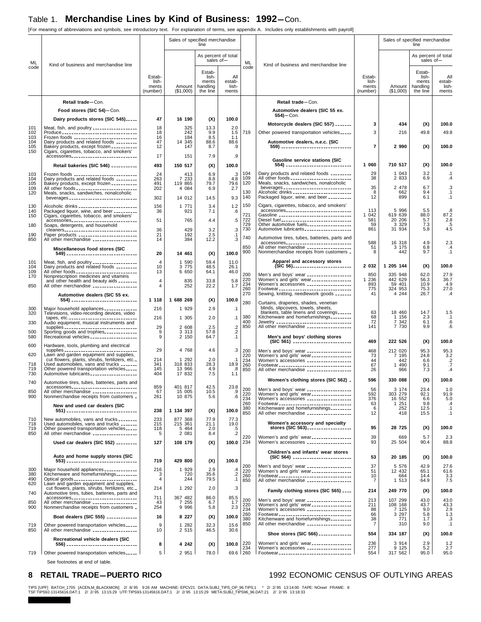[For meaning of abbreviations and symbols, see introductory text. For explanation of terms, see appendix A. Includes only establishments with payroll]

|                   |                                                                                                                                                   |                                      | Sales of specified merchandise | line                                             |                                  |                   |                                                                                                                             |                                      | Sales of specified merchandise | line                                             |                                 |
|-------------------|---------------------------------------------------------------------------------------------------------------------------------------------------|--------------------------------------|--------------------------------|--------------------------------------------------|----------------------------------|-------------------|-----------------------------------------------------------------------------------------------------------------------------|--------------------------------------|--------------------------------|--------------------------------------------------|---------------------------------|
| ML                | Kind of business and merchandise line                                                                                                             |                                      |                                |                                                  | As percent of total<br>sales of- | ML                | Kind of business and merchandise line                                                                                       |                                      |                                | As percent of total<br>sales of-                 |                                 |
| code              |                                                                                                                                                   | Estab-<br>lish-<br>ments<br>(number) | Amount<br>(\$1,000)            | Estab-<br>lish-<br>ments<br>handling<br>the line | All<br>estab-<br>lish-<br>ments  | code              |                                                                                                                             | Estab-<br>lish-<br>ments<br>(number) | Amount<br>(\$1,000)            | Estab-<br>lish-<br>ments<br>handling<br>the line | All<br>estab-<br>lish-<br>ments |
|                   | Retail trade-Con.                                                                                                                                 |                                      |                                |                                                  |                                  |                   | Retail trade-Con.                                                                                                           |                                      |                                |                                                  |                                 |
|                   | Food stores (SIC 54)-Con.                                                                                                                         |                                      |                                |                                                  |                                  |                   | Automotive dealers (SIC 55 ex.                                                                                              |                                      |                                |                                                  |                                 |
|                   | Dairy products stores (SIC 545)                                                                                                                   | 47                                   | 16 190                         | (X)                                              | 100.0                            |                   | $554$ ) - Con.                                                                                                              |                                      |                                |                                                  |                                 |
| 101<br>102        | Meat, fish, and poultry __________________<br>Produce ________________________________                                                            | 18<br>18                             | 325<br>242                     | 13.3<br>9.9                                      | 2.0<br>1.5                       | 719               | Motorcycle dealers (SIC 557)<br>Other powered transportation vehicles_____                                                  | 3<br>3                               | 434<br>216                     | (X)<br>49.8                                      | 100.0<br>49.8                   |
| 103<br>104        | Frozen foods ___________________________<br>Dairy products and related foods ________                                                             | 16<br>47                             | 184<br>14 345                  | 8.5<br>88.6                                      | 1.1<br>88.6                      |                   | Automotive dealers, n.e.c. (SIC                                                                                             |                                      |                                |                                                  |                                 |
| 105<br>150        |                                                                                                                                                   | 12                                   | 147                            | 8.7                                              | .9                               |                   | 559) _________________________________                                                                                      | $\overline{7}$                       | 2 9 9 0                        | (X)                                              | 100.0                           |
|                   |                                                                                                                                                   | 17                                   | 151                            | 7.9                                              | .9                               |                   | <b>Gasoline service stations (SIC</b>                                                                                       |                                      |                                |                                                  |                                 |
|                   | Retail bakeries (SIC 546) __________                                                                                                              | 493<br>24                            | 150 517<br>413                 | (X)<br>6.9                                       | 100.0                            | 104               | 554) _______________________________<br>Dairy products and related foods _________                                          | 1 060<br>29                          | 710 517<br>1 043               | (X)<br>3.2                                       | 100.0<br>.1                     |
| 103<br>104<br>105 | Frozen foods ___________________________<br>Dairy products and related foods _________<br>Bakery products, except frozen __________               | 263<br>491                           | 7 233<br>119 865               | 8.8<br>79.7                                      | $\cdot$ 3<br>4.8<br>79.6         | 109<br>120        | All other foods __________________________<br>Meals, snacks, sandwiches, nonalcoholic                                       | 38                                   | 2 8 3 3                        | 6.9                                              | $\cdot$                         |
| 109<br>120        | All other foods __________________________<br>Meals, snacks, sandwiches, nonalcoholic                                                             | 202                                  | 4 0 8 4                        | 6.9                                              | 2.7                              | 130               | beverages _______________________________<br>Alcoholic drinks _________________________                                     | 35<br>8                              | 2 478<br>662                   | 6.7<br>9.4                                       | .3<br>.1                        |
|                   | beverages ______________________________                                                                                                          | 302                                  | 14 012                         | 14.5                                             | 9.3                              | 140               | Packaged liquor, wine, and beer __________                                                                                  | 12                                   | 899                            | 6.1                                              | $\cdot$ 1                       |
| 130<br>140        | Alcoholic drinks _________________________<br>Packaged liquor, wine, and beer _________                                                           | 156<br>36                            | 1 771<br>921                   | 3.4<br>7.1                                       | 1.2<br>.6                        | 150               | Cigars, cigarettes, tobacco, and smokers'<br>accessories                                                                    | 113                                  | 5 9 9 6                        | 5.5                                              | .8                              |
| 150               | Cigars, cigarettes, tobacco, and smokers'<br>accessories                                                                                          | 51                                   | 765                            | 4.4                                              | $.5\,$                           | 721<br>722<br>729 | Gasoline _______________________________<br>Diesel fuel_______________________________                                      | 1 042<br>581                         | 619 639<br>20 20 6<br>3 3 2 9  | 88.0<br>5.7                                      | 87.2<br>2.8                     |
| 180<br>190        | Soaps, detergents, and household<br>cleaners<br>Paper products _________________________                                                          | 36<br>21                             | 429<br>192                     | 3.2<br>2.5                                       | $\cdot$ 3                        | 730               | Other automotive fuels__________________<br>Automotive lubricants ___________________                                       | 59<br>861                            | 31 934                         | 7.3<br>5.8                                       | .5<br>4.5                       |
| 850               | All other merchandise __________________                                                                                                          | 14                                   | 384                            | 12.2                                             | $\cdot$ 1<br>.3                  | 740               | Automotive tires, tubes, batteries, parts and<br>accessories                                                                | 588                                  | 16 318                         | 4.9                                              | 2.3                             |
|                   | Miscellaneous food stores (SIC<br>549) ___________________________________                                                                        | 20                                   | 14 461                         | (X)                                              | 100.0                            | 850<br>900        | All other merchandise __________________<br>Nonmerchandise receipts from customers _                                        | 51<br>8                              | 3 175<br>442                   | 6.8<br>9.7                                       | $\cdot$<br>.1                   |
| 101               | Meat, fish, and poultry _________________<br>Dairy products and related foods _________                                                           | $\overline{4}$                       | 1 590                          | 59.4                                             | 11.0                             |                   | Apparel and accessory stores                                                                                                | 2 0 3 2                              | 1 205 144                      |                                                  | 100.0                           |
| 104<br>109<br>170 | All other foods __________________________                                                                                                        | 10<br>13                             | 3 7 7 5<br>6 650               | 48.5<br>64.1                                     | 26.1<br>46.0                     | 200               | (SIC 56)<br>Men's and boys' wear __________________                                                                         | 850                                  | 335 948                        | (X)<br>62.0                                      | 27.9                            |
| 850               | Nonprescription medicines and vitamins<br>and other health and beauty aids ________<br>All other merchandise ___________________                  | $\overline{4}$<br>4                  | 835<br>252                     | 33.8<br>22.2                                     | 5.8<br>1.7                       | 220<br>234        | Women's and girls' wear-----------------<br>Women's accessories __________________                                          | 1 2 3 6<br>893                       | 442 629<br>59 401              | 56.3<br>10.9                                     | 36.7<br>4.9                     |
|                   | Automotive dealers (SIC 55 ex.                                                                                                                    |                                      |                                |                                                  |                                  | 260<br>270        | Footwear ________________________________<br>Sewing, knitting, needlework goods _______                                     | 775<br>41                            | 324 953<br>4 2 4 4             | 75.3<br>26.7                                     | 27.0<br>$\cdot$                 |
|                   | 554) _______________________________                                                                                                              | 1 1 1 8                              | 1 688 269                      | (X)                                              | 100.0                            | 280               | Curtains, draperies, shades, venetian                                                                                       |                                      |                                |                                                  |                                 |
| 300<br>320        | Major household appliances _____________<br>Televisions, video-recording devices, video                                                           | 216                                  | 1 929                          | 2.9                                              | $\cdot$ 1                        | 380               | blinds, slipcovers, towels, sheets,<br>blankets, table linens and coverings<br>Kitchenware and homefurnishings              | 63<br>68                             | 18 460<br>1 156                | 14.7<br>2.3                                      | 1.5<br>$\cdot$ 1                |
| 330               | tapes, etc. _______________________________<br>Audio equipment, musical instruments and<br>supplies ________________________________              | 216<br>29                            | 1 305<br>2 608                 | 2.0<br>2.5                                       | $\cdot$ 1<br>$.2\,$              | 400<br>850        | Jewelry ---------------------------------<br>All other merchandise __________________                                       | 72<br>141                            | 7 3 4 2<br>7 7 3 0             | 6.1<br>9.9                                       | .6<br>.6                        |
| 500<br>580        | Sporting goods and trophies_____________<br>Recreational vehicles ___________________                                                             | 9<br>9                               | 3 3 1 3<br>2 150               | 57.8<br>64.7                                     | $\cdot$<br>$\cdot$ 1             |                   | Men's and boys' clothing stores                                                                                             |                                      |                                |                                                  |                                 |
| 600               | Hardware, tools, plumbing and electrical                                                                                                          |                                      |                                |                                                  |                                  |                   |                                                                                                                             | 469                                  | 222 526                        | (X)                                              | 100.0                           |
| 620               | supplies _________________________________<br>Lawn and garden equipment and supplies,                                                             | 29                                   | 4 768                          | 4.6                                              | .3                               | 200<br>220<br>234 | Men's and boys' wear __________________<br>Women's and girls' wear ________________                                         | 468<br>73                            | 212 020<br>7 195               | 95.3<br>24.8                                     | 95.3<br>3.2                     |
| 718<br>719        | cut flowers, plants, shrubs, fertilizers, etc.<br>Used automobiles, vans and trucks _______<br>Other powered transportation vehicles              | 214<br>341<br>145                    | 1 2 9 2<br>318 833<br>13 966   | 2.0<br>28.3<br>4.9                               | $\cdot$ 1<br>18.9<br>.8          | 260               | Women's accessories __________________<br>Footwear ________________________________                                         | 44<br>67                             | 442<br>1 490                   | 6.6<br>9.1                                       | $\frac{.2}{.7}$                 |
| 730               | Automotive lubricants ___________________                                                                                                         | 404                                  | 17 832                         | 7.5                                              | 1.1                              | 850               | All other merchandise __________________                                                                                    | 26                                   | 966                            | 7.3                                              | .4                              |
| 740               | Automotive tires, tubes, batteries, parts and<br>accessories <sub>-----------------------------</sub>                                             | 859                                  | 401 817                        | 42.5                                             | 23.8                             | 200               | Women's clothing stores (SIC 562) .                                                                                         | 596<br>56                            | 330 088<br>3 174               | (X)<br>23.4                                      | 100.0<br>1.0                    |
| 850<br>900        | All other merchandise __________________<br>Nonmerchandise receipts from customers _                                                              | 67<br>261                            | 15 005<br>10 875               | 10.5<br>5.6                                      | .9<br>.6                         | 220<br>234        |                                                                                                                             | 592<br>376                           | 303 279<br>16 552              | 92.1<br>6.6                                      | 91.9<br>5.0                     |
|                   | New and used car dealers (SIC                                                                                                                     | 238                                  | 1 134 397                      |                                                  | 100.0                            | 260<br>380<br>850 | Footwear ________________________________<br>Kitchenware and homefurnishings                                                | 63<br>6                              | 1 251<br>252                   | 9.8<br>12.5                                      | .4<br>$\cdot$ 1                 |
| 710               | 551) ---------------------------------<br>New automobiles, vans and trucks ________                                                               | 233                                  | 877 368                        | (X)<br>77.9                                      | 77.3                             |                   |                                                                                                                             | 12                                   | 418                            | 15.5                                             | $\cdot$ 1                       |
| 718<br>719        | Used automobiles, vans and trucks _______<br>Other powered transportation vehicles                                                                | 215<br>118                           | 215 361<br>5 464<br>2 081      | 21.1<br>2.0                                      | 19.0                             |                   | Women's accessory and specialty<br>stores (SIC 563)                                                                         | 95                                   | 28 725                         | (X)                                              | 100.0                           |
| 850               | All other merchandise __________________                                                                                                          | 5                                    |                                | 8.4                                              | $\frac{.5}{.2}$                  | 220               | Women's and girls' wear-----------------<br>Women's accessories -------------------                                         | 39                                   | 669                            | 5.7                                              | 2.3                             |
|                   | Used car dealers (SIC 552) ________                                                                                                               | 127                                  | 108 179                        | (X)                                              | 100.0                            | 234               | Children's and infants' wear stores                                                                                         | 93                                   | 25 504                         | 90.4                                             | 88.8                            |
|                   | Auto and home supply stores (SIC<br>553) -------------------------------                                                                          | 719                                  | 429 800                        | (X)                                              | 100.0                            |                   | (SIC 564) _________________________                                                                                         | 53                                   | 20 185                         | (X)                                              | 100.0                           |
| 300               | Major household appliances _____________                                                                                                          | 216                                  | 1 929                          | 2.9                                              | .4                               | 200<br>220<br>260 | Men's and boys' wear __________________<br>Women's and girls' wear _________________                                        | 37<br>51                             | 5 5 7 6<br>12 432              | 42.9<br>65.1                                     |                                 |
| 380<br>490        | Kitchenware and homefurnishings________                                                                                                           | 3<br>4                               | 720<br>244                     | 35.6<br>79.5                                     | $\frac{1}{1}$                    | 850               | Footwear _______________________________<br>All other merchandise ___________________                                       | 10<br>7                              | 664<br>1 513                   | 14.4<br>64.9                                     | $27.6$<br>61.6<br>3.3<br>7.5    |
| 620<br>740        | Lawn and garden equipment and supplies,<br>cut flowers, plants, shrubs, fertilizers, etc.                                                         | 214                                  | 1 292                          | 2.0                                              | .3                               |                   | Family clothing stores (SIC 565) ____                                                                                       | 214                                  | 249 770                        | (X)                                              | 100.0                           |
| 850               | Automotive tires, tubes, batteries, parts and<br>accessories <sub>-----------------------------</sub><br>All other merchandise __________________ | 711<br>43                            | 367 482<br>7 255               | 86.0<br>6.7                                      | $85.5$<br>1.7                    | 200               | Men's and boys' wear __________________                                                                                     | 213                                  | 107 299                        | 43.0                                             | 43.0                            |
| 900               | Nonmerchandise receipts from customers _                                                                                                          | 254                                  | 9 9 9 6                        | 5.8                                              | 2.3                              | 220<br>234        | Women's and girls' wear<br>Women's accessories __________________                                                           | 211<br>88                            | 108 168<br>7 125               | 43.7<br>9.0                                      | $43.3$<br>$2.9$<br>$1.3$        |
|                   | Boat dealers (SIC 555) ____________                                                                                                               | 16                                   | 8 2 2 7                        | (X)                                              | 100.0                            | 260<br>380<br>850 | Footwear ________________________________<br>Kitchenware and homefurnishings<br>All other merchandise _____________________ | 66<br>38<br>$\overline{7}$           | 3 2 9 7<br>771<br>310          | 5.8<br>1.7<br>9.0                                | .3<br>.1                        |
| 719<br>850        | Other powered transportation vehicles<br>All other merchandise __________________                                                                 | 9<br>10                              | 1 282<br>2 5 1 5               | 32.3<br>46.5                                     | 15.6<br>30.6                     |                   | Shoe stores (SIC 566) _____________                                                                                         | 554                                  | 334 187                        | (X)                                              | 100.0                           |
|                   | Recreational vehicle dealers (SIC                                                                                                                 | 8                                    | 4 242                          | (X)                                              | 100.0                            | 220               | Women's and girls' wear ________________                                                                                    | 236                                  | 3 9 1 4                        | 2.9                                              | 1.2                             |
| 719               | Other powered transportation vehicles                                                                                                             | 5                                    | 2 9 5 1                        | 78.0                                             |                                  | 234<br>69.6 260   | Women's accessories __________________<br>Footwear ________________________________                                         | 277<br>554                           | 9 1 2 5<br>317 562             | 5.2<br>95.0                                      | 2.7<br>95.0                     |
|                   |                                                                                                                                                   |                                      |                                |                                                  |                                  |                   |                                                                                                                             |                                      |                                |                                                  |                                 |

See footnotes at end of table.

### 8 RETAIL TRADE-PUERTO RICO<br>
1992 ECONOMIC CENSUS OF OUTLYING AREAS

TIPS [UPF] BATCH\_1705 [ACEN,M\_BLACKMON] 2/8/95 9:26 AM MACHINE: EPCV21 DATA:SUBJ\_TIPS\_OP\_96.TIPS;1 \* 2/2/95 13:14:00 TAPE: NOreel FRAME: 8<br>TSF:TIPS92-13145616.DAT;1 2/2/95 13:15:29 UTF:TIPS93-13145616.DAT;1 2/2/95 13:15:29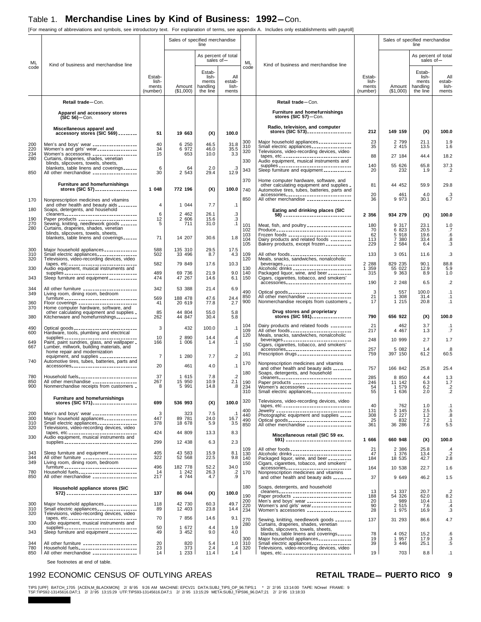[For meaning of abbreviations and symbols, see introductory text. For explanation of terms, see appendix A. Includes only establishments with payroll]

|                   |                                                                                                                                         |                                      | Sales of specified merchandise | line                                             |                                  |                   |                                                                                                                                      |                                      | Sales of specified merchandise | line                                             |                                         |
|-------------------|-----------------------------------------------------------------------------------------------------------------------------------------|--------------------------------------|--------------------------------|--------------------------------------------------|----------------------------------|-------------------|--------------------------------------------------------------------------------------------------------------------------------------|--------------------------------------|--------------------------------|--------------------------------------------------|-----------------------------------------|
| ML                |                                                                                                                                         |                                      |                                |                                                  | As percent of total<br>sales of- | ML                |                                                                                                                                      |                                      |                                | As percent of total<br>sales of-                 |                                         |
| code              | Kind of business and merchandise line                                                                                                   | Estab-<br>lish-<br>ments<br>(number) | Amount  <br>(\$1,000)          | Estab-<br>lish-<br>ments<br>handling<br>the line | All<br>estab-<br>lish-<br>ments  | code              | Kind of business and merchandise line                                                                                                | Estab-<br>lish-<br>ments<br>(number) | Amount<br>(\$1,000)            | Estab-<br>lish-<br>ments<br>handling<br>the line | All<br>estab-<br>lish-<br>ments         |
|                   | Retail trade-Con.                                                                                                                       |                                      |                                |                                                  |                                  |                   | Retail trade-Con.                                                                                                                    |                                      |                                |                                                  |                                         |
|                   | Apparel and accessory stores<br>$(SIC 56)$ -Con.                                                                                        |                                      |                                |                                                  |                                  |                   | Furniture and homefurnishings<br>stores (SIC 57)-Con.                                                                                |                                      |                                |                                                  |                                         |
|                   | Miscellaneous apparel and<br>accessory stores (SIC 569) ________                                                                        | 51                                   | 19 663                         | (X)                                              | 100.0                            |                   | Radio, television, and computer<br>stores (SIC 573)                                                                                  | 212                                  | 149 159                        | (X)                                              | 100.0                                   |
| 200               | Men's and boys' wear __________________                                                                                                 | 40                                   | 6 250                          | 46.5                                             | 31.8                             | 300<br>310<br>320 | Major household appliances _____________<br>Small electric appliances ________________                                               | 23<br>35                             | 2 7 9 9<br>2 4 1 5             | 21.1<br>13.5                                     | 1.9<br>1.6                              |
| 220<br>234<br>280 | Women's and girls' wear-----------------<br>Women's accessories __________________<br>Curtains, draperies, shades, venetian             | 34<br>15                             | 6 972<br>653                   | 46.0<br>10.0                                     | 35.5<br>3.3                      |                   | Televisions, video-recording devices, video<br>tapes, etc. _______________________________                                           | 88                                   | 27 184                         | 44.4                                             | 18.2                                    |
|                   | blinds, slipcovers, towels, sheets,<br>blankets, table linens and coverings                                                             | 6                                    | 64                             | 2.0                                              | .3                               | 330<br>343        | Audio equipment, musical instruments and<br>supplies _________________________________<br>Sleep furniture and equipment ___________  | 140<br>20                            | 55 626<br>232                  | 65.8<br>1.9                                      | 37.3<br>$\cdot$                         |
| 850               | All other merchandise ___________________                                                                                               | 30                                   | 2 5 4 3                        | 29.4                                             | 12.9                             | 370               | Home computer hardware, software, and                                                                                                |                                      |                                |                                                  |                                         |
|                   | Furniture and homefurnishings<br>stores (SIC 57) __________________                                                                     | 1 048                                | 772 196                        | (X)                                              | 100.0                            | 740               | other calculating equipment and supplies _<br>Automotive tires, tubes, batteries, parts and                                          | 81                                   | 44 452                         | 59.9                                             | 29.8                                    |
| 170               | Nonprescription medicines and vitamins<br>and other health and beauty aids ________                                                     | $\sqrt{4}$                           | 1 0 4 4                        | 7.7                                              | $\cdot$ 1                        | 850               | accessories<br>All other merchandise __________________                                                                              | 20<br>36                             | 461<br>9 9 7 3                 | 4.0<br>30.1                                      | .3<br>6.7                               |
| 180               | Soaps, detergents, and household<br>cleaners_________________________________                                                           | 6                                    | 2 4 6 2                        | 26.1                                             |                                  |                   | Eating and drinking places (SIC<br>58) ------------------------------                                                                | 2 3 5 6                              | 934 279                        | (X)                                              | 100.0                                   |
| 190<br>270        | Paper products ________________________<br>Sewing, knitting, needlework goods _______                                                   | 12<br>5                              | 2 606<br>711                   | 15.6<br>31.0                                     | $\frac{3}{3}$<br>.1              | 101               | Meat, fish, and poultry __________________                                                                                           | 180                                  | 9 317                          | 23.1                                             | 1.0                                     |
| 280               | Curtains, draperies, shades, venetian<br>blinds, slipcovers, towels, sheets,<br>blankets, table linens and coverings                    | 71                                   | 14 207                         | 30.6                                             | 1.8                              | 102<br>103        | Produce _________________________________<br>Frozen foods ___________________________                                                | 70<br>62                             | 6 823<br>5 9 1 8               | 20.5<br>19.6                                     | .7<br>.6                                |
| 300               | Major household appliances _____________                                                                                                | 588                                  | 135 310                        | 29.5                                             | 17.5                             | 104<br>105        | Dairy products and related foods ________<br>Bakery products, except frozen __________                                               | 113<br>229                           | 7 380<br>2 5 8 4               | 33.4<br>6.4                                      | .8<br>.3                                |
| 310<br>320        | Small electric appliances ________________<br>Televisions, video-recording devices, video                                               | 502                                  | 33 496                         | 8.7                                              | 4.3                              | 109<br>120        | All other foods _________________________<br>Meals, snacks, sandwiches, nonalcoholic                                                 | 133                                  | 3 0 5 1                        | 11.6                                             | $\cdot$ 3                               |
| 330               | tapes, etc<br>Audio equipment, musical instruments and                                                                                  | 582<br>489                           | 79 849                         | 17.6<br>21.9                                     | 10.3<br>9.0                      | 130<br>140        | beverages ______________________________<br>Alcoholic drinks _________________________                                               | 2 2 8 8<br>1 359<br>315              | 829 235<br>55 022<br>9 3 6 3   | 90.1<br>12.9                                     | 88.8<br>5.9                             |
| 343               | supplies ________________________________<br>Sleep furniture and equipment ___________                                                  | 474                                  | 69 736<br>47 267               | 14.6                                             | 6.1                              | 150               | Packaged liquor, wine, and beer __________<br>Cigars, cigarettes, tobacco, and smokers'<br>accessories______________________________ | 190                                  | 2 2 4 8                        | 8.9<br>6.5                                       | 1.0<br>$\overline{2}$                   |
| 344<br>349        | All other furniture _______________________<br>Living room, dining room, bedroom                                                        | 342                                  | 53 388                         | 21.4                                             | 6.9                              | 490               |                                                                                                                                      | 3<br>21                              | 557                            | 100.0                                            | .1                                      |
| 360<br>370        | Floor coverings ________________________                                                                                                | 569<br>41                            | 188 478<br>20 619              | 47.6<br>77.8                                     | 24.4<br>2.7                      | 850<br>900        | Nonmerchandise receipts from customers _                                                                                             | 17                                   | 1 308<br>1 2 1 5               | 31.4<br>20.8                                     | $\cdot$ 1<br>$\cdot$ 1                  |
| 380               | Home computer hardware, software, and<br>other calculating equipment and supplies _<br>Kitchenware and homefurnishings                  | 85<br>262                            | 44 804<br>44 847               | 55.0<br>30.4                                     | 5.8<br>5.8                       |                   | Drug stores and proprietary<br>stores (SIC 591) __________________                                                                   | 790                                  | 656 922                        | (X)                                              | 100.0                                   |
| 490<br>600        | Optical goods ___________________________                                                                                               | 3                                    | 432                            | 100.0                                            | .1                               | 104<br>109        | Dairy products and related foods _________<br>All other foods __________________________                                             | 21<br>217                            | 462<br>4 4 6 7                 | 3.7<br>1.3                                       | .1<br>.7                                |
| 649               | Hardware, tools, plumbing and electrical<br>supplies _________________________________<br>Paint, paint sundries, glass, and wallpaper _ | 10<br>166                            | 2 8 9 0<br>1 006               | 14.4<br>1.4                                      | $\cdot$ 4<br>.1                  | 120               | Meals, snacks, sandwiches, nonalcoholic<br>beverages _______________________________                                                 | 248                                  | 10 999                         | 2.7                                              | 1.7                                     |
| 667               | Lumber, millwork, building materials, and<br>home repair and modernization                                                              |                                      |                                |                                                  |                                  | 150<br>161        | Cigars, cigarettes, tobacco, and smokers'                                                                                            | 257<br>759                           | 5 082<br>397 150               | 1.4<br>61.2                                      | .8<br>60.5                              |
| 740               | equipment, and supplies _______________<br>Automotive tires, tubes, batteries, parts and<br>accessories                                 | $\overline{7}$<br>20                 | 1 280<br>461                   | 7.7<br>4.0                                       | $\cdot$ .2<br>.1                 | 170               | Nonprescription medicines and vitamins                                                                                               |                                      |                                |                                                  |                                         |
| 780               | Household fuels_________________________                                                                                                | 37                                   | 1 615                          | 7.8                                              | $\cdot$ .2                       | 180               | and other health and beauty aids ________<br>Soaps, detergents, and household<br>cleaners________________________________            | 757<br>285                           | 166 842<br>8 8 5 0             | 25.8<br>4.4                                      | 25.4<br>1.3                             |
| 850<br>900        | All other merchandise __________________<br>Nonmerchandise receipts from customers _                                                    | 267<br>8                             | 15 950<br>5991                 | 10.9<br>14.8                                     | 2.1<br>.8                        | 190<br>234<br>310 | Paper products _________________________<br>Women's accessories __________________<br>Small electric appliances                      | 246<br>54<br>55                      | 11 142<br>1 579<br>1 636       | 6.3<br>6.2<br>2.0                                | 1.7<br>$\overline{2}$<br>$\overline{2}$ |
|                   | <b>Furniture and homefurnishings</b><br>stores (SIC 571)                                                                                | 699                                  | 536 993                        | (X)                                              | 100.0                            | 320               | Televisions, video-recording devices, video<br>tapes, etc. ________________________________                                          | 40                                   | 762                            | 1.0                                              | $\cdot$ 1                               |
| 200<br>300        | Men's and boys' wear __________________<br>Major household appliances _____________                                                     | 3<br>447                             | 323<br>89 781                  | 7.5<br>24.0                                      | $\cdot$ 1<br>16.7                | 400<br>440        | Jewelry _________________________________<br>Photographic equipment and supplies _____                                               | 131<br>308                           | 3 1 4 5<br>5 2 2 7             | 2.5<br>1.2                                       | .5<br>.8                                |
| 310<br>320        | Small electric appliances _________________<br>Televisions, video-recording devices, video                                              | 378                                  | 18 678                         | 5.9                                              | 3.5                              | 490<br>850        | All other merchandise __________________                                                                                             | 25<br>361                            | 832<br>36 286                  | 7.2<br>7.6                                       | .1<br>5.5                               |
| 330               | tapes, etc. ________________________________<br>Audio equipment, musical instruments and                                                | 424                                  | 44 809                         | 13.3                                             | 8.3                              |                   | Miscellaneous retail (SIC 59 ex.<br>591) ------------------------------                                                              | 1 666                                | 660 948                        | (X)                                              | 100.0                                   |
|                   | supplies _________________________________                                                                                              | 299<br>405                           | 12 438<br>43 583               | 6.3                                              | 2.3                              | 109               | All other foods __________________________                                                                                           | 21                                   | 2 386                          | 25.8                                             | .4                                      |
| 343<br>344<br>349 | Sleep furniture and equipment ___________<br>All other furniture _______________________<br>Living room, dining room, bedroom           | 322                                  | 52 568                         | 15.9<br>22.5                                     | 8.1<br>9.8                       | 130<br>140<br>150 | Alcoholic drinks ________________________<br>Packaged liquor, wine, and beer _________<br>Cigars, cigarettes, tobacco, and smokers'  | 47<br>184                            | 1 376<br>18 535                | 13.4<br>42.7                                     | $\cdot$<br>2.8                          |
| 780<br>850        | furniture _________________________________<br>Household fuels_________________________                                                 | 496<br>14<br>217                     | 182 778<br>1 242<br>4 744      | 52.2<br>26.3                                     | 34.0<br>$.2\phantom{0}$<br>.9    | 170               | accessories<br>Nonprescription medicines and vitamins                                                                                | 164                                  | 10 538                         | 22.7                                             | 1.6                                     |
|                   | All other merchandise __________________<br>Household appliance stores (SIC                                                             |                                      |                                | 4.7                                              |                                  | 180               | and other health and beauty aids ________<br>Soaps, detergents, and household                                                        | 37                                   | 9 649                          | 46.2                                             | 1.5                                     |
|                   |                                                                                                                                         | 137                                  | 86 044                         | (X)                                              | 100.0                            | 190               | cleaners________________________________<br>Paper products ________________________                                                  | 13<br>188                            | 1 3 3 7<br>54 326              | 20.7<br>62.0                                     | $\cdot$<br>8.2                          |
| 300<br>310        | Major household appliances _____________<br>Small electric appliances ________________                                                  | 118<br>89                            | 42 730<br>12 403               | 60.3<br>23.8                                     | 49.7<br>14.4                     | 200<br>220<br>234 | Men's and boys' wear __________________<br>Women's and girls' wear----------------<br>Women's accessories __________________         | 20<br>90<br>28                       | 989<br>2 5 1 5<br>1 975        | 10.4<br>7.6<br>16.9                              | $\cdot$ 1<br>$\cdot$<br>.3              |
| 320<br>330        | Televisions, video-recording devices, video<br>tapes, etc. _______________________________<br>Audio equipment, musical instruments and  | 70                                   | 7 8 5 6                        | 14.6                                             | 9.1                              | 270               | Sewing, knitting, needlework goods _______                                                                                           | 137                                  | 31 293                         | 86.6                                             | 4.7                                     |
| 343               | supplies ________________________________<br>Sleep furniture and equipment ___________                                                  | 50<br>49                             | 1 672<br>3 4 5 2               | 4.4<br>9.0                                       | 1.9<br>4.0                       | 280               | Curtains, draperies, shades, venetian<br>blinds, slipcovers, towels, sheets,<br>blankets, table linens and coverings                 | 78                                   | 4 0 5 2                        | 15.2                                             | .6                                      |
| 344               | All other furniture ______________________                                                                                              | 20                                   | 820                            | 5.4                                              | 1.0                              | 300<br>310        | Major household appliances _____________<br>Small electric appliances ________________                                               | 19<br>39                             | 1 957<br>3 4 4 6               | 17.9<br>25.1                                     | .3<br>.5                                |
| 780<br>850        | Household fuels________________________<br>All other merchandise __________________                                                     | 23<br>14                             | 373<br>1 2 3 3                 | 2.4<br>11.4                                      | .4<br>1.4                        | 320               | Televisions, video-recording devices, video                                                                                          | 19                                   | 703                            | 8.8                                              | .1                                      |

See footnotes at end of table.

### 1992 ECONOMIC CENSUS OF OUTLYING AREAS **RETAIL TRADE-PUERTO RICO** 9

TIPS [UPF] BATCH\_1705 [ACEN,M\_BLACKMON] 2/8/95 9:26 AM MACHINE: EPCV21 DATA:SUBJ\_TIPS\_OP\_96.TIPS;1 \* 2/2/95 13:14:00 TAPE: NOreel FRAME: 9<br>TSF:TIPS92-13145616.DAT;1 2/2/95 13:15:29 UTF:TIPS93-13145616.DAT;1 2/2/95 13:15:29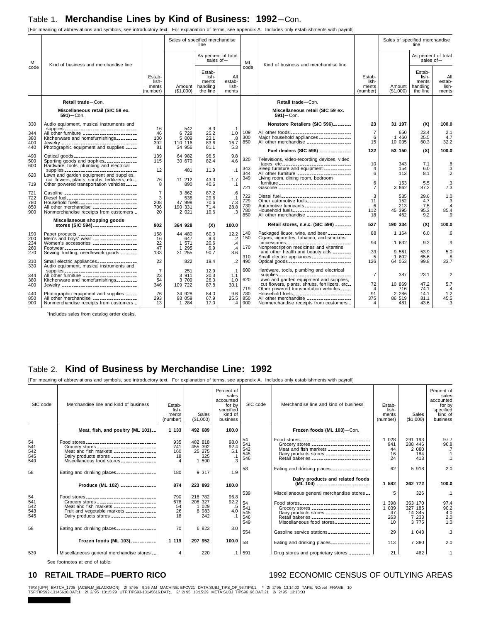[For meaning of abbreviations and symbols, see introductory text. For explanation of terms, see appendix A. Includes only establishments with payroll]

|                                 |                                                                                                                                                                                                                            | Sales of specified merchandise<br>line  |                                              |                                                  |                                      |                                 | Sales of specified merchandise                                                                                                                                                                                                | line                                 |                                    |                                                  |                                          |
|---------------------------------|----------------------------------------------------------------------------------------------------------------------------------------------------------------------------------------------------------------------------|-----------------------------------------|----------------------------------------------|--------------------------------------------------|--------------------------------------|---------------------------------|-------------------------------------------------------------------------------------------------------------------------------------------------------------------------------------------------------------------------------|--------------------------------------|------------------------------------|--------------------------------------------------|------------------------------------------|
| ML                              | Kind of business and merchandise line                                                                                                                                                                                      |                                         |                                              |                                                  | As percent of total<br>sales of $-$  | <b>ML</b>                       | Kind of business and merchandise line                                                                                                                                                                                         |                                      |                                    | As percent of total<br>sales of $-$              |                                          |
| code                            |                                                                                                                                                                                                                            | Estab-<br>lish-<br>ments<br>(number)    | Amount<br>(\$1,000)                          | Estab-<br>lish-<br>ments<br>handling<br>the line | All<br>estab-<br>lish-<br>ments      | code                            |                                                                                                                                                                                                                               | Estab-<br>lish-<br>ments<br>(number) | Amount<br>(\$1,000)                | Estab-<br>lish-<br>ments<br>handling<br>the line | All<br>estab-<br>lish-<br>ments          |
|                                 | Retail trade-Con.                                                                                                                                                                                                          |                                         |                                              |                                                  |                                      |                                 | Retail trade-Con.                                                                                                                                                                                                             |                                      |                                    |                                                  |                                          |
|                                 | Miscellaneous retail (SIC 59 ex.<br>$591$ ) - Con.                                                                                                                                                                         |                                         |                                              |                                                  |                                      |                                 | Miscellaneous retail (SIC 59 ex.<br>$591$ ) - Con.                                                                                                                                                                            |                                      |                                    |                                                  |                                          |
| 330                             | Audio equipment, musical instruments and<br>supplies __________________________________                                                                                                                                    | 16                                      | 542                                          | 8.3                                              |                                      |                                 | Nonstore Retailers (SIC 596)                                                                                                                                                                                                  | 23                                   | 31 197                             | (X)                                              | 100.0                                    |
| 344<br>380<br>400               | All other furniture _______________________<br>Kitchenware and homefurnishings                                                                                                                                             | 46<br>100<br>392                        | 6 728<br>5 009<br>110 116                    | 25.2<br>23.1<br>83.6                             | .1<br>1.0<br>.8<br>16.7              | 109<br>300<br>850               | All other foods ___________________________<br>Major household appliances _____________<br>All other merchandise __________________                                                                                           | $\overline{7}$<br>6<br>15            | 650<br>1 460<br>10 035             | 23.4<br>25.5<br>60.3                             | 2.1<br>4.7<br>32.2                       |
| 440                             | Photographic equipment and supplies _____                                                                                                                                                                                  | 81                                      | 34 956                                       | 81.1                                             | 5.3                                  |                                 | Fuel dealers (SIC 598) _____________                                                                                                                                                                                          | 122                                  | 53 150                             | (X)                                              | 100.0                                    |
| 490<br>500<br>600               | Optical goods ____________________________<br>Sporting goods and trophies_____________<br>Hardware, tools, plumbing and electrical                                                                                         | 139<br>115                              | 64 982<br>30 670                             | 96.5<br>82.4                                     | 9.8<br>4.6                           | 320<br>343                      | Televisions, video-recording devices, video<br>tapes, etc. __________________________________<br>Sleep furniture and equipment ___________                                                                                    | 10<br>4                              | 343<br>154                         | 7.1<br>6.0                                       | .6                                       |
| 620                             | supplies _______________________________<br>Lawn and garden equipment and supplies,<br>cut flowers, plants, shrubs, fertilizers, etc.                                                                                      | 12<br>76                                | 481<br>11 212                                | 11.9<br>43.3                                     | $\cdot$ 1<br>1.7                     | 344<br>349                      | All other furniture _______________________<br>Living room, dining room, bedroom                                                                                                                                              | 6                                    | 113                                | 8.1                                              | $\frac{.3}{.2}$                          |
| 719                             | Other powered transportation vehicles_____                                                                                                                                                                                 | 8                                       | 890                                          | 40.6                                             | $\cdot$ 1                            | 721                             | furniture _________________________________<br>Gasoline ________________________________                                                                                                                                      | 6<br>$\overline{7}$                  | 153<br>3 862                       | 5.5<br>87.2                                      | .3<br>7.3                                |
| 721<br>722<br>780<br>850<br>900 | Gasoline _______________________________<br>Diesel fuel_______________________________<br>Household fuels_________________________<br>All other merchandise __________________<br>Nonmerchandise receipts from customers _ | $\overline{7}$<br>3<br>208<br>706<br>20 | 3 862<br>535<br>47 998<br>190 331<br>2 0 2 1 | 87.2<br>29.6<br>70.6<br>71.4<br>19.6             | .6<br>.1<br>7.3<br>28.8<br>$\cdot$ 3 | 722<br>729<br>730<br>780<br>850 | Diesel fuel_______________________________<br>Other automotive fuels__________________<br>Automotive lubricants ____________________<br>Household fuels_________________________<br>All other merchandise ___________________ | 3<br>11<br>6<br>112<br>18            | 535<br>152<br>213<br>45 395<br>462 | 29.6<br>4.7<br>7.5<br>95.3<br>9.2                | 1.0<br>.3<br>$\mathcal{A}$<br>85.4<br>.9 |
|                                 | Miscellaneous shopping goods<br>stores (SIC 594)                                                                                                                                                                           | 902                                     | 364 928                                      | (X)                                              | 100.0                                |                                 | Retail stores, n.e.c. (SIC 599) _______                                                                                                                                                                                       | 527                                  | 190 334                            | (X)                                              | 100.0                                    |
| 190<br>200                      | Paper products ________________________                                                                                                                                                                                    | 158<br>16                               | 44 480<br>647                                | 60.0<br>8.4                                      | 12.2                                 | 140<br>150                      | Packaged liquor, wine, and beer _________<br>Cigars, cigarettes, tobacco, and smokers'                                                                                                                                        | 88                                   | 1 1 64                             | 6.0                                              | .6                                       |
| 234                             | Men's and boys' wear __________________<br>Women's accessories __________________                                                                                                                                          | 22<br>47                                | 1 571                                        | 20.6                                             | $\cdot$<br>$\cdot$ 4                 | 170                             | accessories______________________________<br>Nonprescription medicines and vitamins                                                                                                                                           | 94                                   | 1 632                              | 9.2                                              | .9                                       |
| 260<br>270                      | Footwear ________________________________<br>Sewing, knitting, needlework goods _______                                                                                                                                    | 133                                     | 1 2 9 5<br>31 255                            | 6.9<br>90.7                                      | $\mathcal{A}$<br>8.6                 | 310                             | and other health and beauty aids ________<br>Small electric appliances _________________                                                                                                                                      | 33<br>5                              | 9 5 6 1<br>1 602                   | 53.9<br>65.6                                     | 5.0<br>.8                                |
| 310<br>330                      | Small electric appliances ________________<br>Audio equipment, musical instruments and                                                                                                                                     | 22                                      | 822                                          | 19.4                                             | $\cdot$ .2                           | 490                             | Optical goods ___________________________                                                                                                                                                                                     | 126                                  | 64 053                             | 99.8                                             | 33.7                                     |
| 344                             | supplies ________________________________<br>All other furniture _______________________                                                                                                                                   | $\overline{7}$<br>23                    | 251<br>3 911                                 | 12.9<br>20.3                                     | $\cdot$ 1<br>1.1                     | 600                             | Hardware, tools, plumbing and electrical<br>supplies ________________________________                                                                                                                                         | $\overline{7}$                       | 387                                | 23.1                                             | $\cdot$                                  |
| 380<br>400                      | Kitchenware and homefurnishings_________                                                                                                                                                                                   | 54<br>346                               | 3 709<br>109 722                             | 26.0<br>87.8                                     | 1.0<br>30.1                          | 620<br>719                      | Lawn and garden equipment and supplies,<br>cut flowers, plants, shrubs, fertilizers, etc.<br>Other powered transportation vehicles _____                                                                                      | 72<br>$\overline{4}$                 | 10 869<br>716                      | 47.2<br>74.1                                     | 5.7<br>$\cdot$ 4                         |
| 440<br>850<br>900               | Photographic equipment and supplies _____<br>All other merchandise __________________<br>Nonmerchandise receipts from customers _                                                                                          | 76<br>293<br>13                         | 34 928<br>93 059<br>1 284                    | 84.0<br>67.9<br>17.0                             | 9.6<br>25.5<br>.4                    | 780<br>850<br>900               | Household fuels_________________________<br>All other merchandise ___________________<br>Nonmerchandise receipts from customers _                                                                                             | 91<br>375<br>4                       | 2 2 8 6<br>86 519<br>481           | 14.1<br>81.1<br>43.6                             | 1.2<br>45.5<br>.3                        |

1Includes sales from catalog order desks.

### Table 2. **Kind of Business by Merchandise Line: 1992**

[For meaning of abbreviations and symbols, see introductory text. For explanation of terms, see appendix A. Includes only establishments with payroll]

| SIC code                       | Merchandise line and kind of business                                                                                                                                                      | Estab-<br>lish-<br>ments<br>(number) | Sales<br>(\$1,000)                         | Percent of<br>sales<br>accounted<br>for by<br>specified<br>kind of<br>business | SIC code                       | Merchandise line and kind of business                                                                                                                                                       | Estab-<br>lish-<br>ments<br>(number) | Sales<br>(\$1,000)                                 | Percent of<br>sales<br>accounted<br>for by<br>specified<br>kind of<br>business |
|--------------------------------|--------------------------------------------------------------------------------------------------------------------------------------------------------------------------------------------|--------------------------------------|--------------------------------------------|--------------------------------------------------------------------------------|--------------------------------|---------------------------------------------------------------------------------------------------------------------------------------------------------------------------------------------|--------------------------------------|----------------------------------------------------|--------------------------------------------------------------------------------|
|                                | Meat, fish, and poultry (ML 101)                                                                                                                                                           | 1 133                                | 492 689                                    | 100.0                                                                          |                                | Frozen foods (ML 103)-Con.                                                                                                                                                                  |                                      |                                                    |                                                                                |
| 54<br>541<br>542<br>545<br>549 | Food stores<br>Grocery stores _________________________<br>Meat and fish markets _________________<br>Dairy products stores __________________<br>Miscellaneous food stores ______________ | 935<br>741<br>160<br>18              | 482 818<br>455 392<br>25 275<br>325<br>590 | 98.0<br>$\frac{92.4}{5.1}$<br>.1<br>3                                          | 54<br>541<br>542<br>545<br>546 | Food stores<br>Grocery stores _________________________<br>Meat and fish markets _________________<br>Dairy products stores __________________<br>Retail bakeries _________________________ | 028<br>941<br>44<br>16<br>24         | 291 193<br>288 446<br>2 0 8 0<br>184<br>413        | 97.7<br>96.8<br>.7<br>$\cdot$ 1<br>.1                                          |
| 58                             | Eating and drinking places                                                                                                                                                                 | 180                                  | 9 3 1 7                                    | 1.9                                                                            | 58                             | Eating and drinking places________________                                                                                                                                                  | 62                                   | 5 9 18                                             | 2.0                                                                            |
|                                | Produce (ML 102) ______________                                                                                                                                                            | 874                                  | 223 893                                    | 100.0                                                                          |                                | Dairy products and related foods<br>(ML 104) _______________________                                                                                                                        | 1 582                                | 362 772                                            | 100.0                                                                          |
| 54                             | Food stores______________________________                                                                                                                                                  | 790                                  | 216 782                                    | 96.8                                                                           | 539                            | Miscellaneous general merchandise stores                                                                                                                                                    | 5                                    | 326                                                | $\cdot$ 1                                                                      |
| 541<br>542<br>543<br>545       | Grocery stores _________________________<br>Meat and fish markets _________________<br>Fruit and vegetable markets ____________<br>Dairy products stores __________________                | 678<br>54<br>26<br>18                | 206 327<br>029<br>8 9 8 3<br>242           | 92.2<br>.5<br>4.0<br>$\cdot$ 1                                                 | 54<br>541<br>545<br>546<br>549 | Food stores<br>Grocery stores _________________________<br>Dairy products stores __________________<br>Retail bakeries ________________________<br>Miscellaneous food stores ______________ | 398<br>039<br>47<br>263<br>10        | 353 170<br>327 185<br>14 345<br>7 2 3 3<br>3 7 7 5 | 97.4<br>90.2<br>4.0<br>2.0<br>1.0                                              |
| 58                             | Eating and drinking places________________                                                                                                                                                 | 70                                   | 6 823                                      | 3.0                                                                            | 554                            | Gasoline service stations _________________                                                                                                                                                 | 29                                   | 1 0 4 3                                            | .3                                                                             |
|                                | Frozen foods (ML 103)                                                                                                                                                                      | 1 1 1 9                              | 297 952                                    | 100.0 $ 58$                                                                    |                                | Eating and drinking places                                                                                                                                                                  | 113                                  | 7 380                                              | 2.0                                                                            |
| 539                            | Miscellaneous general merchandise stores                                                                                                                                                   | 4                                    | 220                                        |                                                                                | $.1$ 591                       | Drug stores and proprietary stores _________                                                                                                                                                | 21                                   | 462                                                | $\cdot$ 1                                                                      |

See footnotes at end of table.

### 10 RETAIL TRADE-PUERTO RICO<br>
1992 ECONOMIC CENSUS OF OUTLYING AREAS

TIPS [UPF] BATCH\_1705 [ACEN,M\_BLACKMON] 2/ 8/95 9:26 AM MACHINE: EPCV21 DATA:SUBJ\_TIPS\_OP\_96.TIPS;1 \* 2/ 2/95 13:14:00 TAPE: NOreel FRAME: 10<br>TSF:TIPS92-13145616.DAT;1 2/ 2/95 13:15:29 UTF:TIPS93-13145616.DAT;1 2/ 2/95 13: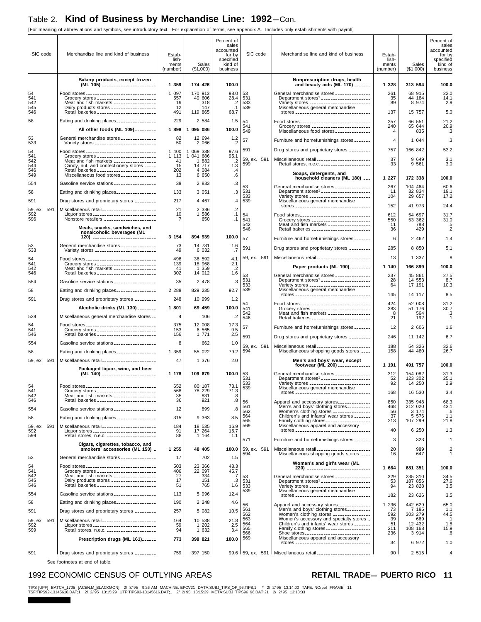[For meaning of abbreviations and symbols, see introductory text. For explanation of terms, see appendix A. Includes only establishments with payroll]

| SIC code           | Merchandise line and kind of business                                                                                                     | Estab-<br>lish-<br>ments<br>(number) | Sales<br>(\$1,000)              | Percent of<br>sales<br>accounted<br>for by<br>specified<br>kind of<br>business | SIC code           | Merchandise line and kind of business                                                                                                 | Estab-<br>lish-<br>ments<br>(number) | Sales<br>(\$1,000) | Percent of<br>sales<br>accounted<br>for by<br>specified<br>kind of<br>business |
|--------------------|-------------------------------------------------------------------------------------------------------------------------------------------|--------------------------------------|---------------------------------|--------------------------------------------------------------------------------|--------------------|---------------------------------------------------------------------------------------------------------------------------------------|--------------------------------------|--------------------|--------------------------------------------------------------------------------|
|                    | Bakery products, except frozen<br>(ML 105) _______________________                                                                        | 1 359                                | 174 426                         | 100.0                                                                          |                    | Nonprescription drugs, health<br>and beauty aids (ML 170) ______                                                                      | 1 3 2 8                              | 313 594            | 100.0                                                                          |
| 54                 | Food stores                                                                                                                               | 1 0 9 7                              | 170 913                         | 98.0                                                                           | 53                 | General merchandise stores ______________                                                                                             | 261                                  | 68 915             | 22.0                                                                           |
| 541<br>542         | Grocery stores ________________________<br>Meat and fish markets _________________                                                        | 557<br>19                            | 49 606<br>318                   | 28.4<br>.2                                                                     | 531<br>533         | Department stores <sup>1</sup> _____________________<br>Variety stores _________________________                                      | 35<br>89                             | 44 184<br>8 9 7 4  | 14.1<br>2.9                                                                    |
| 545<br>546         | Dairy products stores __________________<br>Retail bakeries _________________________                                                     | 12<br>491                            | 147<br>119 865                  | $\cdot$ 1<br>68.7                                                              | 539                | Miscellaneous general merchandise<br>stores __________________________________                                                        | 137                                  | 15 757             | 5.0                                                                            |
| 58                 | Eating and drinking places                                                                                                                | 229                                  | 2 5 8 4                         | 1.5                                                                            | 54                 | Food stores_______________________________                                                                                            | 257                                  | 66 551             | 21.2                                                                           |
|                    | All other foods (ML 109) ________                                                                                                         | 1 898                                | 1 095 086                       | 100.0                                                                          | 541<br>549         | Grocery stores _________________________<br>Miscellaneous food stores ______________                                                  | 240<br>4                             | 65 644<br>835      | 20.9<br>.3                                                                     |
| 53                 | General merchandise stores ______________                                                                                                 | 82                                   | 12 694                          | 1.2                                                                            | 57                 | Furniture and homefurnishings stores _______                                                                                          | 4                                    | 1 0 4 4            | .3                                                                             |
| 533                | Variety stores ___________________________                                                                                                | 50                                   | 2 0 6 6                         | .2                                                                             | 591                | Drug stores and proprietary stores ________                                                                                           | 757                                  | 166 842            | 53.2                                                                           |
| 54<br>541          | Food stores<br>Grocery stores _________________________                                                                                   | 1 400<br>1 1 1 3                     | 1 069 338<br>1 041 686          | 97.6<br>95.1                                                                   | 59, ex. 591        | Miscellaneous retail ______________________                                                                                           | 37                                   | 9 649              | 3.1                                                                            |
| 542<br>544         | Meat and fish markets _________________<br>Candy, nut, and confectionery stores _____                                                     | 41<br>15                             | 882<br>-1<br>14 717             | $\cdot$<br>1.3                                                                 | 599                | Retail stores, n.e.c. _____________________                                                                                           | 33                                   | 9 5 6 1            | 3.0                                                                            |
| 546<br>549         | Retail bakeries _________________________<br>Miscellaneous food stores ______________                                                     | 202<br>13                            | 4 0 8 4<br>6 6 5 0              | .4<br>.6                                                                       |                    | Soaps, detergents, and<br>household cleaners (ML 180)                                                                                 | 1 227                                | 172 338            | 100.0                                                                          |
| 554                | Gasoline service stations _________________                                                                                               | 38                                   | 2 833                           | .3                                                                             | 53                 | General merchandise stores ______________                                                                                             | 267                                  | 104 464            | 60.6                                                                           |
| 58                 | Eating and drinking places                                                                                                                | 133                                  | 3 0 5 1                         | $\cdot$ 3                                                                      | 531<br>533         | Department stores <sup>1</sup> ____________________<br>Variety stores ___________________________                                     | -11<br>104                           | 32 834<br>29 657   | 19.1<br>17.2                                                                   |
| 591                | Drug stores and proprietary stores ________                                                                                               | 217                                  | 4 4 6 7                         | $\mathcal{A}$                                                                  | 539                | Miscellaneous general merchandise<br>stores __________________________________                                                        | 152                                  | 41 973             | 24.4                                                                           |
| 59, ex. 591<br>592 | Miscellaneous retail______________________<br>Liquor stores ____________________________                                                  | 21<br>10                             | 2 386<br>586<br>1               | $\cdot$<br>$\cdot$ 1                                                           | 54                 | Food stores_______________________________                                                                                            | 612                                  | 54 697             | 31.7                                                                           |
| 596                | Nonstore retailers ______________________                                                                                                 |                                      | 650                             | $\cdot$ 1                                                                      | 541<br>542         | Grocery stores _________________________<br>Meat and fish markets _________________                                                   | 550<br>11                            | 53 362<br>788      | 31.0<br>.5                                                                     |
|                    | Meals, snacks, sandwiches, and<br>nonalcoholic beverages (ML                                                                              |                                      |                                 |                                                                                | 546                | Retail bakeries _________________________                                                                                             | 36                                   | 429                | $\cdot$ .2                                                                     |
|                    | 120) -----------------------------                                                                                                        | 3 1 5 4<br>73                        | 894 939                         | 100.0                                                                          | 57                 | Furniture and homefurnishings stores _______                                                                                          | 6                                    | 2 4 6 2            | 1.4                                                                            |
| 53<br>533          | General merchandise stores ______________<br>Variety stores __________________________                                                    | 49                                   | 14 731<br>6 0 3 2               | 1.6<br>.7                                                                      | 591                | Drug stores and proprietary stores ________                                                                                           | 285                                  | 8 8 5 0            | 5.1                                                                            |
| 54<br>541          | Food stores_______________________________<br>Grocery stores _________________________                                                    | 496<br>139                           | 36 592<br>18 968                | 4.1<br>2.1                                                                     | 59, ex. 591        | Miscellaneous retail _______________________                                                                                          | 13                                   | 1 3 3 7            | .8                                                                             |
| 542<br>546         | Meat and fish markets _________________<br>Retail bakeries _________________________                                                      | 41<br>302                            | 359<br>$\overline{1}$<br>14 012 | .2<br>1.6                                                                      |                    | Paper products (ML 190) ________                                                                                                      | 1 140                                | 166 899            | 100.0                                                                          |
| 554                | Gasoline service stations                                                                                                                 | 35                                   | 2 478                           | .3                                                                             | 53<br>531          | General merchandise stores ______________<br>Department stores <sup>1</sup> _____________________                                     | 237<br>28                            | 45 861<br>14 553   | 27.5<br>8.7                                                                    |
| 58                 | Eating and drinking places                                                                                                                | 2 2 8 8                              | 829 235                         | 92.7                                                                           | 533<br>539         | Variety stores __________________________<br>Miscellaneous general merchandise                                                        | 64                                   | 17 191             | 10.3                                                                           |
| 591                | Drug stores and proprietary stores _________                                                                                              | 248                                  | 10 999                          | $1.2$                                                                          |                    |                                                                                                                                       | 145                                  | 14 117             | 8.5                                                                            |
|                    | Alcoholic drinks (ML 130) _______                                                                                                         | 1 801                                | 69 459                          | 100.0                                                                          | 54<br>541          | Food stores_______________________________<br>Grocery stores _________________________                                                | 424<br>383                           | 52 008<br>51 176   | 31.2<br>30.7                                                                   |
| 539                | Miscellaneous general merchandise stores __                                                                                               | 4                                    | 106                             | $.2\phantom{0}$                                                                | 542<br>546         | Meat and fish markets _________________<br>Retail bakeries _________________________                                                  | 8<br>21                              | 564<br>192         | .3<br>$\cdot$ 1                                                                |
| 54<br>541          | Food stores______________________________<br>Grocery stores _________________________                                                     | 375<br>153                           | 12 008<br>6 5 6 5               | 17.3<br>9.5                                                                    | 57                 | Furniture and homefurnishings stores _______                                                                                          | 12                                   | 2 606              | 1.6                                                                            |
| 546                | Retail bakeries _________________________                                                                                                 | 156                                  | 1 771                           | 2.5                                                                            | 591                | Drug stores and proprietary stores ________                                                                                           | 246                                  | 11 142             | 6.7                                                                            |
| 554                | Gasoline service stations                                                                                                                 | 8                                    | 662                             | 1.0                                                                            | 59, ex. 591        | Miscellaneous retail ______________________                                                                                           | 188                                  | 54 326             | 32.6                                                                           |
| 58                 | Eating and drinking places                                                                                                                | 1 359                                | 55 022                          | 79.2                                                                           | 594                | Miscellaneous shopping goods stores ____                                                                                              | 158                                  | 44 480             | 26.7                                                                           |
| 59, ex. 591        | Miscellaneous retail______________________                                                                                                | 47                                   | 1 376                           | 2.0                                                                            |                    | Men's and boys' wear, except<br>footwear (ML 200) ______________                                                                      | 1 191                                | 491 757            | 100.0                                                                          |
|                    | Packaged liquor, wine, and beer<br>(ML 140) ________________________                                                                      | 1 178                                | 109 679                         | 100.0                                                                          | 53<br>531          | General merchandise stores ______________                                                                                             | 312                                  | 154 082<br>123 302 | 31.3<br>25.1                                                                   |
| 54                 | Food stores                                                                                                                               | 652                                  | 80 187                          | 73.1                                                                           | 533                | Department stores <sup>1</sup> ____________________<br>Variety stores __________________________<br>Miscellaneous general merchandise | 52<br>92                             | 14 250             | 2.9                                                                            |
| 541<br>542         | Grocery stores _________________________<br>Meat and fish markets _________________                                                       | 568<br>35                            | 78 229<br>831                   | 71.3<br>.8                                                                     | 539                |                                                                                                                                       | 168                                  | 16 530             | 3.4                                                                            |
| 546                | Retail bakeries _________________________                                                                                                 | 36                                   | 921                             | .8                                                                             | 56<br>561          | Apparel and accessory stores<br>Men's and boys' clothing stores                                                                       | 850<br>468                           | 335 948<br>212 020 | 68.3<br>43.1                                                                   |
| 554                | Gasoline service stations _________________                                                                                               | 12                                   | 899                             | .8                                                                             | 562<br>564         | Women's clothing stores _______________<br>Children's and infants' wear stores _______                                                | 56<br>37                             | 3 174<br>5 5 7 6   | .6<br>1.1                                                                      |
| 58<br>59, ex. 591  | Eating and drinking places                                                                                                                | 315<br>184                           | 9 3 6 3<br>18 535               | 8.5<br>16.9                                                                    | 565<br>569         | Family clothing stores __________________<br>Miscellaneous apparel and accessory                                                      | 213                                  | 107 299            | 21.8                                                                           |
| 592<br>599         | Miscellaneous retail _______________________<br>Liquor stores ____________________________<br>Retail stores, n.e.c. _____________________ | 91<br>88                             | 17 264<br>1 164                 | 15.7                                                                           |                    |                                                                                                                                       | 40                                   | 6 250              | 1.3                                                                            |
|                    | Cigars, cigarettes, tobacco, and                                                                                                          |                                      |                                 | 1.1                                                                            | 571                | Furniture and homefurnishings stores                                                                                                  | 3                                    | 323                | $\cdot$ 1                                                                      |
|                    | smokers' accessories (ML 150) _                                                                                                           | 1 255                                | 48 405                          | 100.0                                                                          | 59, ex. 591<br>594 | Miscellaneous retail _______________________<br>Miscellaneous shopping goods stores ____                                              | 20<br>16                             | 989<br>647         | $\cdot$<br>$\cdot$ 1                                                           |
| 53                 | General merchandise stores ______________                                                                                                 | 17                                   | 702                             | 1.5                                                                            |                    | Women's and girl's wear (ML                                                                                                           |                                      |                    |                                                                                |
| 54<br>541          | Grocery stores _________________________                                                                                                  | 503<br>406                           | 23 366<br>22 097                | 48.3<br>45.7                                                                   |                    | 220) -----------------------------                                                                                                    | 1 664                                | 681 351            | 100.0                                                                          |
| 542<br>545         | Meat and fish markets _________________<br>Dairy products stores __________________                                                       | 27<br>17                             | 334<br>151                      | .7<br>.3                                                                       | 53<br>531          | General merchandise stores ______________<br>Department stores <sup>1</sup> ____________________                                      | 329<br>53                            | 235 310<br>187 856 | 34.5<br>27.6                                                                   |
| 546                | Retail bakeries _________________________                                                                                                 | 51                                   | 765                             | 1.6                                                                            | 533<br>539         | Variety stores __________________________<br>Miscellaneous general merchandise                                                        | 94                                   | 23 828             | 3.5                                                                            |
| 554                | Gasoline service stations                                                                                                                 | 113<br>190                           | 5 9 9 6<br>2 2 4 8              | 12.4                                                                           |                    | stores __________________________________                                                                                             | 182                                  | 23 626             | 3.5                                                                            |
| 58<br>591          | Eating and drinking places<br>Drug stores and proprietary stores ________                                                                 | 257                                  | 5 082                           | 4.6<br>10.5                                                                    | 56<br>561          | Apparel and accessory stores<br>Men's and boys' clothing stores                                                                       | 1 2 3 6<br>73                        | 442 629<br>7 195   | 65.0<br>1.1                                                                    |
| 59, ex. 591        | Miscellaneous retail _______________________                                                                                              | 164                                  | 10 538                          | 21.8                                                                           | 562<br>563         | Women's clothing stores _______________<br>Women's accessory and specialty stores _                                                   | 592<br>39                            | 303 279<br>669     | 44.5<br>$\cdot$ 1                                                              |
| 592<br>599         | Liquor stores ____________________________<br>Retail stores, n.e.c. _____________________                                                 | 59<br>94                             | 202<br>1 632                    | 2.5<br>3.4                                                                     | 564<br>565         | Children's and infants' wear stores _______<br>Family clothing stores                                                                 | 51<br>211                            | 12 432<br>108 168  | 1.8<br>15.9                                                                    |
|                    | Prescription drugs (ML 161)                                                                                                               | 773                                  | 398 821                         | 100.0                                                                          | 566<br>569         | Shoe stores<br>Miscellaneous apparel and accessory                                                                                    | 236                                  | 3 9 1 4            | .6                                                                             |
|                    |                                                                                                                                           |                                      |                                 |                                                                                |                    | stores ___________________________________                                                                                            | 34                                   | 6 972              | 1.0                                                                            |
| 591                | Drug stores and proprietary stores ________                                                                                               | 759                                  | 397 150                         |                                                                                |                    | 99.6 59, ex. 591   Miscellaneous retail _______________________                                                                       | 90                                   | 2 5 1 5            | $\cdot$                                                                        |

See footnotes at end of table.

### 1992 ECONOMIC CENSUS OF OUTLYING AREAS **RETAIL TRADE-PUERTO RICO** 11

TIPS [UPF] BATCH\_1705 [ACEN,M\_BLACKMON] 2/ 8/95 9:26 AM MACHINE: EPCV21 DATA:SUBJ\_TIPS\_OP\_96.TIPS;1 \* 2/ 2/95 13:14:00 TAPE: NOreel FRAME: 11<br>TSF:TIPS92-13145616.DAT;1 2/ 2/95 13:15:29 UTF:TIPS93-13145616.DAT;1 2/ 2/95 13: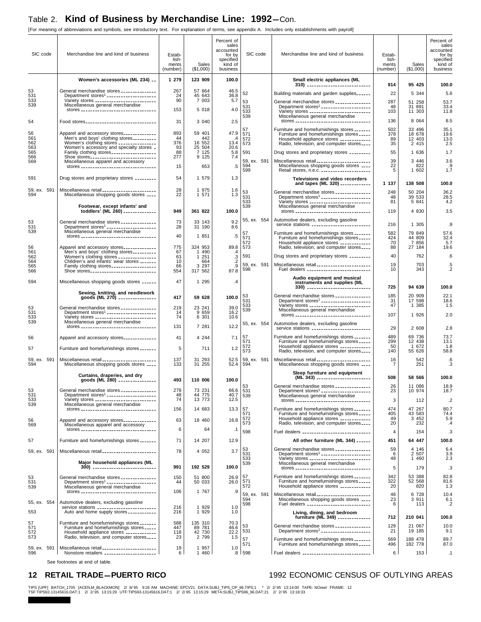[For meaning of abbreviations and symbols, see introductory text. For explanation of terms, see appendix A. Includes only establishments with payroll]

| SIC code           | Merchandise line and kind of business                                                                                                  | Estab-<br>lish-<br>ments<br>(number) | Sales<br>(\$1,000)         | Percent of<br>sales<br>accounted<br>for by<br>specified<br>kind of<br>business | SIC code                  | Merchandise line and kind of business                                                                                                               | Estab-<br>lish-<br>ments<br>(number) | Sales<br>(\$1,000)        | Percent of<br>sales<br>accounted<br>for by<br>specified<br>kind of<br>business |
|--------------------|----------------------------------------------------------------------------------------------------------------------------------------|--------------------------------------|----------------------------|--------------------------------------------------------------------------------|---------------------------|-----------------------------------------------------------------------------------------------------------------------------------------------------|--------------------------------------|---------------------------|--------------------------------------------------------------------------------|
|                    | Women's accessories (ML 234) __                                                                                                        | 1 279                                | 123 909                    | 100.0                                                                          |                           | Small electric appliances (ML<br>310) _____________________________                                                                                 | 914                                  | 95 425                    | 100.0                                                                          |
| 53<br>531          | General merchandise stores ______________<br>Department stores <sup>1</sup> ____________________                                       | 267<br>24                            | 57 664<br>45 643           | 46.5<br>36.8                                                                   | 52                        | Building materials and garden supplies                                                                                                              | 22                                   | 5 3 4 4                   | 5.6                                                                            |
| 533<br>539         | Variety stores __________________________<br>Miscellaneous general merchandise                                                         | 90                                   | 7 003                      | 5.7                                                                            | 53<br>531                 | General merchandise stores ______________<br>Department stores <sup>1</sup> _____________________                                                   | 287<br>48                            | 51 258<br>31 891          | 53.7<br>33.4                                                                   |
|                    | stores __________________________________                                                                                              | 153                                  | 5 018                      | 4.0                                                                            | 533<br>539                | Variety stores __________________________<br>Miscellaneous general merchandise                                                                      | 103                                  | 11 303                    | 11.8                                                                           |
| 54                 | Food stores                                                                                                                            | 31                                   | 3 0 4 0                    | 2.5                                                                            | 57                        | stores __________________________________<br>Furniture and homefurnishings stores _______                                                           | 136<br>502                           | 8 0 6 4<br>33 496         | 8.5<br>35.1                                                                    |
| 56<br>561          | Apparel and accessory stores_____________<br>Men's and boys' clothing stores                                                           | 893<br>44                            | 59 401<br>442              | 47.9<br>$\cdot$ 4                                                              | 571<br>572                | Furniture and homefurnishings stores _____<br>Household appliance stores ____________                                                               | 378<br>89                            | 18 678<br>12 403          | 19.6<br>13.0                                                                   |
| 562<br>563<br>565  | Women's clothing stores _______________<br>Women's accessory and specialty stores _<br>Family clothing stores ___________________      | 376<br>93<br>88                      | 16 552<br>25 504<br>7 125  | 13.4<br>20.6<br>5.8                                                            | 573<br>591                | Radio, television, and computer stores<br>Drug stores and proprietary stores ________                                                               | 35<br>55                             | 2 4 1 5<br>1 636          | 2.5<br>1.7                                                                     |
| 566<br>569         | Shoe stores<br>Miscellaneous apparel and accessory                                                                                     | 277                                  | 9 1 2 5                    | 7.4                                                                            | 59, ex. 591               | Miscellaneous retail                                                                                                                                | 39                                   | 3 4 4 6                   | 3.6                                                                            |
|                    | stores __________________________________                                                                                              | 15                                   | 653                        | $.5\,$                                                                         | 594<br>599                | Miscellaneous shopping goods stores ____<br>Retail stores, n.e.c.                                                                                   | 22<br>5                              | 822<br>1 602              | .9<br>1.7                                                                      |
| 591                | Drug stores and proprietary stores ________                                                                                            | 54                                   | 1 579                      | 1.3                                                                            |                           | Televisions and video recorders<br>and tapes (ML 320) ____________                                                                                  | 1 137                                | 138 508                   | 100.0                                                                          |
| 59, ex. 591<br>594 | Miscellaneous retail _______________________<br>Miscellaneous shopping goods stores ____                                               | 28<br>22                             | 1 975<br>1 571             | 1.6<br>1.3                                                                     | 53<br>531                 | General merchandise stores ______________<br>Department stores <sup>1</sup> _____________________                                                   | 248<br>48                            | 50 204<br>39 533          | 36.2<br>28.5                                                                   |
|                    | Footwear, except infants' and                                                                                                          |                                      |                            |                                                                                | 533<br>539                | Variety stores __________________________<br>Miscellaneous general merchandise                                                                      | 81                                   | 5 841                     | 4.2                                                                            |
|                    | toddlers' (ML 260) _____________                                                                                                       | 949                                  | 361 822                    | 100.0                                                                          | 55, ex. 554               | stores __________________________________<br>Automotive dealers, excluding gasoline                                                                 | 119                                  | 4 8 3 0                   | 3.5                                                                            |
| 53<br>531<br>539   | General merchandise stores ______________<br>Department stores <sup>1</sup> ____________________<br>Miscellaneous general merchandise  | 73<br>28                             | 33 143<br>31 190           | 9.2<br>8.6                                                                     |                           | service stations ________________________                                                                                                           | 216                                  | 1 305                     | .9                                                                             |
|                    | stores __________________________________                                                                                              | 40                                   | 1 851                      | $.5\,$                                                                         | 57<br>571<br>572          | Furniture and homefurnishings stores _______<br>Furniture and homefurnishings stores _____<br>Household appliance stores ____________               | 582<br>424<br>70                     | 79 849<br>44 809<br>7 856 | 57.6<br>32.4<br>5.7                                                            |
| 56<br>561          | Apparel and accessory stores_____________<br>Men's and boys' clothing stores_________                                                  | 775<br>67                            | 324 953<br>1 4 9 0         | 89.8<br>.4                                                                     | 573                       | Radio, television, and computer stores                                                                                                              | 88                                   | 27 184                    | 19.6                                                                           |
| 562<br>564         | Women's clothing stores _______________<br>Children's and infants' wear stores _______                                                 | 63<br>10                             | 251<br>$\mathbf{1}$<br>664 | $\cdot$ 3<br>$\cdot$                                                           | 591<br>59, ex. 591        | Drug stores and proprietary stores ________<br>Miscellaneous retail ______________________                                                          | 40<br>19                             | 762<br>703                | .6<br>.5                                                                       |
| 565<br>566         | Family clothing stores<br>Shoe stores                                                                                                  | 66<br>554                            | 3 2 9 7<br>317 562         | .9<br>87.8                                                                     | 598                       | Fuel dealers ___________________________                                                                                                            | 10                                   | 343                       | $\cdot$                                                                        |
| 594                | Miscellaneous shopping goods stores ______                                                                                             | 47                                   | 1 2 9 5                    | $\cdot$                                                                        |                           | Audio equipment and musical<br>instruments and supplies (ML<br>330) _____________________________                                                   | 725                                  | 94 639                    | 100.0                                                                          |
|                    | Sewing, knitting, and needlework<br>goods (ML 270) -----------------                                                                   | 417                                  | 59 628                     | 100.0                                                                          | 53<br>531                 | General merchandise stores ______________                                                                                                           | 185                                  | 20 909                    | 22.1                                                                           |
| 53                 | General merchandise stores ______________                                                                                              | 219                                  | 23 241                     | 39.0                                                                           | 533<br>539                | Department stores <sup>1</sup> ---------------------<br>Variety stores __________________________<br>Miscellaneous general merchandise              | 31<br>47                             | 17 598<br>1 385           | 18.6<br>1.5                                                                    |
| 531<br>533<br>539  | Department stores <sup>1</sup> _____________________<br>Variety stores __________________________<br>Miscellaneous general merchandise | 14<br>74                             | 9 6 5 9<br>6 301           | 16.2<br>10.6                                                                   |                           | stores __________________________________                                                                                                           | 107                                  | 1 926                     | 2.0                                                                            |
|                    | stores __________________________________                                                                                              | 131                                  | 7 281                      | 12.2                                                                           | 55, ex. 554               | Automotive dealers, excluding gasoline<br>service stations ________________________                                                                 | 29                                   | 2 608                     | 2.8                                                                            |
| 56                 | Apparel and accessory stores                                                                                                           | 41                                   | 4 2 4 4                    | 7.1                                                                            | 57<br>571                 | Furniture and homefurnishings stores _______<br>Furniture and homefurnishings stores _____                                                          | 489<br>299                           | 69 736<br>12 438          | 73.7<br>13.1                                                                   |
| 57                 | Furniture and homefurnishings stores _______                                                                                           | 5                                    | 711                        | 1.2                                                                            | 572<br>573                | Household appliance stores ____________<br>Radio, television, and computer stores                                                                   | 50<br>140                            | 1 672<br>55 626           | 1.8<br>58.8                                                                    |
| 59, ex. 591<br>594 | Miscellaneous retail _______________________<br>Miscellaneous shopping goods stores ____                                               | 137<br>133                           | 31 293<br>31 255           | 52.5<br>52.4                                                                   | 59, ex. 591<br>594        | Miscellaneous retail _______________________<br>Miscellaneous shopping goods stores ____                                                            | 16<br>7                              | 542<br>251                | .6<br>.3                                                                       |
|                    | Curtains, draperies, and dry<br>goods (ML 280) ________________                                                                        | 493                                  | 110 006                    | 100.0                                                                          |                           | Sleep furniture and equipment<br>(ML 343) _______________________                                                                                   | 508                                  | 58 566                    | 100.0                                                                          |
| 53                 | General merchandise stores ______________                                                                                              | 278                                  | 73 231                     | 66.6                                                                           | 53<br>531                 | General merchandise stores ___.<br>Department stores <sup>1</sup> ____________________                                                              | 26<br>23                             | 11 086<br>10 974          | 18.9<br>18.7                                                                   |
| 531<br>533         | Department stores <sup>1</sup> ____________________<br>Variety stores __________________________                                       | 48<br>74                             | 44 775<br>13 773           | 40.7<br>12.5                                                                   | 539                       | Miscellaneous general merchandise<br>stores __________________________________                                                                      | 3                                    | 112                       | $\cdot$ .2                                                                     |
| 539                | Miscellaneous general merchandise<br>stores ___________________________________                                                        | 156                                  | 14 683                     | 13.3                                                                           | 57<br>571                 | Furniture and homefurnishings stores _______<br>Furniture and homefurnishings stores                                                                | 474<br>405                           | 47 267<br>43 583          | 80.7<br>74.4                                                                   |
| 56<br>569          | Apparel and accessory stores<br>Miscellaneous apparel and accessory                                                                    | 63                                   | 18 460                     | 16.8                                                                           | 572<br>573                | Household appliance stores ____________<br>Radio, television, and computer stores                                                                   | 49<br>20                             | 3 4 5 2<br>232            | 5.9<br>.4                                                                      |
|                    | stores ___________________________________                                                                                             | 6                                    | 64                         | $\cdot$ 1                                                                      | 598                       | Fuel dealers _____________________________                                                                                                          | 4                                    | 154                       | .3                                                                             |
| 57                 | Furniture and homefurnishings stores _______                                                                                           | 71                                   | 14 207                     | 12.9                                                                           |                           | All other furniture (ML 344) ______                                                                                                                 | 451                                  | 64 447                    | 100.0                                                                          |
| 59, ex. 591        | Miscellaneous retail _______________________                                                                                           | 78                                   | 4 0 5 2                    | 3.7                                                                            | 53<br>531<br>533          | General merchandise stores ______________<br>Department stores <sup>1</sup> ____________________<br>Variety stores __________________________       | 59<br>6<br>48                        | 4 146<br>2 507<br>1 460   | 6.4<br>3.9<br>2.3                                                              |
|                    | Major household appliances (ML<br>300) ----------------------------                                                                    | 991                                  | 192 529                    | 100.0                                                                          | 539                       | Miscellaneous general merchandise<br>stores __________________________________                                                                      | 5                                    | 179                       | .3                                                                             |
| 53<br>531          | General merchandise stores _______________<br>Department stores <sup>1</sup> _____________________                                     | 150<br>44                            | 51 800<br>50 033           | 26.9<br>26.0                                                                   | 57<br>571                 | Furniture and homefurnishings stores _______<br>Furniture and homefurnishings stores _____                                                          | 342<br>322                           | 53 388<br>52 568          | 82.8<br>81.6                                                                   |
| 539                | Miscellaneous general merchandise<br>stores ___________________________________                                                        | 106                                  | 1 767                      | .9                                                                             | 572                       | Household appliance stores ____________                                                                                                             | 20<br>46                             | 820<br>6 728              | 1.3                                                                            |
| 55, ex. 554        | Automotive dealers, excluding gasoline                                                                                                 |                                      |                            |                                                                                | 59, ex. 591<br>594<br>598 | Miscellaneous retail ______________________<br>Miscellaneous shopping goods stores ____<br>Fuel dealers ___________________________                 | 23<br>6                              | 3 9 1 1<br>113            | 10.4<br>6.1<br>.2                                                              |
| 553                | service stations _________________________<br>Auto and home supply stores ___________                                                  | 216<br>216                           | 1 9 2 9<br>1 9 2 9         | 1.0<br>1.0                                                                     |                           | Living, dining, and bedroom<br>furniture (ML 349) --------------                                                                                    |                                      |                           |                                                                                |
| 57<br>571          | Furniture and homefurnishings stores _______<br>Furniture and homefurnishings stores _____                                             | 588<br>447                           | 135 310<br>89 781          | 70.3<br>46.6                                                                   | 53                        |                                                                                                                                                     | 712<br>129                           | 210 041<br>21 067         | 100.0<br>10.0                                                                  |
| 572<br>573         | Household appliance stores ____________<br>Radio, television, and computer stores                                                      | 118<br>23                            | 42 730<br>2 7 9 9          | 22.2<br>1.5                                                                    | 531<br>57                 | General merchandise stores _______________<br>Department stores <sup>1</sup> ______________________<br>Furniture and homefurnishings stores _______ | 21<br>569                            | 19 185<br>188 478         | 9.1<br>89.7                                                                    |
| 59, ex. 591        | Miscellaneous retail _______________________                                                                                           | 19                                   | 1957                       | 1.0                                                                            | 571                       | Furniture and homefurnishings stores _____                                                                                                          | 496                                  | 182 778                   | 87.0                                                                           |
| 596                | Nonstore retailers ______________________                                                                                              | 6                                    | 1 460                      |                                                                                | $.8$   598                | Fuel dealers ______________________________                                                                                                         | 6                                    | 153                       | $\cdot$ 1                                                                      |

See footnotes at end of table.

#### 12 RETAIL TRADE-PUERTO RICO<br>
1992 ECONOMIC CENSUS OF OUTLYING AREAS

TIPS [UPF] BATCH\_1705 [ACEN,M\_BLACKMON] 2/ 8/95 9:26 AM MACHINE: EPCV21 DATA:SUBJ\_TIPS\_OP\_96.TIPS;1 \* 2/ 2/95 13:14:00 TAPE: NOreel FRAME: 12<br>TSF:TIPS92-13145616.DAT;1 2/ 2/95 13:15:29 UTF:TIPS93-13145616.DAT;1 2/ 2/95 13: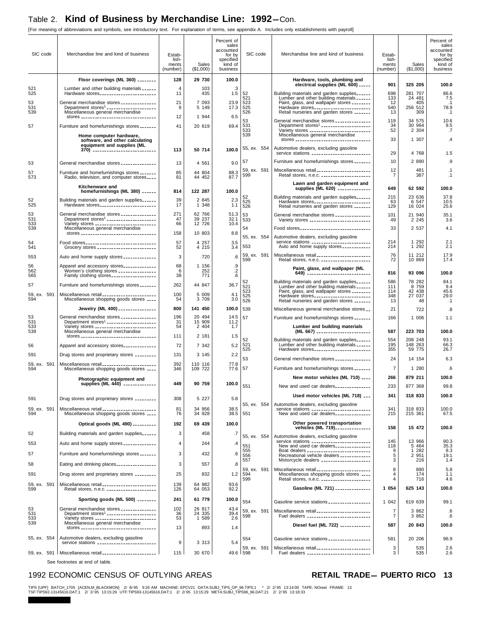[For meaning of abbreviations and symbols, see introductory text. For explanation of terms, see appendix A. Includes only establishments with payroll]

| SIC code           | Merchandise line and kind of business                                                                                                  | Estab-<br>lish-<br>ments<br>(number) | Sales<br>(\$1,000) | Percent of<br>sales<br>accounted<br>for by<br>specified<br>kind of<br>business | SIC code                  | Merchandise line and kind of business                                                                                              | Estab-<br>lish-<br>ments<br>(number) | Sales<br>(\$1,000)       | Percent of<br>sales<br>accounted<br>for by<br>specified<br>kind of<br>business |
|--------------------|----------------------------------------------------------------------------------------------------------------------------------------|--------------------------------------|--------------------|--------------------------------------------------------------------------------|---------------------------|------------------------------------------------------------------------------------------------------------------------------------|--------------------------------------|--------------------------|--------------------------------------------------------------------------------|
|                    | Floor coverings (ML 360) _______                                                                                                       | 128                                  | 29 730             | 100.0                                                                          |                           | Hardware, tools, plumbing and<br>electrical supplies (ML 600) _____                                                                | 901                                  | 325 205                  | 100.0                                                                          |
| 521<br>525         | Lumber and other building materials ______<br>Hardware stores                                                                          | $\overline{4}$<br>11                 | 103<br>435         | .3<br>1.5                                                                      | 52                        | Building materials and garden supplies                                                                                             | 698                                  | 281 707                  | 86.6                                                                           |
| 53                 | General merchandise stores ______________                                                                                              | 21                                   | 7 0 9 3            | 23.9                                                                           | 521<br>523                | Lumber and other building materials ______<br>Paint, glass, and wallpaper stores ________                                          | 133<br>12                            | 24 481<br>405            | 7.5<br>$\cdot$ 1                                                               |
| 531<br>539         | Department stores <sup>1</sup> ____________________<br>Miscellaneous general merchandise<br>stores ___________________________________ | 9<br>12                              | 5 149<br>1 944     | 17.3<br>6.5                                                                    | 525<br>526                | Hardware stores________________________<br>Retail nurseries and garden stores _______                                              | 540<br>13                            | 256 512<br>309           | 78.9<br>$\cdot$ 1                                                              |
| 57                 | Furniture and homefurnishings stores _______                                                                                           | 41                                   | 20 619             | 69.4                                                                           | 53<br>531<br>533          | General merchandise stores ______________                                                                                          | 119<br>34                            | 34 575<br>30 964         | 10.6<br>9.5                                                                    |
|                    | Home computer hardware,                                                                                                                |                                      |                    |                                                                                | 539                       | Miscellaneous general merchandise                                                                                                  | 52                                   | 2 3 0 4                  | .7                                                                             |
|                    | software, and other calculating<br>equipment and supplies (ML                                                                          |                                      | 50 714             | 100.0                                                                          | 55, ex. 554               | stores __________________________________<br>Automotive dealers, excluding gasoline                                                | 33                                   | 1 307                    | $\mathcal{A}$                                                                  |
|                    | 370) -----------------------------                                                                                                     | 113                                  |                    |                                                                                |                           | service stations _________________________                                                                                         | 29                                   | 4 768                    | 1.5                                                                            |
| 53                 | General merchandise stores ______________                                                                                              | 13                                   | 4 5 6 1            | 9.0                                                                            | 57                        | Furniture and homefurnishings stores _______<br>Miscellaneous retail ______________________                                        | 10<br>12                             | 2 8 9 0<br>481           | .9<br>$\cdot$ 1                                                                |
| 57<br>573          | Furniture and homefurnishings stores _______<br>Radio, television, and computer stores                                                 | 85<br>81                             | 44 804<br>44 452   | 88.3<br>87.7                                                                   | 59, ex. 591<br>599        | Retail stores, n.e.c. _____________________                                                                                        | 7                                    | 387                      | $\cdot$ 1                                                                      |
|                    | Kitchenware and<br>homefurnishings (ML 380) ______                                                                                     | 814                                  | 122 287            | 100.0                                                                          |                           | Lawn and garden equipment and<br>supplies (ML 620) _____________                                                                   | 649                                  | 62 592                   | 100.0                                                                          |
| 52                 | Building materials and garden supplies                                                                                                 | 39                                   | 2 8 4 5            | 2.3                                                                            | 52<br>525                 | Building materials and garden supplies<br>Hardware stores________________________                                                  | 215<br>63                            | 23 636<br>6 5 4 7        | 37.8<br>10.5                                                                   |
| 525                | Hardware stores________________________                                                                                                | 17<br>271                            | 1 348<br>62 766    | 1.1                                                                            | 526                       | Retail nurseries and garden stores _______                                                                                         | 129                                  | 16 024                   | 25.6                                                                           |
| 53<br>531<br>533   | General merchandise stores ______________<br>Department stores <sup>1</sup> _____________________                                      | 47<br>66                             | 39 237<br>12 726   | 51.3<br>32.1<br>10.4                                                           | 53<br>533                 | General merchandise stores ______________<br>Variety stores __________________________                                             | 101<br>49                            | 21 940<br>2 2 4 5        | 35.1<br>3.6                                                                    |
| 539                | Variety stores _________________________<br>Miscellaneous general merchandise<br>stores __________________________________             | 158                                  | 10 803             | 8.8                                                                            | 54                        | Food stores_______________________________                                                                                         | 33                                   | 2 537                    | 4.1                                                                            |
| 54                 | Food stores______________________________                                                                                              | 57                                   | 4 257              | 3.5                                                                            | 55, ex. 554               | Automotive dealers, excluding gasoline<br>service stations __________________________                                              | 214                                  | 1 2 9 2                  | 2.1                                                                            |
| 541<br>553         | Grocery stores _________________________<br>Auto and home supply stores _____________                                                  | 52<br>3                              | 4 215<br>720       | 3.4<br>.6                                                                      | 553                       | Auto and home supply stores ___________<br>Miscellaneous retail _______________________                                            | 214<br>76                            | 1 2 9 2<br>11 212        | 2.1<br>17.9                                                                    |
| 56                 | Apparel and accessory stores_____________                                                                                              | 68                                   | 1 156              |                                                                                | 59, ex. 591<br>599        | Retail stores, n.e.c. _____________________                                                                                        | 72                                   | 10 869                   | 17.4                                                                           |
| 562<br>565         | Women's clothing stores _______________<br>Family clothing stores __________________                                                   | 6<br>38                              | 252<br>771         | $\begin{array}{c} .9 \\ .2 \\ .6 \end{array}$                                  |                           | Paint, glass, and wallpaper (ML<br>649) ----------------------------                                                               | 816                                  | 93 096                   | 100.0                                                                          |
| 57                 | Furniture and homefurnishings stores _______                                                                                           | 262                                  | 44 847             | 36.7                                                                           | 52<br>521                 | Building materials and garden supplies<br>Lumber and other building materials ______                                               | 586<br>111                           | 78 282<br>8 7 5 9        | 84.1<br>9.4                                                                    |
| 59, ex. 591<br>594 | Miscellaneous retail _______________________<br>Miscellaneous shopping goods stores ____                                               | 100<br>54                            | 5 0 0 9<br>3 709   | 4.1<br>3.0                                                                     | 523<br>525                | Paint, glass, and wallpaper stores ________<br>Hardware stores________________________                                             | 114<br>348                           | 42 438<br>27 037         | 45.6<br>29.0                                                                   |
|                    | Jewelry (ML 400) _______________                                                                                                       | 800                                  | 141 450            | 100.0                                                                          | 526<br>539                | Retail nurseries and garden stores _______<br>Miscellaneous general merchandise stores                                             | 13<br>21                             | 48<br>722                | .1<br>.8                                                                       |
| 53                 | General merchandise stores ______________                                                                                              | 196                                  | 20 494             | 14.5                                                                           | 57                        | Furniture and homefurnishings stores _______                                                                                       | 166                                  | 1 006                    | 1.1                                                                            |
| 531<br>533<br>539  |                                                                                                                                        | 31<br>54                             | 15 909<br>2 4 0 4  | 11.2<br>1.7                                                                    |                           | Lumber and building materials                                                                                                      | 587                                  | 223 703                  | 100.0                                                                          |
|                    | Miscellaneous general merchandise<br>stores ___________________________________                                                        | 111                                  | 2 181              | 1.5                                                                            | 52                        | (ML 667) -----------------------<br>Building materials and garden supplies                                                         | 554                                  | 208 248                  | 93.1                                                                           |
| 56                 | Apparel and accessory stores                                                                                                           | 72                                   | 7 342              | 5.2                                                                            | 521<br>525                | Lumber and other building materials ______<br>Hardware stores                                                                      | 195<br>355                           | 148 263<br>59 775        | 66.3<br>26.7                                                                   |
| 591                | Drug stores and proprietary stores _________                                                                                           | 131                                  | 3 1 4 5            | 2.2                                                                            | 53                        | General merchandise stores ______________                                                                                          | 24                                   | 14 154                   | 6.3                                                                            |
| 59, ex. 591<br>594 | Miscellaneous retail _______________________<br>Miscellaneous shopping goods stores ____                                               | 392<br>346                           | 110 116<br>109 722 | 77.8<br>77.6                                                                   | 57                        | Furniture and homefurnishings stores _______                                                                                       | $\overline{7}$                       | 1 280                    | .6                                                                             |
|                    | Photographic equipment and<br>supplies (ML 440) _____                                                                                  | 449                                  | 90 759             | 100.0                                                                          |                           | New motor vehicles (ML 710) ____                                                                                                   | 266                                  | 879 211                  | 100.0                                                                          |
|                    |                                                                                                                                        |                                      |                    |                                                                                | 551                       | New and used car dealers<br>Used motor vehicles (ML 718)                                                                           | 233<br>341                           | 877 368<br>318 833       | 99.8<br>100.0                                                                  |
| 591                | Drug stores and proprietary stores _________                                                                                           | 308                                  | 5 2 2 7            | 5.8                                                                            | 55, ex. 554               | Automotive dealers, excluding gasoline                                                                                             |                                      |                          |                                                                                |
| 59, ex. 591<br>594 | Miscellaneous retail _______________________<br>Miscellaneous shopping goods stores ____                                               | 81<br>76                             | 34 956<br>34 928   | 38.5<br>38.5                                                                   | 551                       | service stations __________________________<br>New and used car dealers                                                            | 341<br>215                           | 318 833<br>215 361       | 100.0<br>67.5                                                                  |
|                    | Optical goods (ML 490) _________                                                                                                       | 192                                  | 69 439             | 100.0                                                                          |                           | Other powered transportation<br>vehicles (ML 719) ______________                                                                   | 158                                  | 15 472                   | 100.0                                                                          |
| 52                 | Building materials and garden supplies                                                                                                 | 3                                    | 458                | .7                                                                             | 55, ex. 554               | Automotive dealers, excluding gasoline                                                                                             |                                      |                          |                                                                                |
| 553                | Auto and home supply stores _____________                                                                                              | $\overline{4}$                       | 244                | $\mathcal{A}$                                                                  | 551                       | service stations __________________________<br>New and used car dealers                                                            | 145<br>118                           | 13 966<br>5 4 6 4        | $90.3$<br>$35.3$                                                               |
| 57                 | Furniture and homefurnishings stores _______                                                                                           | 3                                    | 432                | .6                                                                             | 555<br>556<br>557         | Boat dealers ____________________________<br>Recreational vehicle dealers ____________<br>Motorcycle dealers _____________________ | 9<br>5<br>3                          | 282<br>1<br>2 951<br>216 | 8.3<br>19.1<br>1.4                                                             |
| 58                 | Eating and drinking places________________                                                                                             | 3                                    | 557                | .8                                                                             |                           | Miscellaneous retail _______________________                                                                                       | 8                                    | 890                      | 5.8                                                                            |
| 591                | Drug stores and proprietary stores _________                                                                                           | 25                                   | 832                | 1.2                                                                            | 59, ex. 591<br>594<br>599 | Miscellaneous shopping goods stores ____<br>Retail stores, n.e.c.                                                                  | 4<br>4                               | 174<br>716               | 1.1<br>4.6                                                                     |
| 59, ex. 591<br>599 | Miscellaneous retail _______________________<br>Retail stores, n.e.c. _____________________                                            | 139<br>126                           | 64 982<br>64 053   | 93.6<br>92.2                                                                   |                           | Gasoline (ML 721) ---------------                                                                                                  | 1 0 5 4                              | 625 143                  | 100.0                                                                          |
|                    | Sporting goods (ML 500) ________                                                                                                       | 241                                  | 61 779             | 100.0                                                                          | 554                       | Gasoline service stations _________________                                                                                        | 1 042                                | 619 639                  | 99.1                                                                           |
| 53<br>531          | General merchandise stores ______________<br>Department stores <sup>1</sup> ____________________                                       | 102<br>36                            | 26 817<br>24 335   | 43.4<br>39.4                                                                   | 59, ex. 591               | Miscellaneous retail ______________________                                                                                        | $\overline{7}$                       | 3 862                    | .6                                                                             |
| 533<br>539         | Variety stores __________________________<br>Miscellaneous general merchandise                                                         | 53                                   | 1 589              | 2.6                                                                            | 598                       | Fuel dealers ___________________________<br>Diesel fuel (ML 722) ____________                                                      | 7<br>587                             | 3 862<br>20 843          | .6<br>100.0                                                                    |
|                    | stores _________________________________                                                                                               | 13                                   | 893                | 1.4                                                                            |                           |                                                                                                                                    |                                      |                          |                                                                                |
| 55, ex. 554        | Automotive dealers, excluding gasoline<br>service stations __________________________                                                  | 9                                    | 3 3 1 3            | 5.4                                                                            | 554                       | Gasoline service stations _________________                                                                                        | 581                                  | 20 20 6                  | 96.9                                                                           |
|                    | 59, ex. 591   Miscellaneous retail _______________________                                                                             | 115                                  | 30 670             |                                                                                | 59, ex. 591<br>49.6 598   | Miscellaneous retail _______________________<br>Fuel dealers ____________________________                                          | 3<br>3                               | 535<br>535               | 2.6<br>2.6                                                                     |

See footnotes at end of table.

### 1992 ECONOMIC CENSUS OF OUTLYING AREAS **RETAIL TRADE-PUERTO RICO** 13

TIPS [UPF] BATCH\_1705 [ACEN,M\_BLACKMON] 2/ 8/95 9:26 AM MACHINE: EPCV21 DATA:SUBJ\_TIPS\_OP\_96.TIPS;1 \* 2/ 2/95 13:14:00 TAPE: NOreel FRAME: 13<br>TSF:TIPS92-13145616.DAT;1 2/ 2/95 13:15:29 UTF:TIPS93-13145616.DAT;1 2/ 2/95 13: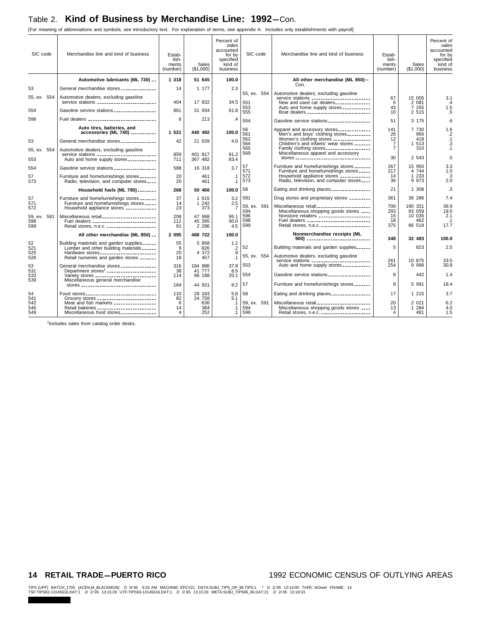[For meaning of abbreviations and symbols, see introductory text. For explanation of terms, see appendix A. Includes only establishments with payroll]

| SIC code                  | Merchandise line and kind of business                                                                                                   | Estab-<br>lish-<br>ments<br>(number) | Sales<br>(\$1,000)          | Percent of<br>sales<br>accounted<br>for by<br>specified<br>kind of<br>business | SIC code                  | Merchandise line and kind of business                                                                                                                                             | Estab-<br>lish-<br>ments<br>(number) | Sales<br>(\$1,000)                | Percent of<br>sales<br>accounted<br>for by<br>specified<br>kind of<br>business |
|---------------------------|-----------------------------------------------------------------------------------------------------------------------------------------|--------------------------------------|-----------------------------|--------------------------------------------------------------------------------|---------------------------|-----------------------------------------------------------------------------------------------------------------------------------------------------------------------------------|--------------------------------------|-----------------------------------|--------------------------------------------------------------------------------|
|                           | Automotive lubricants (ML 730) __                                                                                                       | 1 3 1 8                              | 51 645                      | 100.0                                                                          |                           | All other merchandise (ML 850)-                                                                                                                                                   |                                      |                                   |                                                                                |
| 53                        | General merchandise stores ______________                                                                                               | 14                                   | 1 177                       | 2.3                                                                            |                           | Con.                                                                                                                                                                              |                                      |                                   |                                                                                |
| 55, ex. 554               | Automotive dealers, excluding gasoline                                                                                                  | 404                                  | 17 832                      | 34.5                                                                           | 55. ex. 554               | Automotive dealers, excluding gasoline                                                                                                                                            | 67                                   | 15 005                            | 3.1                                                                            |
| 554                       | Gasoline service stations __________________                                                                                            | 861                                  | 31 934                      | 61.8                                                                           | 551<br>553<br>555         | New and used car dealers<br>Auto and home supply stores ___________<br>Boat dealers ____________________________                                                                  | 5<br>43<br>10                        | 2 081<br>7 255<br>2 5 1 5         | $\mathcal{A}$<br>1.5<br>.5                                                     |
| 598                       | Fuel dealers _______________________________                                                                                            | 6                                    | 213                         | .4                                                                             | 554                       | Gasoline service stations _________________                                                                                                                                       | 51                                   | 3 175                             | .6                                                                             |
|                           | Auto tires, batteries, and<br>accessories (ML 740) __________                                                                           | 1 5 2 1                              | 440 492                     | 100.0                                                                          | 56<br>561                 | Apparel and accessory stores                                                                                                                                                      | 141                                  | 7 730                             | 1.6                                                                            |
| 53                        | General merchandise stores ______________                                                                                               | 42                                   | 21 639                      | 4.9                                                                            | 562<br>564                | Men's and boys' clothing stores<br>Women's clothing stores _______________<br>Children's and infants' wear stores _______                                                         | 26<br>12<br>$\overline{7}$           | 966<br>418<br>513<br>1            | $\cdot$<br>$\cdot$ 1<br>.3                                                     |
| 55, ex. 554               | Automotive dealers, excluding gasoline                                                                                                  |                                      |                             |                                                                                | 565<br>569                | Family clothing stores __________________<br>Miscellaneous apparel and accessory                                                                                                  | $\overline{7}$                       | 310                               | $\cdot$ 1                                                                      |
| 553                       | Auto and home supply stores ____________                                                                                                | 859<br>711                           | 401 817<br>367 482          | 91.2<br>83.4                                                                   |                           | stores __________________________________                                                                                                                                         | 30                                   | 2 543                             | .5                                                                             |
| 554                       | Gasoline service stations __________________                                                                                            | 588                                  | 16 318                      | 3.7                                                                            | 57<br>571                 | Furniture and homefurnishings stores<br>Furniture and homefurnishings stores                                                                                                      | 267<br>217                           | 15 950<br>4 744                   | 3.3<br>1.0                                                                     |
| 57<br>573                 | Furniture and homefurnishings stores _______<br>Radio, television, and computer stores                                                  | 20<br>20                             | 461<br>461                  | $\cdot$ 1<br>$\cdot$ 1                                                         | 572<br>573                | Household appliance stores ____________<br>Radio, television, and computer stores                                                                                                 | 14<br>36                             | 1 2 3 3<br>9 9 7 3                | $\cdot$ 3<br>2.0                                                               |
|                           | Household fuels (ML 780) _______                                                                                                        | 268                                  | 50 466                      | 100.0                                                                          | 58                        | Eating and drinking places                                                                                                                                                        | 21                                   | 1 308                             | $\cdot$ <sup>3</sup>                                                           |
| 57<br>571<br>572          | Furniture and homefurnishings stores _______<br>Furniture and homefurnishings stores _____<br>Household appliance stores -------------  | 37<br>14<br>23                       | 1 615<br>1 2 4 2<br>373     | 3.2<br>2.5<br>.7                                                               | 591<br>59, ex. 591        | Drug stores and proprietary stores ________<br>Miscellaneous retail _______________________                                                                                       | 361<br>706                           | 36 286<br>190 331                 | 7.4<br>38.9                                                                    |
| 59, ex. 591<br>598<br>599 | Miscellaneous retail ______________________<br>Fuel dealers ____________________________<br>Retail stores, n.e.c. _____________________ | 208<br>112<br>91                     | 47 998<br>45 395<br>2 2 8 6 | 95.1<br>90.0<br>4.5                                                            | 594<br>596<br>598<br>599  | Miscellaneous shopping goods stores ____<br>Nonstore retailers ______________________<br>Fuel dealers ____________________________<br>Retail stores, n.e.c. _____________________ | 293<br>15<br>18<br>375               | 93 059<br>10 035<br>462<br>86 519 | 19.0<br>2.1<br>$\cdot$ 1<br>17.7                                               |
|                           | All other merchandise (ML 850)                                                                                                          | 2 0 9 5                              | 488 722                     | 100.0                                                                          |                           | Nonmerchandise receipts (ML                                                                                                                                                       |                                      |                                   |                                                                                |
| 52                        | Building materials and garden supplies                                                                                                  | 55                                   | 5 8 6 8                     | 1.2                                                                            |                           |                                                                                                                                                                                   | 348                                  | 32 483                            | 100.0                                                                          |
| 521<br>525                | Lumber and other building materials ______<br>Hardware stores________________________                                                   | 9<br>20                              | 826<br>4 372                | $\cdot$<br>.9                                                                  | 52                        | Building materials and garden supplies                                                                                                                                            | 5                                    | 823                               | 2.5                                                                            |
| 526                       | Retail nurseries and garden stores _______                                                                                              | 18                                   | 457                         | $\cdot$ 1                                                                      | 55, ex. 554               | Automotive dealers, excluding gasoline<br>service stations __________________________                                                                                             | 261                                  | 10 875                            | 33.5                                                                           |
| 53<br>531                 | General merchandise stores ______________<br>Department stores <sup>1</sup> ____________________                                        | 316<br>38                            | 184 886<br>41 777           | 37.8<br>8.5                                                                    | 553                       | Auto and home supply stores ____________                                                                                                                                          | 254                                  | 9 9 9 6                           | 30.8                                                                           |
| 533<br>539                | Variety stores __________________________<br>Miscellaneous general merchandise                                                          | 114                                  | 98 188                      | 20.1                                                                           | 554                       | Gasoline service stations __________________                                                                                                                                      | 8                                    | 442                               | 1.4                                                                            |
|                           |                                                                                                                                         | 164                                  | 44 921                      | 9.2                                                                            | 57                        | Furniture and homefurnishings stores                                                                                                                                              | 8                                    | 5 9 9 1                           | 18.4                                                                           |
| 54<br>541                 | Food stores<br>Grocery stores _________________________                                                                                 | 110<br>82                            | 28 183<br>24 758            | 5.8<br>5.1                                                                     | 58                        | Eating and drinking places                                                                                                                                                        | 17                                   | 1 2 1 5                           | 3.7                                                                            |
| 542<br>546<br>549         | Meat and fish markets __________________<br>Retail bakeries _________________________<br>Miscellaneous food stores ______________       | 6<br>14<br>$\overline{4}$            | 636<br>384<br>252           | .1<br>.1<br>$\cdot$ 1                                                          | 59. ex. 591<br>594<br>599 | Miscellaneous retail _______________________<br>Miscellaneous shopping goods stores ____<br>Retail stores, n.e.c. ____________________                                            | 20<br>13<br>4                        | 2 0 2 1<br>1 284<br>481           | 6.2<br>4.0<br>1.5                                                              |

1Includes sales from catalog order desks.

**14 RETAIL TRADE-PUERTO RICO** 1992 ECONOMIC CENSUS OF OUTLYING AREAS

TIPS [UPF] BATCH\_1705 [ACEN,M\_BLACKMON] 2/ 8/95 9:26 AM MACHINE: EPCV21 DATA:SUBJ\_TIPS\_OP\_96.TIPS;1 \* 2/ 2/95 13:14:00 TAPE: NOreel FRAME: 14<br>TSF:TIPS92-13145616.DAT;1 2/ 2/95 13:15:29 UTF:TIPS93-13145616.DAT;1 2/ 2/95 13: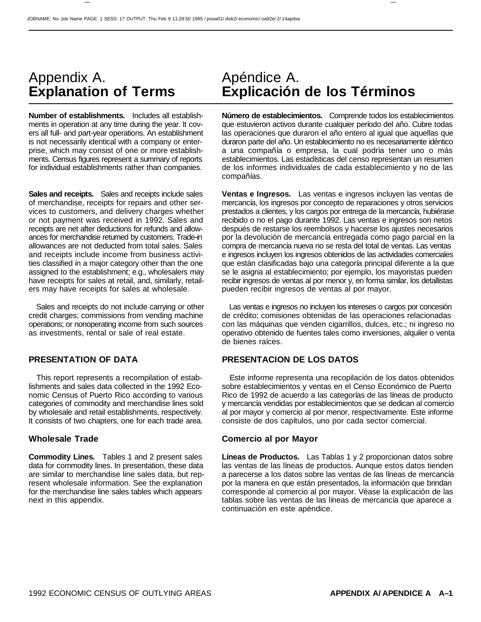# Appendix A. **Explanation of Terms**

**Number of establishments.** Includes all establishments in operation at any time during the year. It covers all full- and part-year operations. An establishment is not necessarily identical with a company or enterprise, which may consist of one or more establishments. Census figures represent a summary of reports for individual establishments rather than companies.

**Sales and receipts.** Sales and receipts include sales of merchandise, receipts for repairs and other services to customers, and delivery charges whether or not payment was received in 1992. Sales and receipts are net after deductions for refunds and allowances for merchandise returned by customers. Trade-in allowances are not deducted from total sales. Sales and receipts include income from business activities classified in a major category other than the one assigned to the establishment; e.g., wholesalers may have receipts for sales at retail, and, similarly, retailers may have receipts for sales at wholesale.

Sales and receipts do not include carrying or other credit charges; commissions from vending machine operations; or nonoperating income from such sources as investments, rental or sale of real estate.

This report represents a recompilation of establishments and sales data collected in the 1992 Economic Census of Puerto Rico according to various categories of commodity and merchandise lines sold by wholesale and retail establishments, respectively. It consists of two chapters, one for each trade area.

**Commodity Lines.** Tables 1 and 2 present sales data for commodity lines. In presentation, these data are similar to merchandise line sales data, but represent wholesale information. See the explanation for the merchandise line sales tables which appears next in this appendix.

## Apéndice A. **Explicación de los Términos**

**Número de establecimientos.** Comprende todos los establecimientos que estuvieron activos durante cualquier período del año. Cubre todas las operaciones que duraron el año entero al igual que aquellas que duraron parte del año. Un establecimiento no es necesariamente idéntico a una compañía o empresa, la cual podría tener uno o más establecimientos. Las estadísticas del censo representan un resumen de los informes individuales de cada establecimiento y no de las compañías.

**Ventas e Ingresos.** Las ventas e ingresos incluyen las ventas de mercancía, los ingresos por concepto de reparaciones y otros servicios prestados a clientes, y los cargos por entrega de la mercancía, hubiérase recibido o no el pago durante 1992. Las ventas e ingresos son netos después de restarse los reembolsos y hacerse los ajustes necesarios por la devolución de mercancía entregada como pago parcial en la compra de mercancía nueva no se resta del total de ventas. Las ventas e ingresos incluyen los ingresos obtenidos de las actividades comerciales que están clasificadas bajo una categoría principal diferente a la que se le asigna al establecimiento; por ejemplo, los mayoristas pueden recibir ingresos de ventas al por menor y, en forma similar, los detallistas pueden recibir ingresos de ventas al por mayor.

Las ventas e ingresos no incluyen los intereses o cargos por concesión de crédito; comisiones obtenidas de las operaciones relacionadas con las máquinas que venden cigarrillos, dulces, etc.; ni ingreso no operativo obtenido de fuentes tales como inversiones, alquiler o venta de bienes raíces.

### **PRESENTATION OF DATA PRESENTACION DE LOS DATOS**

Este informe representa una recopilación de los datos obtenidos sobre establecimientos y ventas en el Censo Económico de Puerto Rico de 1992 de acuerdo a las categorías de las líneas de producto y mercancía vendidas por establecimientos que se dedican al comercio al por mayor y comercio al por menor, respectivamente. Este informe consiste de dos capítulos, uno por cada sector comercial.

#### **Wholesale Trade Comercio al por Mayor**

**Líneas de Productos.** Las Tablas 1 y 2 proporcionan datos sobre las ventas de las líneas de productos. Aunque estos datos tienden a parecerse a los datos sobre las ventas de las líneas de mercancía por la manera en que están presentados, la información que brindan corresponde al comercio al por mayor. Véase la explicación de las tablas sobre las ventas de las líneas de mercancía que aparece a continuación en este apéndice.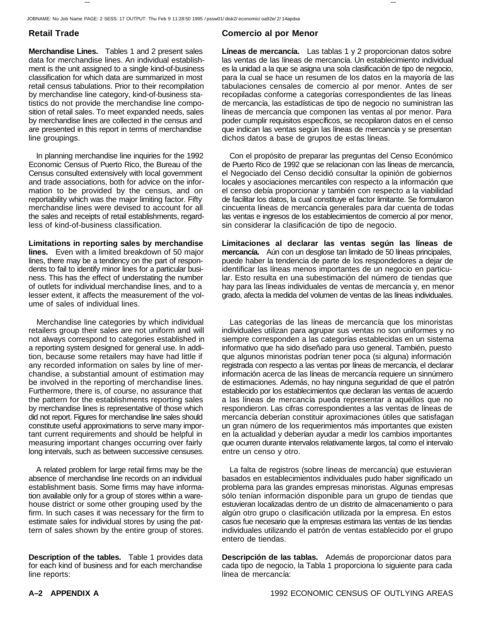JOBNAME: No Job Name PAGE: 2 SESS: 17 OUTPUT: Thu Feb 9 11:28:50 1995 / pssw01/ disk2/ economic/ oa92e/ 2/ 14apdxa

**Merchandise Lines.** Tables 1 and 2 present sales data for merchandise lines. An individual establishment is the unit assigned to a single kind-of-business classification for which data are summarized in most retail census tabulations. Prior to their recompilation by merchandise line category, kind-of-business statistics do not provide the merchandise line composition of retail sales. To meet expanded needs, sales by merchandise lines are collected in the census and are presented in this report in terms of merchandise line groupings.

In planning merchandise line inquiries for the 1992 Economic Census of Puerto Rico, the Bureau of the Census consulted extensively with local government and trade associations, both for advice on the information to be provided by the census, and on reportability which was the major limiting factor. Fifty merchandise lines were devised to account for all the sales and receipts of retail establishments, regardless of kind-of-business classification.

**Limitations in reporting sales by merchandise lines.** Even with a limited breakdown of 50 major lines, there may be a tendency on the part of respondents to fail to identify minor lines for a particular business. This has the effect of understating the number of outlets for individual merchandise lines, and to a lesser extent, it affects the measurement of the volume of sales of individual lines.

Merchandise line categories by which individual retailers group their sales are not uniform and will not always correspond to categories established in a reporting system designed for general use. In addition, because some retailers may have had little if any recorded information on sales by line of merchandise, a substantial amount of estimation may be involved in the reporting of merchandise lines. Furthermore, there is, of course, no assurance that the pattern for the establishments reporting sales by merchandise lines is representative of those which did not report. Figures for merchandise line sales should constitute useful approximations to serve many important current requirements and should be helpful in measuring important changes occurring over fairly long intervals, such as between successive censuses.

A related problem for large retail firms may be the absence of merchandise line records on an individual establishment basis. Some firms may have information available only for a group of stores within a warehouse district or some other grouping used by the firm. In such cases it was necessary for the firm to estimate sales for individual stores by using the pattern of sales shown by the entire group of stores.

**Description of the tables.** Table 1 provides data for each kind of business and for each merchandise line reports:

### **Retail Trade Comercio al por Menor**

**Líneas de mercancía.** Las tablas 1 y 2 proporcionan datos sobre las ventas de las líneas de mercancía. Un establecimiento individual es la unidad a la que se asigna una sola clasificación de tipo de negocio, para la cual se hace un resumen de los datos en la mayoría de las tabulaciones censales de comercio al por menor. Antes de ser recopiladas conforme a categorías correspondientes de las líneas de mercancía, las estadísticas de tipo de negocio no suministran las líneas de mercancía que componen las ventas al por menor. Para poder cumplir requisitos específicos, se recopilaron datos en el censo que indican las ventas según las líneas de mercancía y se presentan dichos datos a base de grupos de estas líneas.

Con el propósito de preparar las preguntas del Censo Económico de Puerto Rico de 1992 que se relacionan con las líneas de mercancía, el Negociado del Censo decidió consultar la opinión de gobiernos locales y asociaciones mercantiles con respecto a la información que el censo debía proporcionar y también con respecto a la viabilidad de facilitar los datos, la cual constituye el factor limitante. Se formularon cincuenta líneas de mercancía generales para dar cuenta de todas las ventas e ingresos de los establecimientos de comercio al por menor, sin considerar la clasificación de tipo de negocio.

**Limitaciones al declarar las ventas según las líneas de mercancía.** Aún con un desglose tan limitado de 50 líneas principales, puede haber la tendencia de parte de los respondedores a dejar de identificar las líneas menos importantes de un negocio en particular. Esto resulta en una subestimación del número de tiendas que hay para las líneas individuales de ventas de mercancía y, en menor grado, afecta la medida del volumen de ventas de las líneas individuales.

Las categorías de las líneas de mercancía que los minoristas individuales utilizan para agrupar sus ventas no son uniformes y no siempre corresponden a las categorías establecidas en un sistema informativo que ha sido diseñado para uso general. También, puesto que algunos minoristas podrían tener poca (si alguna) información registrada con respecto a las ventas por líneas de mercancía, el declarar información acerca de las líneas de mercancía requiere un sinnúmero de estimaciones. Además, no hay ninguna seguridad de que el patrón establecido por los establecimientos que declaran las ventas de acuerdo a las líneas de mercancía pueda representar a aquéllos que no respondieron. Las cifras correspondientes a las ventas de líneas de mercancía deberían constituir aproximaciones útiles que satisfagan un gran número de los requerimientos más importantes que existen en la actualidad y deberían ayudar a medir los cambios importantes que ocurren durante intervalos relativamente largos, tal como el intervalo entre un censo y otro.

La falta de registros (sobre líneas de mercancía) que estuvieran basados en establecimientos individuales pudo haber significado un problema para las grandes empresas minoristas. Algunas empresas sólo tenían información disponible para un grupo de tiendas que estuvieran localizadas dentro de un distrito de almacenamiento o para algún otro grupo o clasificación utilizada por la empresa. En estos casos fue necesario que la empresas estimara las ventas de las tiendas individuales utilizando el patrón de ventas establecido por el grupo entero de tiendas.

**Descripción de las tablas.** Además de proporcionar datos para cada tipo de negocio, la Tabla 1 proporciona lo siguiente para cada línea de mercancía: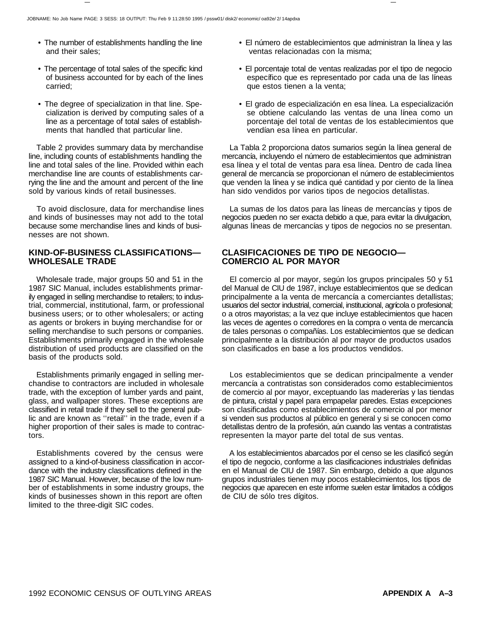- The number of establishments handling the line and their sales;
- The percentage of total sales of the specific kind of business accounted for by each of the lines carried;
- The degree of specialization in that line. Specialization is derived by computing sales of a line as a percentage of total sales of establishments that handled that particular line.

Table 2 provides summary data by merchandise line, including counts of establishments handling the line and total sales of the line. Provided within each merchandise line are counts of establishments carrying the line and the amount and percent of the line sold by various kinds of retail businesses.

To avoid disclosure, data for merchandise lines and kinds of businesses may not add to the total because some merchandise lines and kinds of businesses are not shown.

#### **KIND-OF-BUSINESS CLASSIFICATIONS— WHOLESALE TRADE**

Wholesale trade, major groups 50 and 51 in the 1987 SIC Manual, includes establishments primarily engaged in selling merchandise to retailers; to industrial, commercial, institutional, farm, or professional business users; or to other wholesalers; or acting as agents or brokers in buying merchandise for or selling merchandise to such persons or companies. Establishments primarily engaged in the wholesale distribution of used products are classified on the basis of the products sold.

Establishments primarily engaged in selling merchandise to contractors are included in wholesale trade, with the exception of lumber yards and paint, glass, and wallpaper stores. These exceptions are classified in retail trade if they sell to the general public and are known as ''retail'' in the trade, even if a higher proportion of their sales is made to contractors.

Establishments covered by the census were assigned to a kind-of-business classification in accordance with the industry classifications defined in the 1987 SIC Manual. However, because of the low number of establishments in some industry groups, the kinds of businesses shown in this report are often limited to the three-digit SIC codes.

- El número de establecimientos que administran la línea y las ventas relacionadas con la misma;
- El porcentaje total de ventas realizadas por el tipo de negocio específico que es representado por cada una de las líneas que estos tienen a la venta;
- El grado de especialización en esa línea. La especialización se obtiene calculando las ventas de una línea como un porcentaje del total de ventas de los establecimientos que vendían esa línea en particular.

La Tabla 2 proporciona datos sumarios según la línea general de mercancía, incluyendo el número de establecimientos que administran esa línea y el total de ventas para esa línea. Dentro de cada línea general de mercancía se proporcionan el número de establecimientos que venden la línea y se indica qué cantidad y por ciento de la línea han sido vendidos por varios tipos de negocios detallistas.

La sumas de los datos para las líneas de mercancías y tipos de negocios pueden no ser exacta debido a que, para evitar la divulgacíon, algunas líneas de mercancías y tipos de negocios no se presentan.

#### **CLASIFICACIONES DE TIPO DE NEGOCIO— COMERCIO AL POR MAYOR**

El comercio al por mayor, según los grupos principales 50 y 51 del Manual de CIU de 1987, incluye establecimientos que se dedican principalmente a la venta de mercancía a comerciantes detallistas; usuarios del sector industrial, comercial, institucional, agrícola o profesional; o a otros mayoristas; a la vez que incluye establecimientos que hacen las veces de agentes o corredores en la compra o venta de mercancía de tales personas o compañías. Los establecimientos que se dedican principalmente a la distribución al por mayor de productos usados son clasificados en base a los productos vendidos.

Los establecimientos que se dedican principalmente a vender mercancía a contratistas son considerados como establecimientos de comercio al por mayor, exceptuando las madererías y las tiendas de pintura, cristal y papel para empapelar paredes. Estas excepciones son clasificadas como establecimientos de comercio al por menor si venden sus productos al público en general y si se conocen como detallistas dentro de la profesión, aún cuando las ventas a contratistas representen la mayor parte del total de sus ventas.

A los establecimientos abarcados por el censo se les clasificó según el tipo de negocio, conforme a las clasificaciones industriales definidas en el Manual de CIU de 1987. Sin embargo, debido a que algunos grupos industriales tienen muy pocos establecimientos, los tipos de negocios que aparecen en este informe suelen estar limitados a códigos de CIU de sólo tres dígitos.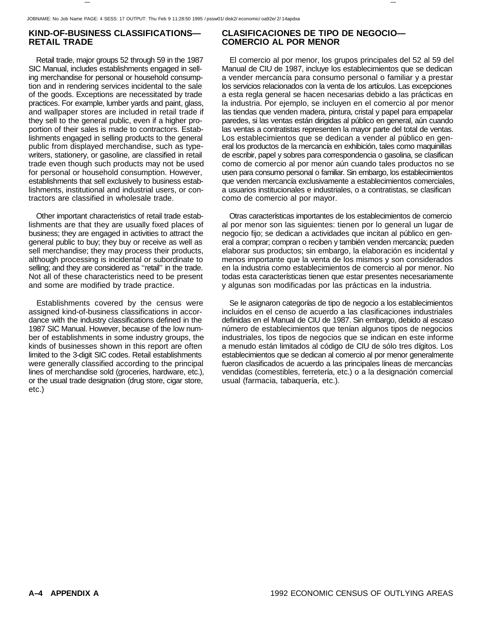### **KIND-OF-BUSINESS CLASSIFICATIONS— RETAIL TRADE**

Retail trade, major groups 52 through 59 in the 1987 SIC Manual, includes establishments engaged in selling merchandise for personal or household consumption and in rendering services incidental to the sale of the goods. Exceptions are necessitated by trade practices. For example, lumber yards and paint, glass, and wallpaper stores are included in retail trade if they sell to the general public, even if a higher proportion of their sales is made to contractors. Establishments engaged in selling products to the general public from displayed merchandise, such as typewriters, stationery, or gasoline, are classified in retail trade even though such products may not be used for personal or household consumption. However, establishments that sell exclusively to business establishments, institutional and industrial users, or contractors are classified in wholesale trade.

Other important characteristics of retail trade establishments are that they are usually fixed places of business; they are engaged in activities to attract the general public to buy; they buy or receive as well as sell merchandise; they may process their products, although processing is incidental or subordinate to selling; and they are considered as ''retail'' in the trade. Not all of these characteristics need to be present and some are modified by trade practice.

Establishments covered by the census were assigned kind-of-business classifications in accordance with the industry classifications defined in the 1987 SIC Manual. However, because of the low number of establishments in some industry groups, the kinds of businesses shown in this report are often limited to the 3-digit SIC codes. Retail establishments were generally classified according to the principal lines of merchandise sold (groceries, hardware, etc.), or the usual trade designation (drug store, cigar store, etc.)

### **CLASIFICACIONES DE TIPO DE NEGOCIO— COMERCIO AL POR MENOR**

El comercio al por menor, los grupos principales del 52 al 59 del Manual de CIU de 1987, incluye los establecimientos que se dedican a vender mercancía para consumo personal o familiar y a prestar los servicios relacionados con la venta de los artículos. Las excepciones a esta regla general se hacen necesarias debido a las prácticas en la industria. Por ejemplo, se incluyen en el comercio al por menor las tiendas que venden madera, pintura, cristal y papel para empapelar paredes, si las ventas están dirigidas al público en general, aún cuando las ventas a contratistas representen la mayor parte del total de ventas. Los establecimientos que se dedican a vender al público en general los productos de la mercancía en exhibición, tales como maquinillas de escribir, papel y sobres para correspondencia o gasolina, se clasifican como de comercio al por menor aún cuando tales productos no se usen para consumo personal o familiar. Sin embargo, los establecimientos que venden mercancía exclusivamente a establecimientos comerciales, a usuarios institucionales e industriales, o a contratistas, se clasifican como de comercio al por mayor.

Otras características importantes de los establecimientos de comercio al por menor son las siguientes: tienen por lo general un lugar de negocio fijo; se dedican a actividades que incitan al público en general a comprar; compran o reciben y también venden mercancía; pueden elaborar sus productos; sin embargo, la elaboración es incidental y menos importante que la venta de los mismos y son considerados en la industria como establecimientos de comercio al por menor. No todas esta características tienen que estar presentes necesariamente y algunas son modificadas por las prácticas en la industria.

Se le asignaron categorías de tipo de negocio a los establecimientos incluidos en el censo de acuerdo a las clasificaciones industriales definidas en el Manual de CIU de 1987. Sin embargo, debido al escaso número de establecimientos que tenían algunos tipos de negocios industriales, los tipos de negocios que se indican en este informe a menudo están limitados al código de CIU de sólo tres dígitos. Los establecimientos que se dedican al comercio al por menor generalmente fueron clasificados de acuerdo a las principales líneas de mercancías vendidas (comestibles, ferretería, etc.) o a la designación comercial usual (farmacia, tabaquería, etc.).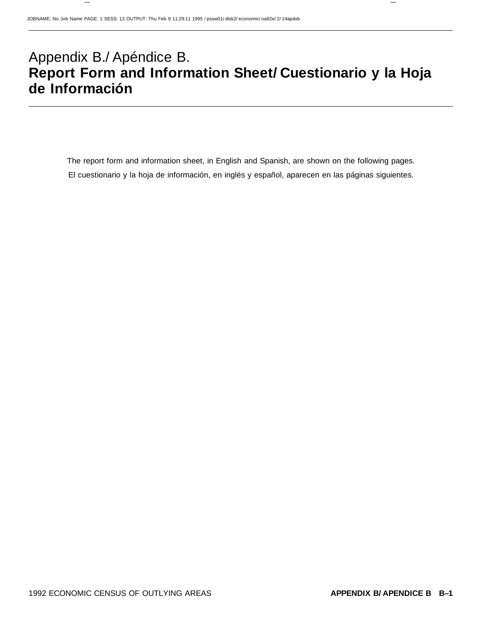# Appendix B./ Apéndice B. **Report Form and Information Sheet/ Cuestionario y la Hoja de Información**

The report form and information sheet, in English and Spanish, are shown on the following pages. El cuestionario y la hoja de información, en inglés y español, aparecen en las páginas siguientes.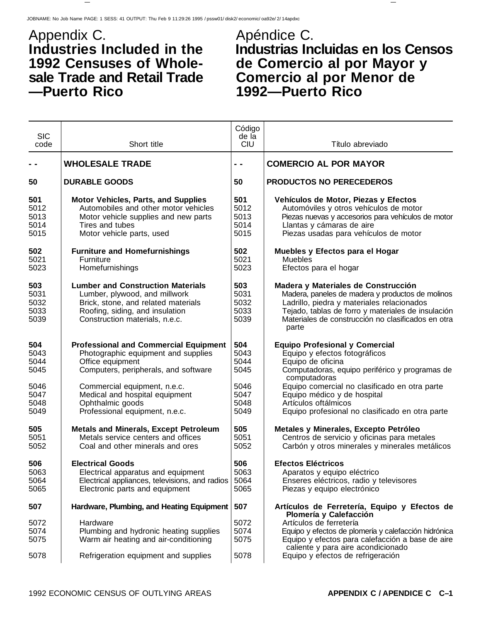## Appendix C. **Industries Included in the 1992 Censuses of Wholesale Trade and Retail Trade —Puerto Rico**

# Apéndice C. **Industrias Incluidas en los Censos de Comercio al por Mayor y Comercio al por Menor de 1992—Puerto Rico**

| <b>SIC</b>                                          |                                                                                                                                                                                                                                       | Código<br>de la                                     |                                                                                                                                                                                                                                                                       |
|-----------------------------------------------------|---------------------------------------------------------------------------------------------------------------------------------------------------------------------------------------------------------------------------------------|-----------------------------------------------------|-----------------------------------------------------------------------------------------------------------------------------------------------------------------------------------------------------------------------------------------------------------------------|
| code                                                | Short title                                                                                                                                                                                                                           | <b>CIU</b>                                          | Título abreviado                                                                                                                                                                                                                                                      |
|                                                     | <b>WHOLESALE TRADE</b>                                                                                                                                                                                                                | - -                                                 | <b>COMERCIO AL POR MAYOR</b>                                                                                                                                                                                                                                          |
|                                                     |                                                                                                                                                                                                                                       |                                                     |                                                                                                                                                                                                                                                                       |
| 50                                                  | <b>DURABLE GOODS</b>                                                                                                                                                                                                                  | 50                                                  | PRODUCTOS NO PERECEDEROS                                                                                                                                                                                                                                              |
| 501<br>5012<br>5013<br>5014<br>5015                 | <b>Motor Vehicles, Parts, and Supplies</b><br>Automobiles and other motor vehicles<br>Motor vehicle supplies and new parts<br>Tires and tubes<br>Motor vehicle parts, used                                                            | 501<br>5012<br>5013<br>5014<br>5015                 | Vehículos de Motor, Piezas y Efectos<br>Automóviles y otros vehículos de motor<br>Piezas nuevas y accesorios para vehículos de motor<br>Llantas y cámaras de aire<br>Piezas usadas para vehículos de motor                                                            |
| 502<br>5021<br>5023                                 | <b>Furniture and Homefurnishings</b><br>Furniture<br>Homefurnishings                                                                                                                                                                  | 502<br>5021<br>5023                                 | Muebles y Efectos para el Hogar<br><b>Muebles</b><br>Efectos para el hogar                                                                                                                                                                                            |
| 503<br>5031<br>5032<br>5033<br>5039                 | <b>Lumber and Construction Materials</b><br>Lumber, plywood, and millwork<br>Brick, stone, and related materials<br>Roofing, siding, and insulation<br>Construction materials, n.e.c.                                                 | 503<br>5031<br>5032<br>5033<br>5039                 | Madera y Materiales de Construcción<br>Madera, paneles de madera y productos de molinos<br>Ladrillo, piedra y materiales relacionados<br>Tejado, tablas de forro y materiales de insulación<br>Materiales de construcción no clasificados en otra<br>parte            |
| 504<br>5043<br>5044<br>5045<br>5046<br>5047<br>5048 | <b>Professional and Commercial Equipment</b><br>Photographic equipment and supplies<br>Office equipment<br>Computers, peripherals, and software<br>Commercial equipment, n.e.c.<br>Medical and hospital equipment<br>Ophthalmic goods | 504<br>5043<br>5044<br>5045<br>5046<br>5047<br>5048 | <b>Equipo Profesional y Comercial</b><br>Equipo y efectos fotográficos<br>Equipo de oficina<br>Computadoras, equipo periférico y programas de<br>computadoras<br>Equipo comercial no clasificado en otra parte<br>Equipo médico y de hospital<br>Artículos oftálmicos |
| 5049                                                | Professional equipment, n.e.c.                                                                                                                                                                                                        | 5049                                                | Equipo profesional no clasificado en otra parte                                                                                                                                                                                                                       |
| 505<br>5051<br>5052                                 | <b>Metals and Minerals, Except Petroleum</b><br>Metals service centers and offices<br>Coal and other minerals and ores                                                                                                                | 505<br>5051<br>5052                                 | Metales y Minerales, Excepto Petróleo<br>Centros de servicio y oficinas para metales<br>Carbón y otros minerales y minerales metálicos                                                                                                                                |
| 506<br>5063<br>5064<br>5065                         | <b>Electrical Goods</b><br>Electrical apparatus and equipment<br>Electrical appliances, televisions, and radios<br>Electronic parts and equipment                                                                                     | 506<br>5063<br>5064<br>5065                         | <b>Efectos Eléctricos</b><br>Aparatos y equipo eléctrico<br>Enseres eléctricos, radio y televisores<br>Piezas y equipo electrónico                                                                                                                                    |
| 507                                                 | Hardware, Plumbing, and Heating Equipment                                                                                                                                                                                             | 507                                                 | Artículos de Ferretería, Equipo y Efectos de                                                                                                                                                                                                                          |
| 5072<br>5074<br>5075                                | Hardware<br>Plumbing and hydronic heating supplies<br>Warm air heating and air-conditioning                                                                                                                                           | 5072<br>5074<br>5075                                | Plomería y Calefacción<br>Artículos de ferretería<br>Equipo y efectos de plomería y calefacción hidrónica<br>Equipo y efectos para calefacción a base de aire<br>caliente y para aire acondicionado                                                                   |
| 5078                                                | Refrigeration equipment and supplies                                                                                                                                                                                                  | 5078                                                | Equipo y efectos de refrigeración                                                                                                                                                                                                                                     |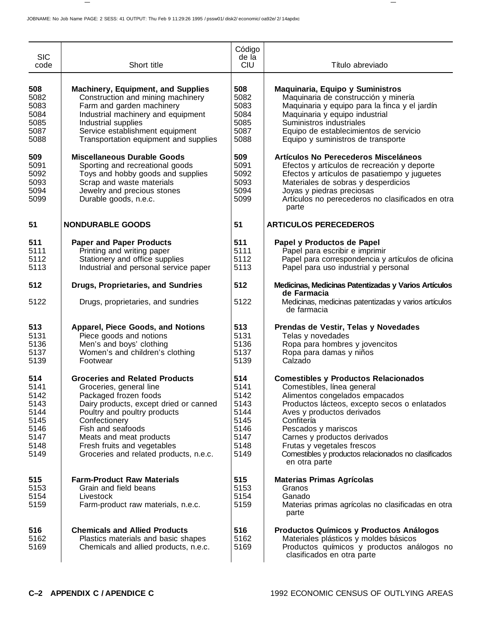| <b>SIC</b><br>code                                                          | Short title                                                                                                                                                                                                                                                                                                   | Código<br>de la<br><b>CIU</b>                                               | Título abreviado                                                                                                                                                                                                                                                                                                                                                      |
|-----------------------------------------------------------------------------|---------------------------------------------------------------------------------------------------------------------------------------------------------------------------------------------------------------------------------------------------------------------------------------------------------------|-----------------------------------------------------------------------------|-----------------------------------------------------------------------------------------------------------------------------------------------------------------------------------------------------------------------------------------------------------------------------------------------------------------------------------------------------------------------|
| 508<br>5082<br>5083<br>5084<br>5085<br>5087<br>5088                         | <b>Machinery, Equipment, and Supplies</b><br>Construction and mining machinery<br>Farm and garden machinery<br>Industrial machinery and equipment<br>Industrial supplies<br>Service establishment equipment<br>Transportation equipment and supplies                                                          | 508<br>5082<br>5083<br>5084<br>5085<br>5087<br>5088                         | Maquinaria, Equipo y Suministros<br>Maquinaria de construcción y minería<br>Maquinaria y equipo para la finca y el jardín<br>Maquinaria y equipo industrial<br>Suministros industriales<br>Equipo de establecimientos de servicio<br>Equipo y suministros de transporte                                                                                               |
| 509<br>5091<br>5092<br>5093<br>5094<br>5099                                 | <b>Miscellaneous Durable Goods</b><br>Sporting and recreational goods<br>Toys and hobby goods and supplies<br>Scrap and waste materials<br>Jewelry and precious stones<br>Durable goods, n.e.c.                                                                                                               | 509<br>5091<br>5092<br>5093<br>5094<br>5099                                 | Artículos No Perecederos Misceláneos<br>Efectos y artículos de recreación y deporte<br>Efectos y artículos de pasatiempo y juguetes<br>Materiales de sobras y desperdicios<br>Joyas y piedras preciosas<br>Artículos no perecederos no clasificados en otra<br>parte                                                                                                  |
| 51                                                                          | <b>NONDURABLE GOODS</b>                                                                                                                                                                                                                                                                                       | 51                                                                          | <b>ARTICULOS PERECEDEROS</b>                                                                                                                                                                                                                                                                                                                                          |
| 511<br>5111<br>5112<br>5113                                                 | <b>Paper and Paper Products</b><br>Printing and writing paper<br>Stationery and office supplies<br>Industrial and personal service paper                                                                                                                                                                      | 511<br>5111<br>5112<br>5113                                                 | Papel y Productos de Papel<br>Papel para escribir e imprimir<br>Papel para correspondencia y artículos de oficina<br>Papel para uso industrial y personal                                                                                                                                                                                                             |
| 512                                                                         | <b>Drugs, Proprietaries, and Sundries</b>                                                                                                                                                                                                                                                                     | 512                                                                         | Medicinas, Medicinas Patentizadas y Varios Artículos<br>de Farmacia                                                                                                                                                                                                                                                                                                   |
| 5122                                                                        | Drugs, proprietaries, and sundries                                                                                                                                                                                                                                                                            | 5122                                                                        | Medicinas, medicinas patentizadas y varios artículos<br>de farmacia                                                                                                                                                                                                                                                                                                   |
| 513<br>5131<br>5136<br>5137<br>5139                                         | <b>Apparel, Piece Goods, and Notions</b><br>Piece goods and notions<br>Men's and boys' clothing<br>Women's and children's clothing<br>Footwear                                                                                                                                                                | 513<br>5131<br>5136<br>5137<br>5139                                         | Prendas de Vestir, Telas y Novedades<br>Telas y novedades<br>Ropa para hombres y jovencitos<br>Ropa para damas y niños<br>Calzado                                                                                                                                                                                                                                     |
| 514<br>5141<br>5142<br>5143<br>5144<br>5145<br>5146<br>5147<br>5148<br>5149 | <b>Groceries and Related Products</b><br>Groceries, general line<br>Packaged frozen foods<br>Dairy products, except dried or canned<br>Poultry and poultry products<br>Confectionery<br>Fish and seafoods<br>Meats and meat products<br>Fresh fruits and vegetables<br>Groceries and related products, n.e.c. | 514<br>5141<br>5142<br>5143<br>5144<br>5145<br>5146<br>5147<br>5148<br>5149 | <b>Comestibles y Productos Relacionados</b><br>Comestibles, línea general<br>Alimentos congelados empacados<br>Productos lácteos, excepto secos o enlatados<br>Aves y productos derivados<br>Confitería<br>Pescados y mariscos<br>Carnes y productos derivados<br>Frutas y vegetales frescos<br>Comestibles y productos relacionados no clasificados<br>en otra parte |
| 515<br>5153<br>5154<br>5159                                                 | <b>Farm-Product Raw Materials</b><br>Grain and field beans<br>Livestock<br>Farm-product raw materials, n.e.c.                                                                                                                                                                                                 | 515<br>5153<br>5154<br>5159                                                 | <b>Materias Primas Agrícolas</b><br>Granos<br>Ganado<br>Materias primas agrícolas no clasificadas en otra<br>parte                                                                                                                                                                                                                                                    |
| 516<br>5162<br>5169                                                         | <b>Chemicals and Allied Products</b><br>Plastics materials and basic shapes<br>Chemicals and allied products, n.e.c.                                                                                                                                                                                          | 516<br>5162<br>5169                                                         | Productos Químicos y Productos Análogos<br>Materiales plásticos y moldes básicos<br>Productos químicos y productos análogos no<br>clasificados en otra parte                                                                                                                                                                                                          |

 $\overline{\phantom{m}}$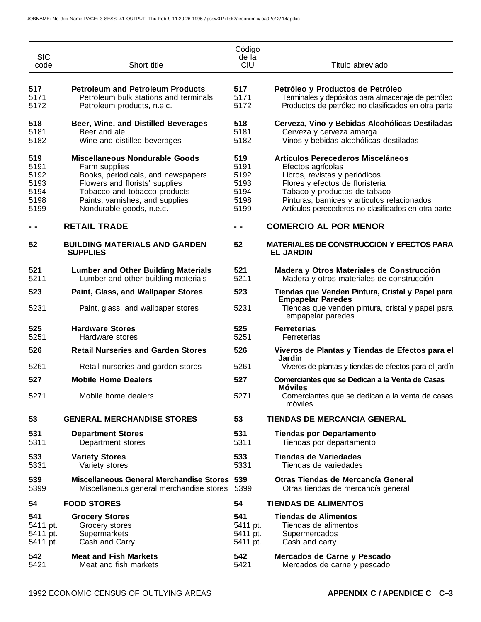| <b>SIC</b><br>code                                  | Short title                                                                                                                                                                                                                   | Código<br>de la<br><b>CIU</b>                       | Título abreviado                                                                                                                                                                                                                                                 |
|-----------------------------------------------------|-------------------------------------------------------------------------------------------------------------------------------------------------------------------------------------------------------------------------------|-----------------------------------------------------|------------------------------------------------------------------------------------------------------------------------------------------------------------------------------------------------------------------------------------------------------------------|
| 517<br>5171<br>5172                                 | <b>Petroleum and Petroleum Products</b><br>Petroleum bulk stations and terminals<br>Petroleum products, n.e.c.                                                                                                                | 517<br>5171<br>5172                                 | Petróleo y Productos de Petróleo<br>Terminales y depósitos para almacenaje de petróleo<br>Productos de petróleo no clasificados en otra parte                                                                                                                    |
| 518<br>5181<br>5182                                 | Beer, Wine, and Distilled Beverages<br>Beer and ale<br>Wine and distilled beverages                                                                                                                                           | 518<br>5181<br>5182                                 | Cerveza, Vino y Bebidas Alcohólicas Destiladas<br>Cerveza y cerveza amarga<br>Vinos y bebidas alcohólicas destiladas                                                                                                                                             |
| 519<br>5191<br>5192<br>5193<br>5194<br>5198<br>5199 | <b>Miscellaneous Nondurable Goods</b><br>Farm supplies<br>Books, periodicals, and newspapers<br>Flowers and florists' supplies<br>Tobacco and tobacco products<br>Paints, varnishes, and supplies<br>Nondurable goods, n.e.c. | 519<br>5191<br>5192<br>5193<br>5194<br>5198<br>5199 | Artículos Perecederos Misceláneos<br>Efectos agrícolas<br>Libros, revistas y periódicos<br>Flores y efectos de floristería<br>Tabaco y productos de tabaco<br>Pinturas, barnices y artículos relacionados<br>Artículos perecederos no clasificados en otra parte |
|                                                     | <b>RETAIL TRADE</b>                                                                                                                                                                                                           | - -                                                 | <b>COMERCIO AL POR MENOR</b>                                                                                                                                                                                                                                     |
| 52                                                  | <b>BUILDING MATERIALS AND GARDEN</b><br><b>SUPPLIES</b>                                                                                                                                                                       | 52                                                  | <b>MATERIALES DE CONSTRUCCION Y EFECTOS PARA</b><br><b>EL JARDIN</b>                                                                                                                                                                                             |
| 521<br>5211                                         | <b>Lumber and Other Building Materials</b><br>Lumber and other building materials                                                                                                                                             | 521<br>5211                                         | Madera y Otros Materiales de Construcción<br>Madera y otros materiales de construcción                                                                                                                                                                           |
| 523                                                 | Paint, Glass, and Wallpaper Stores                                                                                                                                                                                            | 523                                                 | Tiendas que Venden Pintura, Cristal y Papel para<br><b>Empapelar Paredes</b>                                                                                                                                                                                     |
| 5231                                                | Paint, glass, and wallpaper stores                                                                                                                                                                                            | 5231                                                | Tiendas que venden pintura, cristal y papel para<br>empapelar paredes                                                                                                                                                                                            |
| 525<br>5251                                         | <b>Hardware Stores</b><br>Hardware stores                                                                                                                                                                                     | 525<br>5251                                         | <b>Ferreterías</b><br>Ferreterías                                                                                                                                                                                                                                |
| 526                                                 | <b>Retail Nurseries and Garden Stores</b>                                                                                                                                                                                     | 526                                                 | Viveros de Plantas y Tiendas de Efectos para el<br>Jardín                                                                                                                                                                                                        |
| 5261                                                | Retail nurseries and garden stores                                                                                                                                                                                            | 5261                                                | Viveros de plantas y tiendas de efectos para el jardín                                                                                                                                                                                                           |
| 527                                                 | <b>Mobile Home Dealers</b>                                                                                                                                                                                                    | 527                                                 | Comerciantes que se Dedican a la Venta de Casas<br><b>Móviles</b>                                                                                                                                                                                                |
| 5271                                                | Mobile home dealers                                                                                                                                                                                                           | 5271                                                | Comerciantes que se dedican a la venta de casas<br>móviles                                                                                                                                                                                                       |
| 53                                                  | <b>GENERAL MERCHANDISE STORES</b>                                                                                                                                                                                             | 53                                                  | <b>TIENDAS DE MERCANCIA GENERAL</b>                                                                                                                                                                                                                              |
| 531<br>5311                                         | <b>Department Stores</b><br>Department stores                                                                                                                                                                                 | 531<br>5311                                         | <b>Tiendas por Departamento</b><br>Tiendas por departamento                                                                                                                                                                                                      |
| 533<br>5331                                         | <b>Variety Stores</b><br>Variety stores                                                                                                                                                                                       | 533<br>5331                                         | <b>Tiendas de Variedades</b><br>Tiendas de variedades                                                                                                                                                                                                            |
| 539<br>5399                                         | <b>Miscellaneous General Merchandise Stores</b><br>Miscellaneous general merchandise stores                                                                                                                                   | 539<br>5399                                         | Otras Tiendas de Mercancía General<br>Otras tiendas de mercancía general                                                                                                                                                                                         |
| 54                                                  | <b>FOOD STORES</b>                                                                                                                                                                                                            | 54                                                  | <b>TIENDAS DE ALIMENTOS</b>                                                                                                                                                                                                                                      |
| 541<br>5411 pt.<br>5411 pt.<br>5411 pt.             | <b>Grocery Stores</b><br>Grocery stores<br>Supermarkets<br>Cash and Carry                                                                                                                                                     | 541<br>5411 pt.<br>5411 pt.<br>5411 pt.             | <b>Tiendas de Alimentos</b><br>Tiendas de alimentos<br>Supermercados<br>Cash and carry                                                                                                                                                                           |
| 542<br>5421                                         | <b>Meat and Fish Markets</b><br>Meat and fish markets                                                                                                                                                                         | 542<br>5421                                         | Mercados de Carne y Pescado<br>Mercados de carne y pescado                                                                                                                                                                                                       |

 $\hspace{0.1mm}-\hspace{0.1mm}$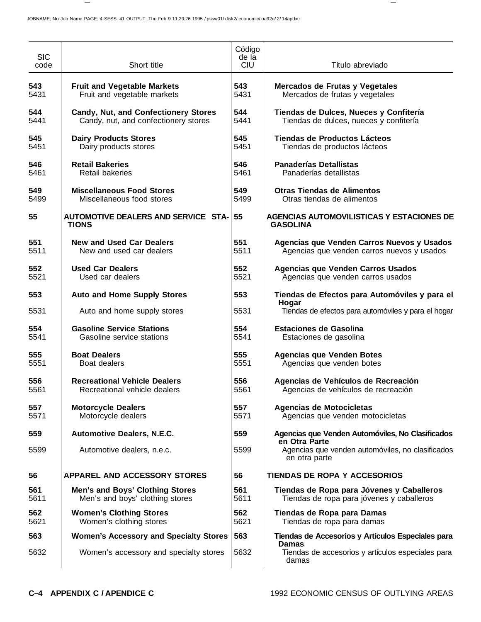| <b>SIC</b><br>code | Short title                                   | Código<br>de la<br><b>CIU</b> | Título abreviado                                                    |
|--------------------|-----------------------------------------------|-------------------------------|---------------------------------------------------------------------|
| 543                | <b>Fruit and Vegetable Markets</b>            | 543                           | Mercados de Frutas y Vegetales                                      |
| 5431               | Fruit and vegetable markets                   | 5431                          | Mercados de frutas y vegetales                                      |
| 544                | <b>Candy, Nut, and Confectionery Stores</b>   | 544                           | Tiendas de Dulces, Nueces y Confitería                              |
| 5441               | Candy, nut, and confectionery stores          | 5441                          | Tiendas de dulces, nueces y confitería                              |
| 545                | <b>Dairy Products Stores</b>                  | 545                           | Tiendas de Productos Lácteos                                        |
| 5451               | Dairy products stores                         | 5451                          | Tiendas de productos lácteos                                        |
| 546                | <b>Retail Bakeries</b>                        | 546                           | <b>Panaderías Detallistas</b>                                       |
| 5461               | <b>Retail bakeries</b>                        | 5461                          | Panaderías detallistas                                              |
| 549                | <b>Miscellaneous Food Stores</b>              | 549                           | <b>Otras Tiendas de Alimentos</b>                                   |
| 5499               | Miscellaneous food stores                     | 5499                          | Otras tiendas de alimentos                                          |
| 55                 | AUTOMOTIVE DEALERS AND SERVICE STA-<br>TIONS  | 55                            | <b>AGENCIAS AUTOMOVILISTICAS Y ESTACIONES DE</b><br><b>GASOLINA</b> |
| 551                | <b>New and Used Car Dealers</b>               | 551                           | Agencias que Venden Carros Nuevos y Usados                          |
| 5511               | New and used car dealers                      | 5511                          | Agencias que venden carros nuevos y usados                          |
| 552                | <b>Used Car Dealers</b>                       | 552                           | Agencias que Venden Carros Usados                                   |
| 5521               | Used car dealers                              | 5521                          | Agencias que venden carros usados                                   |
| 553                | <b>Auto and Home Supply Stores</b>            | 553                           | Tiendas de Efectos para Automóviles y para el<br>Hogar              |
| 5531               | Auto and home supply stores                   | 5531                          | Tiendas de efectos para automóviles y para el hogar                 |
| 554                | <b>Gasoline Service Stations</b>              | 554                           | <b>Estaciones de Gasolina</b>                                       |
| 5541               | Gasoline service stations                     | 5541                          | Estaciones de gasolina                                              |
| 555                | <b>Boat Dealers</b>                           | 555                           | <b>Agencias que Venden Botes</b>                                    |
| 5551               | Boat dealers                                  | 5551                          | Agencias que venden botes                                           |
| 556                | <b>Recreational Vehicle Dealers</b>           | 556                           | Agencias de Vehículos de Recreación                                 |
| 5561               | Recreational vehicle dealers                  | 5561                          | Agencias de vehículos de recreación                                 |
| 557                | <b>Motorcycle Dealers</b>                     | 557                           | <b>Agencias de Motocicletas</b>                                     |
| 5571               | Motorcycle dealers                            | 5571                          | Agencias que venden motocicletas                                    |
| 559                | <b>Automotive Dealers, N.E.C.</b>             | 559                           | Agencias que Venden Automóviles, No Clasificados<br>en Otra Parte   |
| 5599               | Automotive dealers, n.e.c.                    | 5599                          | Agencias que venden automóviles, no clasificados<br>en otra parte   |
| 56                 | APPAREL AND ACCESSORY STORES                  | 56                            | <b>TIENDAS DE ROPA Y ACCESORIOS</b>                                 |
| 561                | <b>Men's and Boys' Clothing Stores</b>        | 561                           | Tiendas de Ropa para Jóvenes y Caballeros                           |
| 5611               | Men's and boys' clothing stores               | 5611                          | Tiendas de ropa para jóvenes y caballeros                           |
| 562                | <b>Women's Clothing Stores</b>                | 562                           | Tiendas de Ropa para Damas                                          |
| 5621               | Women's clothing stores                       | 5621                          | Tiendas de ropa para damas                                          |
| 563                | <b>Women's Accessory and Specialty Stores</b> | 563                           | Tiendas de Accesorios y Artículos Especiales para<br><b>Damas</b>   |
| 5632               | Women's accessory and specialty stores        | 5632                          | Tiendas de accesorios y artículos especiales para<br>damas          |

 $\overline{\phantom{m}}$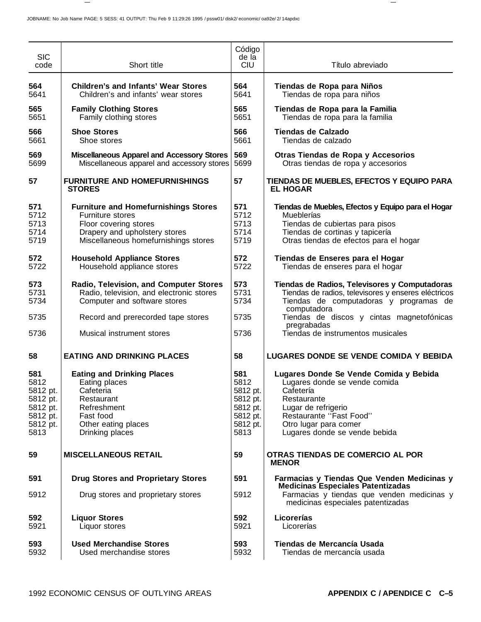| <b>SIC</b><br>code                                                              | Short title                                                                                                                                                       | Código<br>de la<br><b>CIU</b>                                                   | Título abreviado                                                                                                                                                                                                |
|---------------------------------------------------------------------------------|-------------------------------------------------------------------------------------------------------------------------------------------------------------------|---------------------------------------------------------------------------------|-----------------------------------------------------------------------------------------------------------------------------------------------------------------------------------------------------------------|
| 564<br>5641                                                                     | <b>Children's and Infants' Wear Stores</b><br>Children's and infants' wear stores                                                                                 | 564<br>5641                                                                     | Tiendas de Ropa para Niños<br>Tiendas de ropa para niños                                                                                                                                                        |
| 565<br>5651                                                                     | <b>Family Clothing Stores</b><br>Family clothing stores                                                                                                           | 565<br>5651                                                                     | Tiendas de Ropa para la Familia<br>Tiendas de ropa para la familia                                                                                                                                              |
| 566<br>5661                                                                     | <b>Shoe Stores</b><br>Shoe stores                                                                                                                                 | 566<br>5661                                                                     | <b>Tiendas de Calzado</b><br>Tiendas de calzado                                                                                                                                                                 |
| 569<br>5699                                                                     | <b>Miscellaneous Apparel and Accessory Stores</b><br>Miscellaneous apparel and accessory stores                                                                   | 569<br>5699                                                                     | Otras Tiendas de Ropa y Accesorios<br>Otras tiendas de ropa y accesorios                                                                                                                                        |
| 57                                                                              | <b>FURNITURE AND HOMEFURNISHINGS</b><br><b>STORES</b>                                                                                                             | 57                                                                              | TIENDAS DE MUEBLES, EFECTOS Y EQUIPO PARA<br><b>EL HOGAR</b>                                                                                                                                                    |
| 571<br>5712<br>5713<br>5714<br>5719                                             | <b>Furniture and Homefurnishings Stores</b><br>Furniture stores<br>Floor covering stores<br>Drapery and upholstery stores<br>Miscellaneous homefurnishings stores | 571<br>5712<br>5713<br>5714<br>5719                                             | Tiendas de Muebles, Efectos y Equipo para el Hogar<br>Mueblerías<br>Tiendas de cubiertas para pisos<br>Tiendas de cortinas y tapicería<br>Otras tiendas de efectos para el hogar                                |
| 572<br>5722                                                                     | <b>Household Appliance Stores</b><br>Household appliance stores                                                                                                   | 572<br>5722                                                                     | Tiendas de Enseres para el Hogar<br>Tiendas de enseres para el hogar                                                                                                                                            |
| 573<br>5731<br>5734                                                             | Radio, Television, and Computer Stores<br>Radio, television, and electronic stores<br>Computer and software stores                                                | 573<br>5731<br>5734                                                             | Tiendas de Radios, Televisores y Computadoras<br>Tiendas de radios, televisores y enseres eléctricos<br>Tiendas de computadoras y programas de<br>computadora                                                   |
| 5735                                                                            | Record and prerecorded tape stores                                                                                                                                | 5735                                                                            | Tiendas de discos y cintas magnetofónicas<br>pregrabadas                                                                                                                                                        |
| 5736                                                                            | Musical instrument stores                                                                                                                                         | 5736                                                                            | Tiendas de instrumentos musicales                                                                                                                                                                               |
| 58                                                                              | <b>EATING AND DRINKING PLACES</b>                                                                                                                                 | 58                                                                              | <b>LUGARES DONDE SE VENDE COMIDA Y BEBIDA</b>                                                                                                                                                                   |
| 581<br>5812<br>5812 pt.<br>5812 pt.<br>5812 pt.<br>5812 pt.<br>5812 pt.<br>5813 | <b>Eating and Drinking Places</b><br>Eating places<br>Cafeteria<br>Restaurant<br>Refreshment<br>Fast food<br>Other eating places<br>Drinking places               | 581<br>5812<br>5812 pt.<br>5812 pt.<br>5812 pt.<br>5812 pt.<br>5812 pt.<br>5813 | Lugares Donde Se Vende Comida y Bebida<br>Lugares donde se vende comida<br>Cafetería<br>Restaurante<br>Lugar de refrigerio<br>Restaurante "Fast Food"<br>Otro lugar para comer<br>Lugares donde se vende bebida |
| 59                                                                              | <b>MISCELLANEOUS RETAIL</b>                                                                                                                                       | 59                                                                              | OTRAS TIENDAS DE COMERCIO AL POR<br><b>MENOR</b>                                                                                                                                                                |
| 591                                                                             | <b>Drug Stores and Proprietary Stores</b>                                                                                                                         | 591                                                                             | Farmacias y Tiendas Que Venden Medicinas y<br><b>Medicinas Especiales Patentizadas</b>                                                                                                                          |
| 5912                                                                            | Drug stores and proprietary stores                                                                                                                                | 5912                                                                            | Farmacias y tiendas que venden medicinas y<br>medicinas especiales patentizadas                                                                                                                                 |
| 592<br>5921                                                                     | <b>Liquor Stores</b><br>Liquor stores                                                                                                                             | 592<br>5921                                                                     | Licorerías<br>Licorerías                                                                                                                                                                                        |
| 593<br>5932                                                                     | <b>Used Merchandise Stores</b><br>Used merchandise stores                                                                                                         | 593<br>5932                                                                     | Tiendas de Mercancía Usada<br>Tiendas de mercancía usada                                                                                                                                                        |

 $\hspace{0.1mm}-\hspace{0.1mm}$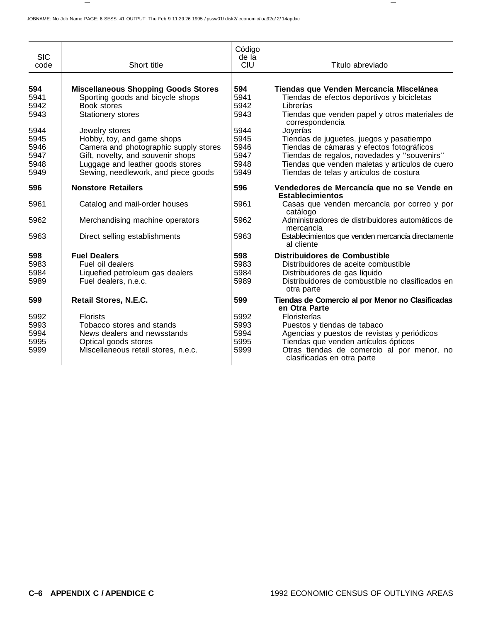|                    |                                            | Código              |                                                                          |
|--------------------|--------------------------------------------|---------------------|--------------------------------------------------------------------------|
| <b>SIC</b><br>code | Short title                                | de la<br><b>CIU</b> | Título abreviado                                                         |
|                    |                                            |                     |                                                                          |
| 594                | <b>Miscellaneous Shopping Goods Stores</b> | 594                 | Tiendas que Venden Mercancía Miscelánea                                  |
| 5941               | Sporting goods and bicycle shops           | 5941                | Tiendas de efectos deportivos y bicicletas                               |
| 5942               | Book stores                                | 5942                | Librerías                                                                |
| 5943               | <b>Stationery stores</b>                   | 5943                | Tiendas que venden papel y otros materiales de<br>correspondencia        |
| 5944               | Jewelry stores                             | 5944                | Joyerías                                                                 |
| 5945               | Hobby, toy, and game shops                 | 5945                | Tiendas de juguetes, juegos y pasatiempo                                 |
| 5946               | Camera and photographic supply stores      | 5946                | Tiendas de cámaras y efectos fotográficos                                |
| 5947               | Gift, novelty, and souvenir shops          | 5947                | Tiendas de regalos, novedades y "souvenirs"                              |
| 5948               | Luggage and leather goods stores           | 5948                | Tiendas que venden maletas y artículos de cuero                          |
| 5949               | Sewing, needlework, and piece goods        | 5949                | Tiendas de telas y artículos de costura                                  |
| 596                | <b>Nonstore Retailers</b>                  | 596                 | Vendedores de Mercancía que no se Vende en<br><b>Establecimientos</b>    |
| 5961               | Catalog and mail-order houses              | 5961                | Casas que venden mercancía por correo y por<br>catálogo                  |
| 5962               | Merchandising machine operators            | 5962                | Administradores de distribuidores automáticos de<br>mercancía            |
| 5963               | Direct selling establishments              | 5963                | Establecimientos que venden mercancía directamente<br>al cliente         |
| 598                | <b>Fuel Dealers</b>                        | 598                 | <b>Distribuidores de Combustible</b>                                     |
| 5983               | Fuel oil dealers                           | 5983                | Distribuidores de aceite combustible                                     |
| 5984               | Liquefied petroleum gas dealers            | 5984                | Distribuidores de gas líquido                                            |
| 5989               | Fuel dealers, n.e.c.                       | 5989                | Distribuidores de combustible no clasificados en<br>otra parte           |
| 599                | Retail Stores, N.E.C.                      | 599                 | Tiendas de Comercio al por Menor no Clasificadas<br>en Otra Parte        |
| 5992               | <b>Florists</b>                            | 5992                | Floristerías                                                             |
| 5993               | Tobacco stores and stands                  | 5993                | Puestos y tiendas de tabaco                                              |
| 5994               | News dealers and newsstands                | 5994                | Agencias y puestos de revistas y periódicos                              |
| 5995               | Optical goods stores                       | 5995                | Tiendas que venden artículos ópticos                                     |
| 5999               | Miscellaneous retail stores, n.e.c.        | 5999                | Otras tiendas de comercio al por menor, no<br>clasificadas en otra parte |